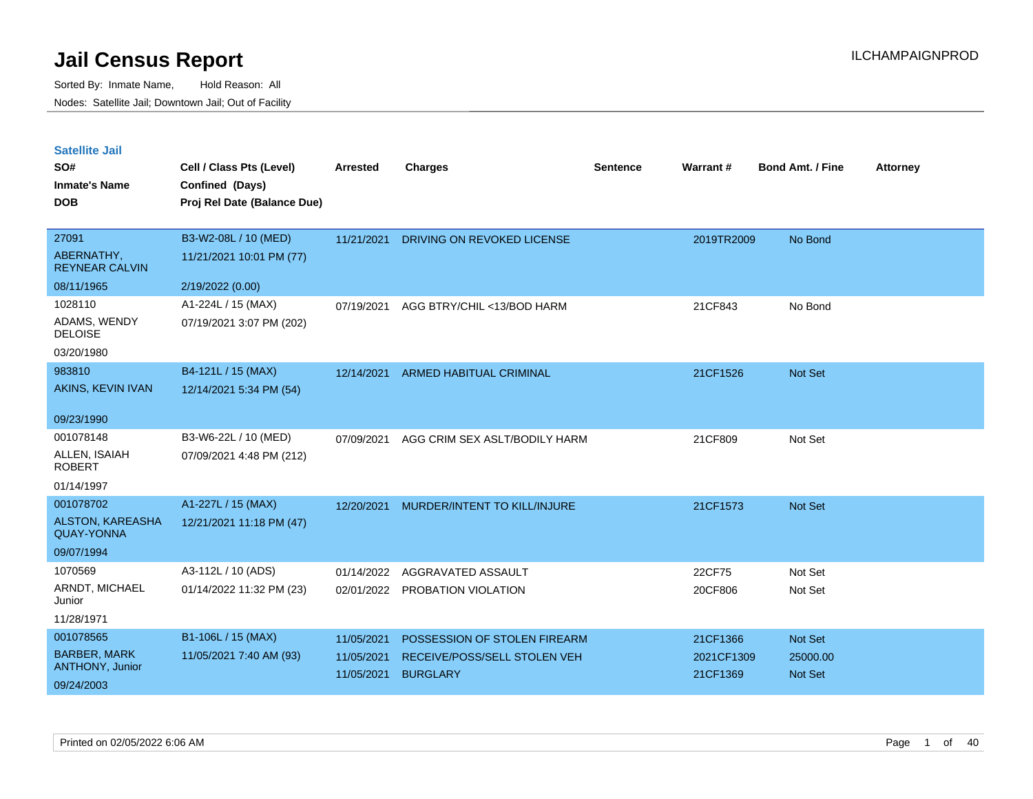| <b>Satellite Jail</b> |  |
|-----------------------|--|
|                       |  |

| SO#<br><b>Inmate's Name</b><br><b>DOB</b>     | Cell / Class Pts (Level)<br>Confined (Days)<br>Proj Rel Date (Balance Due) | <b>Arrested</b> | <b>Charges</b>                 | <b>Sentence</b> | Warrant#   | <b>Bond Amt. / Fine</b> | <b>Attorney</b> |
|-----------------------------------------------|----------------------------------------------------------------------------|-----------------|--------------------------------|-----------------|------------|-------------------------|-----------------|
|                                               |                                                                            |                 |                                |                 |            |                         |                 |
| 27091                                         | B3-W2-08L / 10 (MED)                                                       | 11/21/2021      | DRIVING ON REVOKED LICENSE     |                 | 2019TR2009 | No Bond                 |                 |
| ABERNATHY,<br><b>REYNEAR CALVIN</b>           | 11/21/2021 10:01 PM (77)                                                   |                 |                                |                 |            |                         |                 |
| 08/11/1965                                    | 2/19/2022 (0.00)                                                           |                 |                                |                 |            |                         |                 |
| 1028110                                       | A1-224L / 15 (MAX)                                                         | 07/19/2021      | AGG BTRY/CHIL <13/BOD HARM     |                 | 21CF843    | No Bond                 |                 |
| ADAMS, WENDY<br><b>DELOISE</b>                | 07/19/2021 3:07 PM (202)                                                   |                 |                                |                 |            |                         |                 |
| 03/20/1980                                    |                                                                            |                 |                                |                 |            |                         |                 |
| 983810                                        | B4-121L / 15 (MAX)                                                         | 12/14/2021      | <b>ARMED HABITUAL CRIMINAL</b> |                 | 21CF1526   | Not Set                 |                 |
| AKINS, KEVIN IVAN                             | 12/14/2021 5:34 PM (54)                                                    |                 |                                |                 |            |                         |                 |
| 09/23/1990                                    |                                                                            |                 |                                |                 |            |                         |                 |
| 001078148                                     | B3-W6-22L / 10 (MED)                                                       | 07/09/2021      | AGG CRIM SEX ASLT/BODILY HARM  |                 | 21CF809    | Not Set                 |                 |
| ALLEN, ISAIAH<br><b>ROBERT</b>                | 07/09/2021 4:48 PM (212)                                                   |                 |                                |                 |            |                         |                 |
| 01/14/1997                                    |                                                                            |                 |                                |                 |            |                         |                 |
| 001078702                                     | A1-227L / 15 (MAX)                                                         | 12/20/2021      | MURDER/INTENT TO KILL/INJURE   |                 | 21CF1573   | Not Set                 |                 |
| <b>ALSTON, KAREASHA</b><br><b>QUAY-YONNA</b>  | 12/21/2021 11:18 PM (47)                                                   |                 |                                |                 |            |                         |                 |
| 09/07/1994                                    |                                                                            |                 |                                |                 |            |                         |                 |
| 1070569                                       | A3-112L / 10 (ADS)                                                         | 01/14/2022      | AGGRAVATED ASSAULT             |                 | 22CF75     | Not Set                 |                 |
| ARNDT, MICHAEL<br>Junior                      | 01/14/2022 11:32 PM (23)                                                   |                 | 02/01/2022 PROBATION VIOLATION |                 | 20CF806    | Not Set                 |                 |
| 11/28/1971                                    |                                                                            |                 |                                |                 |            |                         |                 |
| 001078565                                     | B1-106L / 15 (MAX)                                                         | 11/05/2021      | POSSESSION OF STOLEN FIREARM   |                 | 21CF1366   | Not Set                 |                 |
| <b>BARBER, MARK</b><br><b>ANTHONY, Junior</b> | 11/05/2021 7:40 AM (93)                                                    | 11/05/2021      | RECEIVE/POSS/SELL STOLEN VEH   |                 | 2021CF1309 | 25000.00                |                 |
| 09/24/2003                                    |                                                                            | 11/05/2021      | <b>BURGLARY</b>                |                 | 21CF1369   | Not Set                 |                 |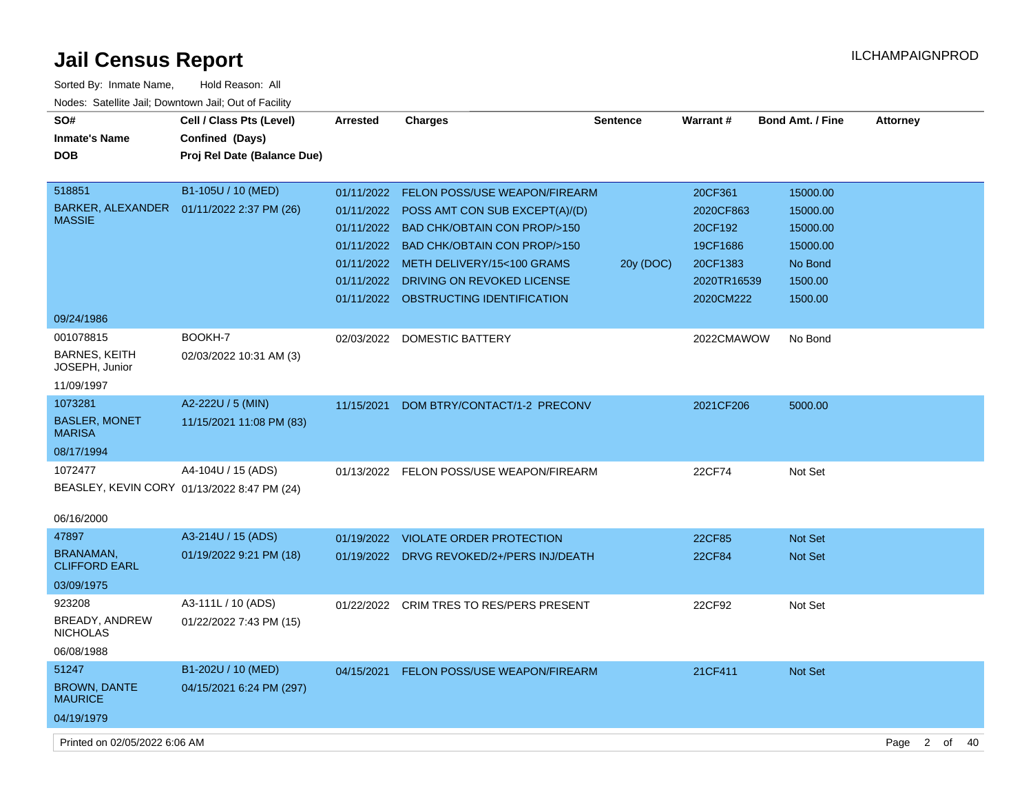| Sorted By: Inmate Name,                               | Hold Reason: All                            |            |                                           |                 |               |                         |                        |          |
|-------------------------------------------------------|---------------------------------------------|------------|-------------------------------------------|-----------------|---------------|-------------------------|------------------------|----------|
| Nodes: Satellite Jail; Downtown Jail; Out of Facility |                                             |            |                                           |                 |               |                         |                        |          |
| SO#                                                   | Cell / Class Pts (Level)                    | Arrested   | <b>Charges</b>                            | <b>Sentence</b> | Warrant#      | <b>Bond Amt. / Fine</b> | <b>Attorney</b>        |          |
| <b>Inmate's Name</b>                                  | Confined (Days)                             |            |                                           |                 |               |                         |                        |          |
| <b>DOB</b>                                            | Proj Rel Date (Balance Due)                 |            |                                           |                 |               |                         |                        |          |
|                                                       |                                             |            |                                           |                 |               |                         |                        |          |
| 518851                                                | B1-105U / 10 (MED)                          |            | 01/11/2022 FELON POSS/USE WEAPON/FIREARM  |                 | 20CF361       | 15000.00                |                        |          |
| BARKER, ALEXANDER  01/11/2022 2:37 PM (26)            |                                             |            | 01/11/2022 POSS AMT CON SUB EXCEPT(A)/(D) |                 | 2020CF863     | 15000.00                |                        |          |
| <b>MASSIE</b>                                         |                                             |            | 01/11/2022 BAD CHK/OBTAIN CON PROP/>150   |                 | 20CF192       | 15000.00                |                        |          |
|                                                       |                                             |            | 01/11/2022 BAD CHK/OBTAIN CON PROP/>150   |                 | 19CF1686      | 15000.00                |                        |          |
|                                                       |                                             |            | 01/11/2022 METH DELIVERY/15<100 GRAMS     | 20y (DOC)       | 20CF1383      | No Bond                 |                        |          |
|                                                       |                                             |            | 01/11/2022 DRIVING ON REVOKED LICENSE     |                 | 2020TR16539   | 1500.00                 |                        |          |
|                                                       |                                             |            | 01/11/2022 OBSTRUCTING IDENTIFICATION     |                 | 2020CM222     | 1500.00                 |                        |          |
| 09/24/1986                                            |                                             |            |                                           |                 |               |                         |                        |          |
| 001078815                                             | BOOKH-7                                     |            | 02/03/2022 DOMESTIC BATTERY               |                 | 2022CMAWOW    | No Bond                 |                        |          |
| <b>BARNES, KEITH</b>                                  | 02/03/2022 10:31 AM (3)                     |            |                                           |                 |               |                         |                        |          |
| JOSEPH, Junior                                        |                                             |            |                                           |                 |               |                         |                        |          |
| 11/09/1997                                            |                                             |            |                                           |                 |               |                         |                        |          |
| 1073281                                               | A2-222U / 5 (MIN)                           | 11/15/2021 | DOM BTRY/CONTACT/1-2 PRECONV              |                 | 2021CF206     | 5000.00                 |                        |          |
| <b>BASLER, MONET</b><br><b>MARISA</b>                 | 11/15/2021 11:08 PM (83)                    |            |                                           |                 |               |                         |                        |          |
| 08/17/1994                                            |                                             |            |                                           |                 |               |                         |                        |          |
| 1072477                                               | A4-104U / 15 (ADS)                          |            | 01/13/2022 FELON POSS/USE WEAPON/FIREARM  |                 | 22CF74        | Not Set                 |                        |          |
|                                                       | BEASLEY, KEVIN CORY 01/13/2022 8:47 PM (24) |            |                                           |                 |               |                         |                        |          |
|                                                       |                                             |            |                                           |                 |               |                         |                        |          |
| 06/16/2000                                            |                                             |            |                                           |                 |               |                         |                        |          |
| 47897                                                 | A3-214U / 15 (ADS)                          |            | 01/19/2022 VIOLATE ORDER PROTECTION       |                 | 22CF85        | <b>Not Set</b>          |                        |          |
| <b>BRANAMAN,</b><br><b>CLIFFORD EARL</b>              | 01/19/2022 9:21 PM (18)                     |            | 01/19/2022 DRVG REVOKED/2+/PERS INJ/DEATH |                 | <b>22CF84</b> | <b>Not Set</b>          |                        |          |
| 03/09/1975                                            |                                             |            |                                           |                 |               |                         |                        |          |
| 923208                                                | A3-111L / 10 (ADS)                          |            | 01/22/2022 CRIM TRES TO RES/PERS PRESENT  |                 | 22CF92        | Not Set                 |                        |          |
| BREADY, ANDREW                                        | 01/22/2022 7:43 PM (15)                     |            |                                           |                 |               |                         |                        |          |
| <b>NICHOLAS</b>                                       |                                             |            |                                           |                 |               |                         |                        |          |
| 06/08/1988                                            |                                             |            |                                           |                 |               |                         |                        |          |
| 51247                                                 | B1-202U / 10 (MED)                          |            | 04/15/2021 FELON POSS/USE WEAPON/FIREARM  |                 | 21CF411       | Not Set                 |                        |          |
| <b>BROWN, DANTE</b><br><b>MAURICE</b>                 | 04/15/2021 6:24 PM (297)                    |            |                                           |                 |               |                         |                        |          |
| 04/19/1979                                            |                                             |            |                                           |                 |               |                         |                        |          |
| Printed on 02/05/2022 6:06 AM                         |                                             |            |                                           |                 |               |                         | $\overline{2}$<br>Page | of<br>40 |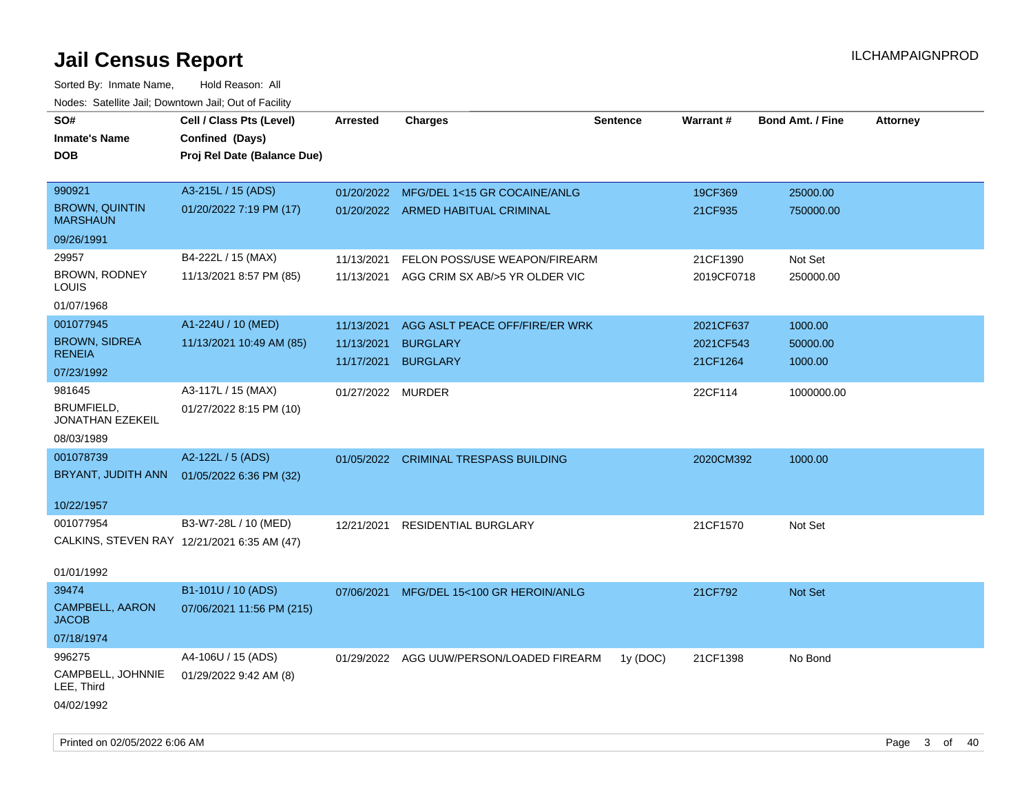| SO#<br>Inmate's Name<br><b>DOB</b>          | Cell / Class Pts (Level)<br>Confined (Days)<br>Proj Rel Date (Balance Due) | <b>Arrested</b>   | <b>Charges</b>                           | <b>Sentence</b> | Warrant#   | <b>Bond Amt. / Fine</b> | <b>Attorney</b> |
|---------------------------------------------|----------------------------------------------------------------------------|-------------------|------------------------------------------|-----------------|------------|-------------------------|-----------------|
| 990921                                      | A3-215L / 15 (ADS)                                                         | 01/20/2022        | MFG/DEL 1<15 GR COCAINE/ANLG             |                 | 19CF369    | 25000.00                |                 |
| <b>BROWN, QUINTIN</b><br><b>MARSHAUN</b>    | 01/20/2022 7:19 PM (17)                                                    |                   | 01/20/2022 ARMED HABITUAL CRIMINAL       |                 | 21CF935    | 750000.00               |                 |
| 09/26/1991                                  |                                                                            |                   |                                          |                 |            |                         |                 |
| 29957                                       | B4-222L / 15 (MAX)                                                         | 11/13/2021        | FELON POSS/USE WEAPON/FIREARM            |                 | 21CF1390   | Not Set                 |                 |
| BROWN, RODNEY<br>LOUIS                      | 11/13/2021 8:57 PM (85)                                                    | 11/13/2021        | AGG CRIM SX AB/>5 YR OLDER VIC           |                 | 2019CF0718 | 250000.00               |                 |
| 01/07/1968                                  |                                                                            |                   |                                          |                 |            |                         |                 |
| 001077945                                   | A1-224U / 10 (MED)                                                         | 11/13/2021        | AGG ASLT PEACE OFF/FIRE/ER WRK           |                 | 2021CF637  | 1000.00                 |                 |
| <b>BROWN, SIDREA</b>                        | 11/13/2021 10:49 AM (85)                                                   | 11/13/2021        | <b>BURGLARY</b>                          |                 | 2021CF543  | 50000.00                |                 |
| <b>RENEIA</b>                               |                                                                            | 11/17/2021        | <b>BURGLARY</b>                          |                 | 21CF1264   | 1000.00                 |                 |
| 07/23/1992                                  |                                                                            |                   |                                          |                 |            |                         |                 |
| 981645<br>BRUMFIELD,<br>JONATHAN EZEKEIL    | A3-117L / 15 (MAX)<br>01/27/2022 8:15 PM (10)                              | 01/27/2022 MURDER |                                          |                 | 22CF114    | 1000000.00              |                 |
| 08/03/1989                                  |                                                                            |                   |                                          |                 |            |                         |                 |
| 001078739                                   | A2-122L / 5 (ADS)                                                          |                   | 01/05/2022 CRIMINAL TRESPASS BUILDING    |                 | 2020CM392  | 1000.00                 |                 |
| BRYANT, JUDITH ANN                          | 01/05/2022 6:36 PM (32)                                                    |                   |                                          |                 |            |                         |                 |
| 10/22/1957                                  |                                                                            |                   |                                          |                 |            |                         |                 |
| 001077954                                   | B3-W7-28L / 10 (MED)                                                       | 12/21/2021        | <b>RESIDENTIAL BURGLARY</b>              |                 | 21CF1570   | Not Set                 |                 |
| CALKINS, STEVEN RAY 12/21/2021 6:35 AM (47) |                                                                            |                   |                                          |                 |            |                         |                 |
| 01/01/1992                                  |                                                                            |                   |                                          |                 |            |                         |                 |
| 39474                                       | B1-101U / 10 (ADS)                                                         | 07/06/2021        | MFG/DEL 15<100 GR HEROIN/ANLG            |                 | 21CF792    | <b>Not Set</b>          |                 |
| CAMPBELL, AARON<br><b>JACOB</b>             | 07/06/2021 11:56 PM (215)                                                  |                   |                                          |                 |            |                         |                 |
| 07/18/1974                                  |                                                                            |                   |                                          |                 |            |                         |                 |
| 996275                                      | A4-106U / 15 (ADS)                                                         |                   | 01/29/2022 AGG UUW/PERSON/LOADED FIREARM | 1y (DOC)        | 21CF1398   | No Bond                 |                 |
| CAMPBELL, JOHNNIE<br>LEE, Third             | 01/29/2022 9:42 AM (8)                                                     |                   |                                          |                 |            |                         |                 |
| 04/02/1992                                  |                                                                            |                   |                                          |                 |            |                         |                 |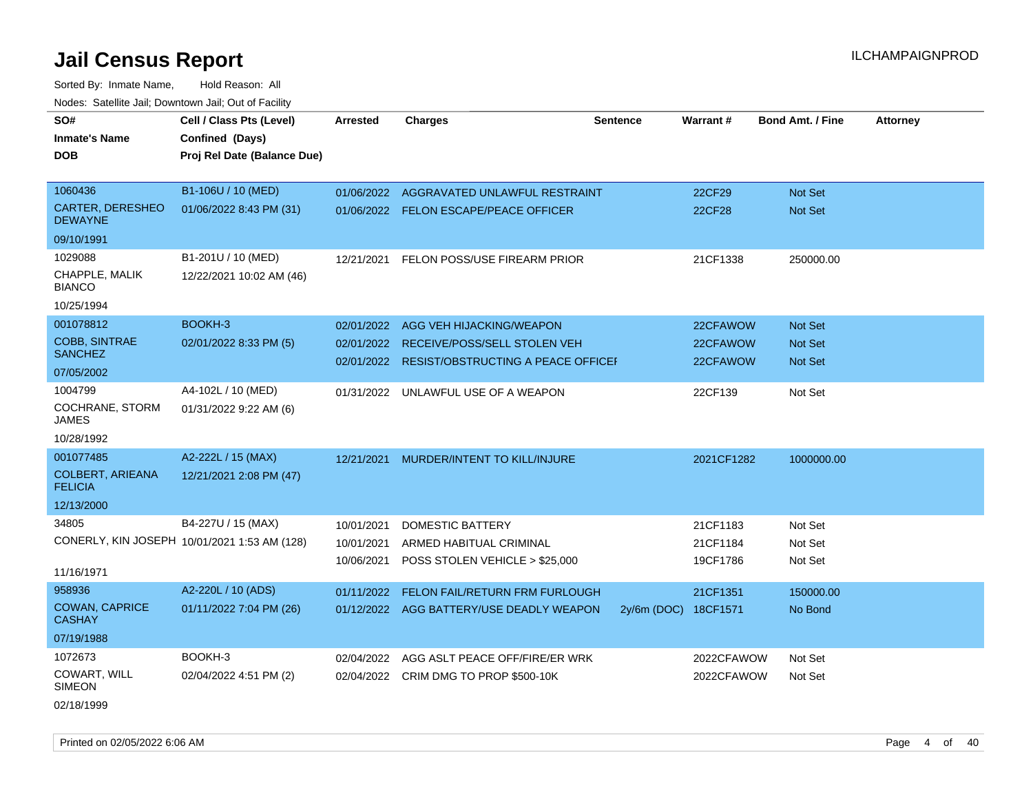Sorted By: Inmate Name, Hold Reason: All

| Nodes: Satellite Jail; Downtown Jail; Out of Facility |                                              |                 |                                               |                 |               |                         |                 |
|-------------------------------------------------------|----------------------------------------------|-----------------|-----------------------------------------------|-----------------|---------------|-------------------------|-----------------|
| SO#                                                   | Cell / Class Pts (Level)                     | <b>Arrested</b> | <b>Charges</b>                                | <b>Sentence</b> | Warrant#      | <b>Bond Amt. / Fine</b> | <b>Attorney</b> |
| <b>Inmate's Name</b>                                  | Confined (Days)                              |                 |                                               |                 |               |                         |                 |
| <b>DOB</b>                                            | Proj Rel Date (Balance Due)                  |                 |                                               |                 |               |                         |                 |
|                                                       |                                              |                 |                                               |                 |               |                         |                 |
| 1060436                                               | B1-106U / 10 (MED)                           | 01/06/2022      | AGGRAVATED UNLAWFUL RESTRAINT                 |                 | 22CF29        | Not Set                 |                 |
| CARTER, DERESHEO<br><b>DEWAYNE</b>                    | 01/06/2022 8:43 PM (31)                      |                 | 01/06/2022 FELON ESCAPE/PEACE OFFICER         |                 | <b>22CF28</b> | Not Set                 |                 |
| 09/10/1991                                            |                                              |                 |                                               |                 |               |                         |                 |
| 1029088                                               | B1-201U / 10 (MED)                           | 12/21/2021      | FELON POSS/USE FIREARM PRIOR                  |                 | 21CF1338      | 250000.00               |                 |
| CHAPPLE, MALIK<br><b>BIANCO</b>                       | 12/22/2021 10:02 AM (46)                     |                 |                                               |                 |               |                         |                 |
| 10/25/1994                                            |                                              |                 |                                               |                 |               |                         |                 |
| 001078812                                             | BOOKH-3                                      | 02/01/2022      | AGG VEH HIJACKING/WEAPON                      |                 | 22CFAWOW      | <b>Not Set</b>          |                 |
| COBB, SINTRAE                                         | 02/01/2022 8:33 PM (5)                       | 02/01/2022      | RECEIVE/POSS/SELL STOLEN VEH                  |                 | 22CFAWOW      | Not Set                 |                 |
| <b>SANCHEZ</b>                                        |                                              |                 | 02/01/2022 RESIST/OBSTRUCTING A PEACE OFFICEI |                 | 22CFAWOW      | Not Set                 |                 |
| 07/05/2002                                            |                                              |                 |                                               |                 |               |                         |                 |
| 1004799                                               | A4-102L / 10 (MED)                           | 01/31/2022      | UNLAWFUL USE OF A WEAPON                      |                 | 22CF139       | Not Set                 |                 |
| COCHRANE, STORM<br>JAMES                              | 01/31/2022 9:22 AM (6)                       |                 |                                               |                 |               |                         |                 |
| 10/28/1992                                            |                                              |                 |                                               |                 |               |                         |                 |
| 001077485                                             | A2-222L / 15 (MAX)                           | 12/21/2021      | MURDER/INTENT TO KILL/INJURE                  |                 | 2021CF1282    | 1000000.00              |                 |
| <b>COLBERT, ARIEANA</b><br><b>FELICIA</b>             | 12/21/2021 2:08 PM (47)                      |                 |                                               |                 |               |                         |                 |
| 12/13/2000                                            |                                              |                 |                                               |                 |               |                         |                 |
| 34805                                                 | B4-227U / 15 (MAX)                           | 10/01/2021      | DOMESTIC BATTERY                              |                 | 21CF1183      | Not Set                 |                 |
|                                                       | CONERLY, KIN JOSEPH 10/01/2021 1:53 AM (128) | 10/01/2021      | ARMED HABITUAL CRIMINAL                       |                 | 21CF1184      | Not Set                 |                 |
|                                                       |                                              | 10/06/2021      | POSS STOLEN VEHICLE > \$25,000                |                 | 19CF1786      | Not Set                 |                 |
| 11/16/1971                                            |                                              |                 |                                               |                 |               |                         |                 |
| 958936                                                | A2-220L / 10 (ADS)                           | 01/11/2022      | <b>FELON FAIL/RETURN FRM FURLOUGH</b>         |                 | 21CF1351      | 150000.00               |                 |
| <b>COWAN, CAPRICE</b><br><b>CASHAY</b>                | 01/11/2022 7:04 PM (26)                      |                 | 01/12/2022 AGG BATTERY/USE DEADLY WEAPON      | 2y/6m (DOC)     | 18CF1571      | No Bond                 |                 |
| 07/19/1988                                            |                                              |                 |                                               |                 |               |                         |                 |
| 1072673                                               | BOOKH-3                                      | 02/04/2022      | AGG ASLT PEACE OFF/FIRE/ER WRK                |                 | 2022CFAWOW    | Not Set                 |                 |
| COWART, WILL<br><b>SIMEON</b>                         | 02/04/2022 4:51 PM (2)                       | 02/04/2022      | CRIM DMG TO PROP \$500-10K                    |                 | 2022CFAWOW    | Not Set                 |                 |

02/18/1999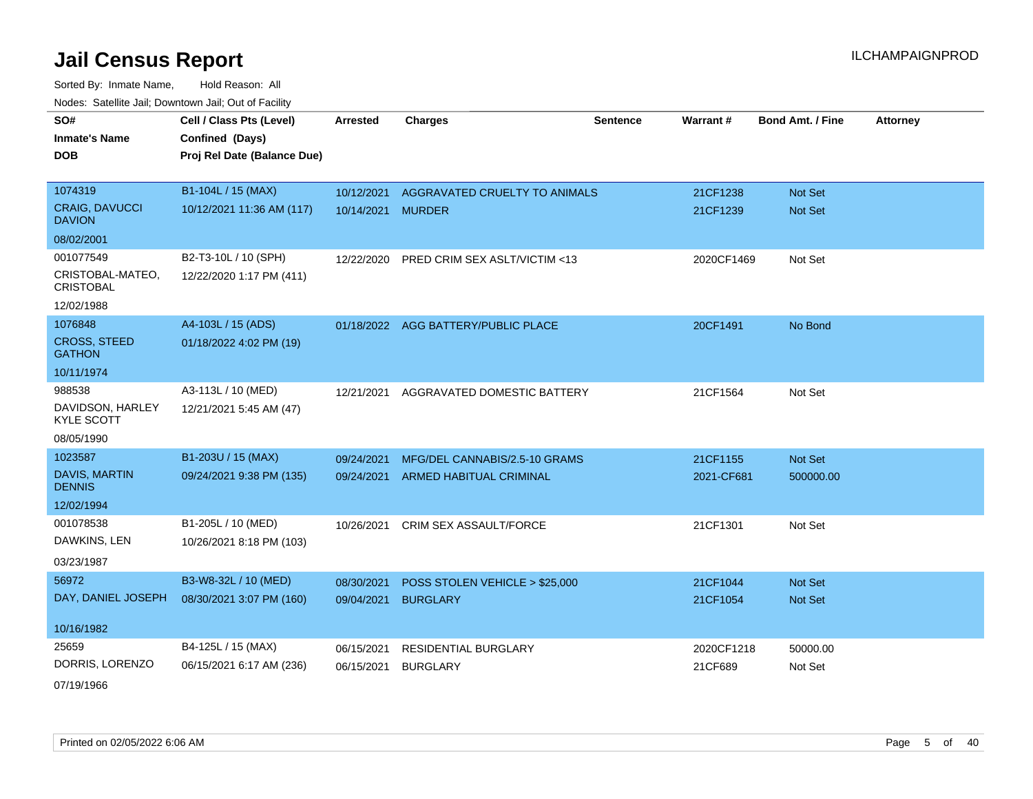Sorted By: Inmate Name, Hold Reason: All Nodes: Satellite Jail; Downtown Jail; Out of Facility

| SO#                                   | Cell / Class Pts (Level)    | <b>Arrested</b> | <b>Charges</b>                 | <b>Sentence</b> | Warrant#   | <b>Bond Amt. / Fine</b> | <b>Attorney</b> |
|---------------------------------------|-----------------------------|-----------------|--------------------------------|-----------------|------------|-------------------------|-----------------|
| <b>Inmate's Name</b>                  | Confined (Days)             |                 |                                |                 |            |                         |                 |
| <b>DOB</b>                            | Proj Rel Date (Balance Due) |                 |                                |                 |            |                         |                 |
|                                       |                             |                 |                                |                 |            |                         |                 |
| 1074319                               | B1-104L / 15 (MAX)          | 10/12/2021      | AGGRAVATED CRUELTY TO ANIMALS  |                 | 21CF1238   | Not Set                 |                 |
| CRAIG, DAVUCCI<br><b>DAVION</b>       | 10/12/2021 11:36 AM (117)   | 10/14/2021      | <b>MURDER</b>                  |                 | 21CF1239   | Not Set                 |                 |
| 08/02/2001                            |                             |                 |                                |                 |            |                         |                 |
| 001077549                             | B2-T3-10L / 10 (SPH)        | 12/22/2020      | PRED CRIM SEX ASLT/VICTIM <13  |                 | 2020CF1469 | Not Set                 |                 |
| CRISTOBAL-MATEO,<br><b>CRISTOBAL</b>  | 12/22/2020 1:17 PM (411)    |                 |                                |                 |            |                         |                 |
| 12/02/1988                            |                             |                 |                                |                 |            |                         |                 |
| 1076848                               | A4-103L / 15 (ADS)          | 01/18/2022      | AGG BATTERY/PUBLIC PLACE       |                 | 20CF1491   | No Bond                 |                 |
| <b>CROSS, STEED</b><br><b>GATHON</b>  | 01/18/2022 4:02 PM (19)     |                 |                                |                 |            |                         |                 |
| 10/11/1974                            |                             |                 |                                |                 |            |                         |                 |
| 988538                                | A3-113L / 10 (MED)          | 12/21/2021      | AGGRAVATED DOMESTIC BATTERY    |                 | 21CF1564   | Not Set                 |                 |
| DAVIDSON, HARLEY<br><b>KYLE SCOTT</b> | 12/21/2021 5:45 AM (47)     |                 |                                |                 |            |                         |                 |
| 08/05/1990                            |                             |                 |                                |                 |            |                         |                 |
| 1023587                               | B1-203U / 15 (MAX)          | 09/24/2021      | MFG/DEL CANNABIS/2.5-10 GRAMS  |                 | 21CF1155   | Not Set                 |                 |
| <b>DAVIS, MARTIN</b><br><b>DENNIS</b> | 09/24/2021 9:38 PM (135)    | 09/24/2021      | ARMED HABITUAL CRIMINAL        |                 | 2021-CF681 | 500000.00               |                 |
| 12/02/1994                            |                             |                 |                                |                 |            |                         |                 |
| 001078538                             | B1-205L / 10 (MED)          | 10/26/2021      | CRIM SEX ASSAULT/FORCE         |                 | 21CF1301   | Not Set                 |                 |
| DAWKINS, LEN                          | 10/26/2021 8:18 PM (103)    |                 |                                |                 |            |                         |                 |
| 03/23/1987                            |                             |                 |                                |                 |            |                         |                 |
| 56972                                 | B3-W8-32L / 10 (MED)        | 08/30/2021      | POSS STOLEN VEHICLE > \$25,000 |                 | 21CF1044   | Not Set                 |                 |
| DAY, DANIEL JOSEPH                    | 08/30/2021 3:07 PM (160)    | 09/04/2021      | <b>BURGLARY</b>                |                 | 21CF1054   | <b>Not Set</b>          |                 |
|                                       |                             |                 |                                |                 |            |                         |                 |
| 10/16/1982                            |                             |                 |                                |                 |            |                         |                 |
| 25659                                 | B4-125L / 15 (MAX)          | 06/15/2021      | <b>RESIDENTIAL BURGLARY</b>    |                 | 2020CF1218 | 50000.00                |                 |
| DORRIS, LORENZO                       | 06/15/2021 6:17 AM (236)    | 06/15/2021      | <b>BURGLARY</b>                |                 | 21CF689    | Not Set                 |                 |
|                                       |                             |                 |                                |                 |            |                         |                 |

07/19/1966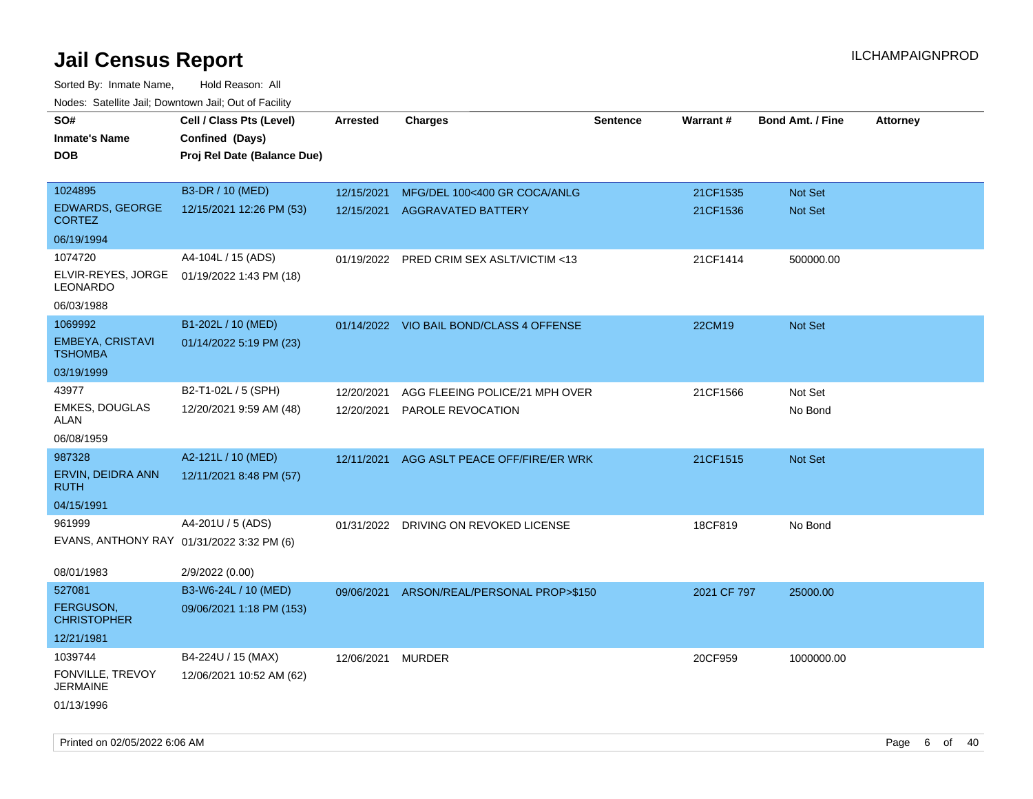| roaco. Catolino dall, Downtown dall, Out of Fability |                             |                 |                                          |                 |             |                         |                 |
|------------------------------------------------------|-----------------------------|-----------------|------------------------------------------|-----------------|-------------|-------------------------|-----------------|
| SO#                                                  | Cell / Class Pts (Level)    | <b>Arrested</b> | <b>Charges</b>                           | <b>Sentence</b> | Warrant#    | <b>Bond Amt. / Fine</b> | <b>Attorney</b> |
| <b>Inmate's Name</b>                                 | Confined (Days)             |                 |                                          |                 |             |                         |                 |
| <b>DOB</b>                                           | Proj Rel Date (Balance Due) |                 |                                          |                 |             |                         |                 |
|                                                      |                             |                 |                                          |                 |             |                         |                 |
| 1024895                                              | B3-DR / 10 (MED)            | 12/15/2021      | MFG/DEL 100<400 GR COCA/ANLG             |                 | 21CF1535    | Not Set                 |                 |
| EDWARDS, GEORGE<br><b>CORTEZ</b>                     | 12/15/2021 12:26 PM (53)    | 12/15/2021      | <b>AGGRAVATED BATTERY</b>                |                 | 21CF1536    | Not Set                 |                 |
| 06/19/1994                                           |                             |                 |                                          |                 |             |                         |                 |
| 1074720                                              | A4-104L / 15 (ADS)          | 01/19/2022      | PRED CRIM SEX ASLT/VICTIM <13            |                 | 21CF1414    | 500000.00               |                 |
| ELVIR-REYES, JORGE<br>LEONARDO                       | 01/19/2022 1:43 PM (18)     |                 |                                          |                 |             |                         |                 |
| 06/03/1988                                           |                             |                 |                                          |                 |             |                         |                 |
| 1069992                                              | B1-202L / 10 (MED)          |                 | 01/14/2022 VIO BAIL BOND/CLASS 4 OFFENSE |                 | 22CM19      | Not Set                 |                 |
| EMBEYA, CRISTAVI<br><b>TSHOMBA</b>                   | 01/14/2022 5:19 PM (23)     |                 |                                          |                 |             |                         |                 |
| 03/19/1999                                           |                             |                 |                                          |                 |             |                         |                 |
| 43977                                                | B2-T1-02L / 5 (SPH)         | 12/20/2021      | AGG FLEEING POLICE/21 MPH OVER           |                 | 21CF1566    | Not Set                 |                 |
| <b>EMKES, DOUGLAS</b><br>ALAN                        | 12/20/2021 9:59 AM (48)     | 12/20/2021      | PAROLE REVOCATION                        |                 |             | No Bond                 |                 |
| 06/08/1959                                           |                             |                 |                                          |                 |             |                         |                 |
| 987328                                               | A2-121L / 10 (MED)          | 12/11/2021      | AGG ASLT PEACE OFF/FIRE/ER WRK           |                 | 21CF1515    | <b>Not Set</b>          |                 |
| ERVIN, DEIDRA ANN<br><b>RUTH</b>                     | 12/11/2021 8:48 PM (57)     |                 |                                          |                 |             |                         |                 |
| 04/15/1991                                           |                             |                 |                                          |                 |             |                         |                 |
| 961999                                               | A4-201U / 5 (ADS)           | 01/31/2022      | DRIVING ON REVOKED LICENSE               |                 | 18CF819     | No Bond                 |                 |
| EVANS, ANTHONY RAY 01/31/2022 3:32 PM (6)            |                             |                 |                                          |                 |             |                         |                 |
| 08/01/1983                                           | 2/9/2022 (0.00)             |                 |                                          |                 |             |                         |                 |
| 527081                                               | B3-W6-24L / 10 (MED)        | 09/06/2021      | ARSON/REAL/PERSONAL PROP>\$150           |                 | 2021 CF 797 | 25000.00                |                 |
| <b>FERGUSON,</b><br><b>CHRISTOPHER</b>               | 09/06/2021 1:18 PM (153)    |                 |                                          |                 |             |                         |                 |
| 12/21/1981                                           |                             |                 |                                          |                 |             |                         |                 |
| 1039744                                              | B4-224U / 15 (MAX)          | 12/06/2021      | <b>MURDER</b>                            |                 | 20CF959     | 1000000.00              |                 |
| FONVILLE, TREVOY<br><b>JERMAINE</b>                  | 12/06/2021 10:52 AM (62)    |                 |                                          |                 |             |                         |                 |
| 01/13/1996                                           |                             |                 |                                          |                 |             |                         |                 |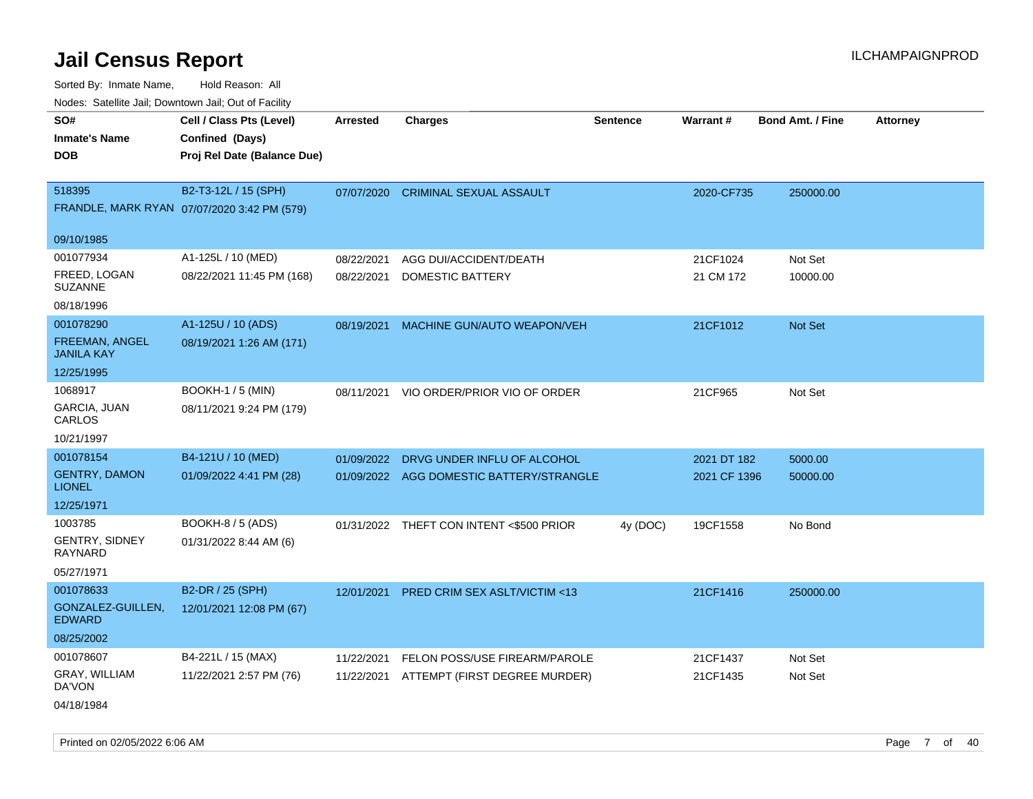| Noues. Sateme Jan, Downtown Jan, Out of Facility |                                             |            |                                          |                 |              |                         |                 |
|--------------------------------------------------|---------------------------------------------|------------|------------------------------------------|-----------------|--------------|-------------------------|-----------------|
| SO#                                              | Cell / Class Pts (Level)                    | Arrested   | <b>Charges</b>                           | <b>Sentence</b> | Warrant#     | <b>Bond Amt. / Fine</b> | <b>Attorney</b> |
| <b>Inmate's Name</b>                             | Confined (Days)                             |            |                                          |                 |              |                         |                 |
| <b>DOB</b>                                       | Proj Rel Date (Balance Due)                 |            |                                          |                 |              |                         |                 |
|                                                  |                                             |            |                                          |                 |              |                         |                 |
| 518395                                           | B2-T3-12L / 15 (SPH)                        | 07/07/2020 | <b>CRIMINAL SEXUAL ASSAULT</b>           |                 | 2020-CF735   | 250000.00               |                 |
|                                                  | FRANDLE, MARK RYAN 07/07/2020 3:42 PM (579) |            |                                          |                 |              |                         |                 |
| 09/10/1985                                       |                                             |            |                                          |                 |              |                         |                 |
| 001077934                                        | A1-125L / 10 (MED)                          | 08/22/2021 | AGG DUI/ACCIDENT/DEATH                   |                 | 21CF1024     | Not Set                 |                 |
| FREED, LOGAN<br>SUZANNE                          | 08/22/2021 11:45 PM (168)                   | 08/22/2021 | DOMESTIC BATTERY                         |                 | 21 CM 172    | 10000.00                |                 |
| 08/18/1996                                       |                                             |            |                                          |                 |              |                         |                 |
| 001078290                                        | A1-125U / 10 (ADS)                          | 08/19/2021 | MACHINE GUN/AUTO WEAPON/VEH              |                 | 21CF1012     | Not Set                 |                 |
| <b>FREEMAN, ANGEL</b><br>JANILA KAY              | 08/19/2021 1:26 AM (171)                    |            |                                          |                 |              |                         |                 |
| 12/25/1995                                       |                                             |            |                                          |                 |              |                         |                 |
| 1068917                                          | <b>BOOKH-1 / 5 (MIN)</b>                    | 08/11/2021 | VIO ORDER/PRIOR VIO OF ORDER             |                 | 21CF965      | Not Set                 |                 |
| GARCIA, JUAN<br>CARLOS                           | 08/11/2021 9:24 PM (179)                    |            |                                          |                 |              |                         |                 |
| 10/21/1997                                       |                                             |            |                                          |                 |              |                         |                 |
| 001078154                                        | B4-121U / 10 (MED)                          | 01/09/2022 | DRVG UNDER INFLU OF ALCOHOL              |                 | 2021 DT 182  | 5000.00                 |                 |
| <b>GENTRY, DAMON</b><br><b>LIONEL</b>            | 01/09/2022 4:41 PM (28)                     |            | 01/09/2022 AGG DOMESTIC BATTERY/STRANGLE |                 | 2021 CF 1396 | 50000.00                |                 |
| 12/25/1971                                       |                                             |            |                                          |                 |              |                         |                 |
| 1003785                                          | BOOKH-8 / 5 (ADS)                           |            | 01/31/2022 THEFT CON INTENT <\$500 PRIOR | 4y (DOC)        | 19CF1558     | No Bond                 |                 |
| <b>GENTRY, SIDNEY</b><br>RAYNARD                 | 01/31/2022 8:44 AM (6)                      |            |                                          |                 |              |                         |                 |
| 05/27/1971                                       |                                             |            |                                          |                 |              |                         |                 |
| 001078633                                        | B2-DR / 25 (SPH)                            | 12/01/2021 | PRED CRIM SEX ASLT/VICTIM <13            |                 | 21CF1416     | 250000.00               |                 |
| GONZALEZ-GUILLEN,<br><b>EDWARD</b>               | 12/01/2021 12:08 PM (67)                    |            |                                          |                 |              |                         |                 |
| 08/25/2002                                       |                                             |            |                                          |                 |              |                         |                 |
| 001078607                                        | B4-221L / 15 (MAX)                          | 11/22/2021 | FELON POSS/USE FIREARM/PAROLE            |                 | 21CF1437     | Not Set                 |                 |
| GRAY, WILLIAM<br>DA'VON                          | 11/22/2021 2:57 PM (76)                     | 11/22/2021 | ATTEMPT (FIRST DEGREE MURDER)            |                 | 21CF1435     | Not Set                 |                 |
| 04/18/1984                                       |                                             |            |                                          |                 |              |                         |                 |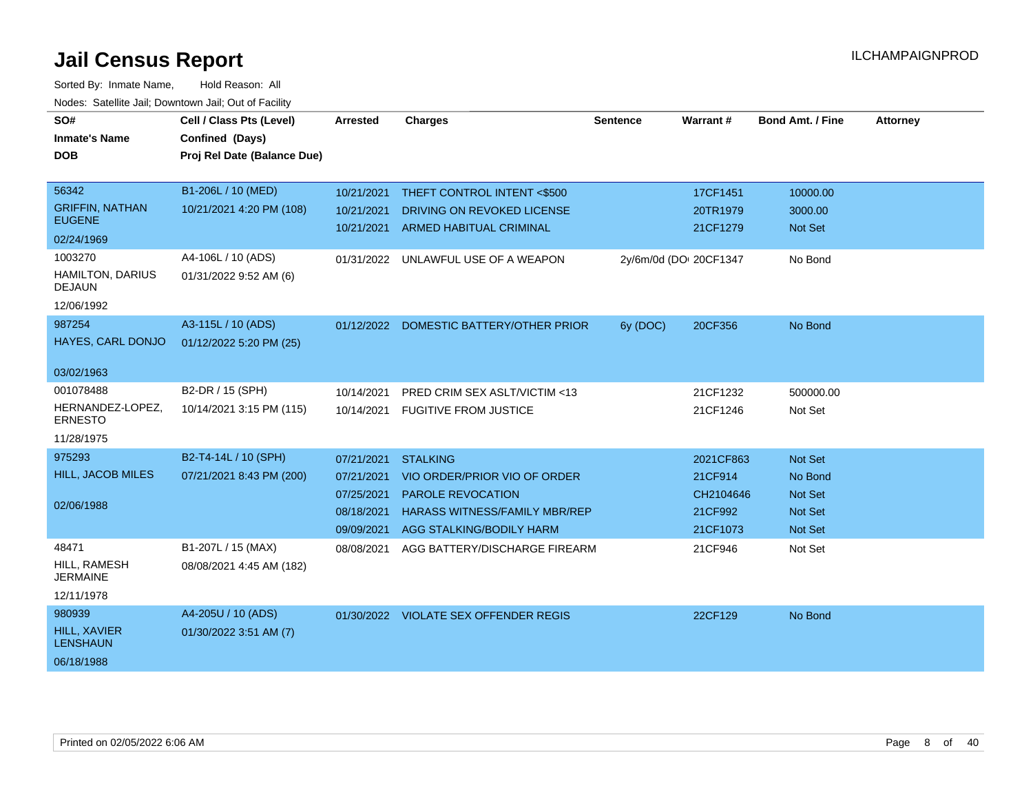| SO#<br><b>Inmate's Name</b><br><b>DOB</b>                                                                                    | Cell / Class Pts (Level)<br>Confined (Days)<br>Proj Rel Date (Balance Due)                     | <b>Arrested</b>                                                    | <b>Charges</b>                                                                                                                                  | <b>Sentence</b>        | <b>Warrant#</b>                                          | <b>Bond Amt. / Fine</b>                                           | <b>Attorney</b> |
|------------------------------------------------------------------------------------------------------------------------------|------------------------------------------------------------------------------------------------|--------------------------------------------------------------------|-------------------------------------------------------------------------------------------------------------------------------------------------|------------------------|----------------------------------------------------------|-------------------------------------------------------------------|-----------------|
| 56342<br><b>GRIFFIN, NATHAN</b><br><b>EUGENE</b><br>02/24/1969<br>1003270<br>HAMILTON, DARIUS<br><b>DEJAUN</b><br>12/06/1992 | B1-206L / 10 (MED)<br>10/21/2021 4:20 PM (108)<br>A4-106L / 10 (ADS)<br>01/31/2022 9:52 AM (6) | 10/21/2021<br>10/21/2021<br>10/21/2021                             | THEFT CONTROL INTENT <\$500<br>DRIVING ON REVOKED LICENSE<br>ARMED HABITUAL CRIMINAL<br>01/31/2022 UNLAWFUL USE OF A WEAPON                     | 2y/6m/0d (DOI 20CF1347 | 17CF1451<br>20TR1979<br>21CF1279                         | 10000.00<br>3000.00<br>Not Set<br>No Bond                         |                 |
| 987254<br>HAYES, CARL DONJO<br>03/02/1963<br>001078488                                                                       | A3-115L / 10 (ADS)<br>01/12/2022 5:20 PM (25)<br>B2-DR / 15 (SPH)                              | 10/14/2021                                                         | 01/12/2022 DOMESTIC BATTERY/OTHER PRIOR<br>PRED CRIM SEX ASLT/VICTIM <13                                                                        | 6y (DOC)               | 20CF356<br>21CF1232                                      | No Bond<br>500000.00                                              |                 |
| HERNANDEZ-LOPEZ,<br><b>ERNESTO</b><br>11/28/1975                                                                             | 10/14/2021 3:15 PM (115)                                                                       | 10/14/2021                                                         | <b>FUGITIVE FROM JUSTICE</b>                                                                                                                    |                        | 21CF1246                                                 | Not Set                                                           |                 |
| 975293<br>HILL, JACOB MILES<br>02/06/1988                                                                                    | B2-T4-14L / 10 (SPH)<br>07/21/2021 8:43 PM (200)                                               | 07/21/2021<br>07/21/2021<br>07/25/2021<br>08/18/2021<br>09/09/2021 | <b>STALKING</b><br>VIO ORDER/PRIOR VIO OF ORDER<br><b>PAROLE REVOCATION</b><br><b>HARASS WITNESS/FAMILY MBR/REP</b><br>AGG STALKING/BODILY HARM |                        | 2021CF863<br>21CF914<br>CH2104646<br>21CF992<br>21CF1073 | Not Set<br>No Bond<br><b>Not Set</b><br><b>Not Set</b><br>Not Set |                 |
| 48471<br>HILL, RAMESH<br><b>JERMAINE</b><br>12/11/1978                                                                       | B1-207L / 15 (MAX)<br>08/08/2021 4:45 AM (182)                                                 | 08/08/2021                                                         | AGG BATTERY/DISCHARGE FIREARM                                                                                                                   |                        | 21CF946                                                  | Not Set                                                           |                 |
| 980939<br>HILL, XAVIER<br><b>LENSHAUN</b><br>06/18/1988                                                                      | A4-205U / 10 (ADS)<br>01/30/2022 3:51 AM (7)                                                   |                                                                    | 01/30/2022 VIOLATE SEX OFFENDER REGIS                                                                                                           |                        | 22CF129                                                  | No Bond                                                           |                 |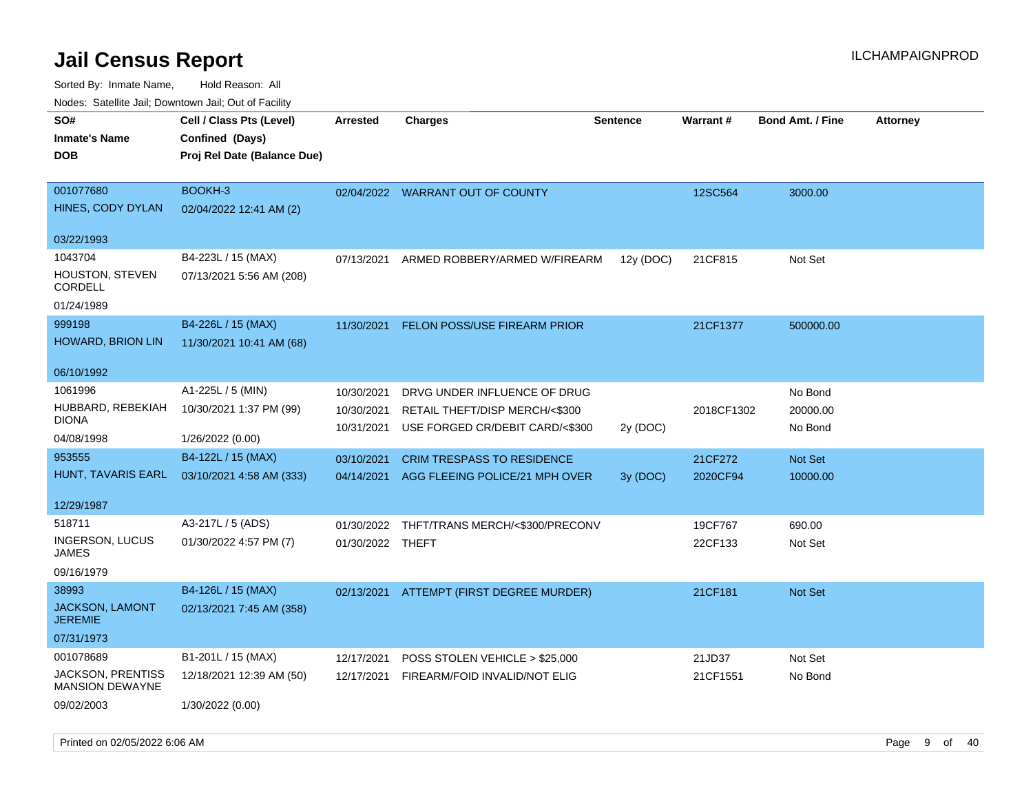| Nodes: Satellite Jali, Downtown Jali, Out of Facility |                             |                  |                                   |                 |                 |                         |                 |
|-------------------------------------------------------|-----------------------------|------------------|-----------------------------------|-----------------|-----------------|-------------------------|-----------------|
| SO#                                                   | Cell / Class Pts (Level)    | <b>Arrested</b>  | <b>Charges</b>                    | <b>Sentence</b> | <b>Warrant#</b> | <b>Bond Amt. / Fine</b> | <b>Attorney</b> |
| <b>Inmate's Name</b>                                  | Confined (Days)             |                  |                                   |                 |                 |                         |                 |
| <b>DOB</b>                                            | Proj Rel Date (Balance Due) |                  |                                   |                 |                 |                         |                 |
|                                                       |                             |                  |                                   |                 |                 |                         |                 |
| 001077680                                             | BOOKH-3                     |                  | 02/04/2022 WARRANT OUT OF COUNTY  |                 | 12SC564         | 3000.00                 |                 |
| HINES, CODY DYLAN                                     | 02/04/2022 12:41 AM (2)     |                  |                                   |                 |                 |                         |                 |
|                                                       |                             |                  |                                   |                 |                 |                         |                 |
| 03/22/1993                                            |                             |                  |                                   |                 |                 |                         |                 |
| 1043704                                               | B4-223L / 15 (MAX)          | 07/13/2021       | ARMED ROBBERY/ARMED W/FIREARM     | 12y (DOC)       | 21CF815         | Not Set                 |                 |
| <b>HOUSTON, STEVEN</b>                                | 07/13/2021 5:56 AM (208)    |                  |                                   |                 |                 |                         |                 |
| <b>CORDELL</b>                                        |                             |                  |                                   |                 |                 |                         |                 |
| 01/24/1989                                            |                             |                  |                                   |                 |                 |                         |                 |
| 999198                                                | B4-226L / 15 (MAX)          | 11/30/2021       | FELON POSS/USE FIREARM PRIOR      |                 | 21CF1377        | 500000.00               |                 |
| HOWARD, BRION LIN                                     | 11/30/2021 10:41 AM (68)    |                  |                                   |                 |                 |                         |                 |
|                                                       |                             |                  |                                   |                 |                 |                         |                 |
| 06/10/1992                                            |                             |                  |                                   |                 |                 |                         |                 |
| 1061996                                               | A1-225L / 5 (MIN)           | 10/30/2021       | DRVG UNDER INFLUENCE OF DRUG      |                 |                 | No Bond                 |                 |
| HUBBARD, REBEKIAH<br><b>DIONA</b>                     | 10/30/2021 1:37 PM (99)     | 10/30/2021       | RETAIL THEFT/DISP MERCH/<\$300    |                 | 2018CF1302      | 20000.00                |                 |
| 04/08/1998                                            |                             | 10/31/2021       | USE FORGED CR/DEBIT CARD/<\$300   | 2y (DOC)        |                 | No Bond                 |                 |
|                                                       | 1/26/2022 (0.00)            |                  |                                   |                 |                 |                         |                 |
| 953555                                                | B4-122L / 15 (MAX)          | 03/10/2021       | <b>CRIM TRESPASS TO RESIDENCE</b> |                 | 21CF272         | Not Set                 |                 |
| HUNT, TAVARIS EARL                                    | 03/10/2021 4:58 AM (333)    | 04/14/2021       | AGG FLEEING POLICE/21 MPH OVER    | 3y (DOC)        | 2020CF94        | 10000.00                |                 |
| 12/29/1987                                            |                             |                  |                                   |                 |                 |                         |                 |
| 518711                                                | A3-217L / 5 (ADS)           |                  |                                   |                 |                 |                         |                 |
| INGERSON, LUCUS                                       |                             | 01/30/2022       | THFT/TRANS MERCH/<\$300/PRECONV   |                 | 19CF767         | 690.00                  |                 |
| <b>JAMES</b>                                          | 01/30/2022 4:57 PM (7)      | 01/30/2022 THEFT |                                   |                 | 22CF133         | Not Set                 |                 |
| 09/16/1979                                            |                             |                  |                                   |                 |                 |                         |                 |
| 38993                                                 | B4-126L / 15 (MAX)          | 02/13/2021       | ATTEMPT (FIRST DEGREE MURDER)     |                 | 21CF181         | Not Set                 |                 |
| JACKSON, LAMONT                                       | 02/13/2021 7:45 AM (358)    |                  |                                   |                 |                 |                         |                 |
| <b>JEREMIE</b>                                        |                             |                  |                                   |                 |                 |                         |                 |
| 07/31/1973                                            |                             |                  |                                   |                 |                 |                         |                 |
| 001078689                                             | B1-201L / 15 (MAX)          | 12/17/2021       | POSS STOLEN VEHICLE > \$25,000    |                 | 21JD37          | Not Set                 |                 |
| JACKSON, PRENTISS                                     | 12/18/2021 12:39 AM (50)    | 12/17/2021       | FIREARM/FOID INVALID/NOT ELIG     |                 | 21CF1551        | No Bond                 |                 |
| <b>MANSION DEWAYNE</b>                                |                             |                  |                                   |                 |                 |                         |                 |
| 09/02/2003                                            | 1/30/2022 (0.00)            |                  |                                   |                 |                 |                         |                 |
|                                                       |                             |                  |                                   |                 |                 |                         |                 |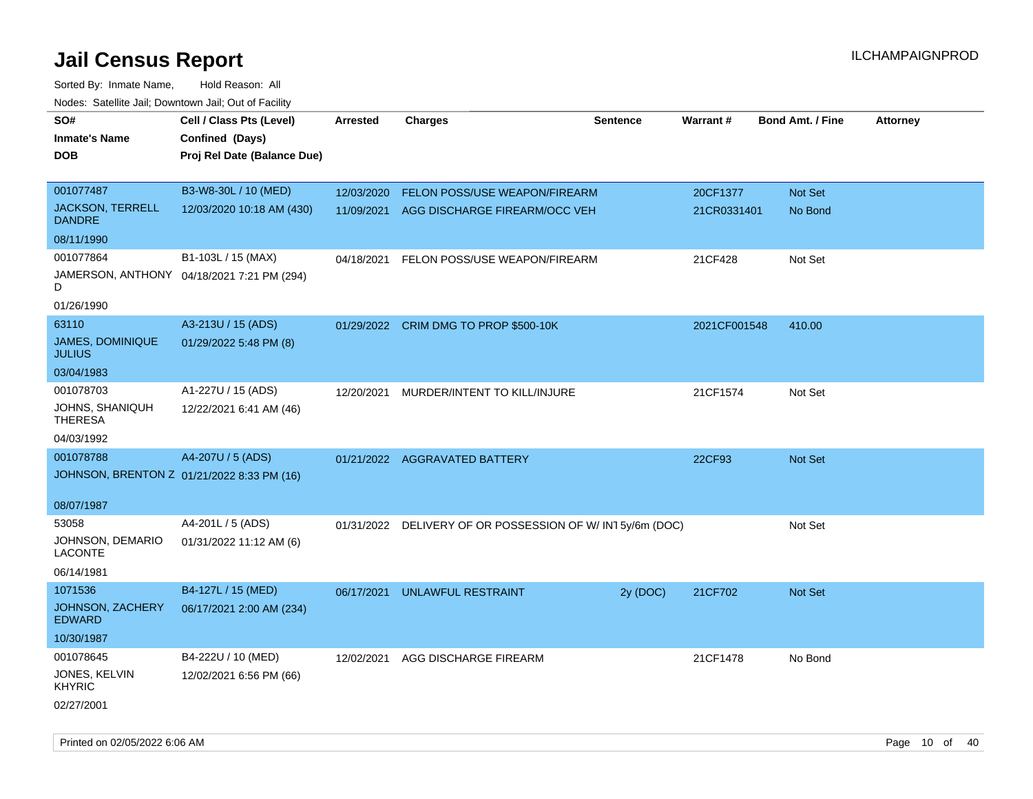| roaco. Oatomto dan, Downtown dan, Oat or Fability |                                            |                 |                                                          |                 |              |                         |                 |
|---------------------------------------------------|--------------------------------------------|-----------------|----------------------------------------------------------|-----------------|--------------|-------------------------|-----------------|
| SO#                                               | Cell / Class Pts (Level)                   | <b>Arrested</b> | <b>Charges</b>                                           | <b>Sentence</b> | Warrant#     | <b>Bond Amt. / Fine</b> | <b>Attorney</b> |
| <b>Inmate's Name</b>                              | Confined (Days)                            |                 |                                                          |                 |              |                         |                 |
| <b>DOB</b>                                        | Proj Rel Date (Balance Due)                |                 |                                                          |                 |              |                         |                 |
|                                                   |                                            |                 |                                                          |                 |              |                         |                 |
| 001077487                                         | B3-W8-30L / 10 (MED)                       | 12/03/2020      | FELON POSS/USE WEAPON/FIREARM                            |                 | 20CF1377     | Not Set                 |                 |
| <b>JACKSON, TERRELL</b><br><b>DANDRE</b>          | 12/03/2020 10:18 AM (430)                  |                 | 11/09/2021 AGG DISCHARGE FIREARM/OCC VEH                 |                 | 21CR0331401  | No Bond                 |                 |
| 08/11/1990                                        |                                            |                 |                                                          |                 |              |                         |                 |
| 001077864                                         | B1-103L / 15 (MAX)                         | 04/18/2021      | FELON POSS/USE WEAPON/FIREARM                            |                 | 21CF428      | Not Set                 |                 |
| D                                                 | JAMERSON, ANTHONY 04/18/2021 7:21 PM (294) |                 |                                                          |                 |              |                         |                 |
| 01/26/1990                                        |                                            |                 |                                                          |                 |              |                         |                 |
| 63110                                             | A3-213U / 15 (ADS)                         |                 | 01/29/2022 CRIM DMG TO PROP \$500-10K                    |                 | 2021CF001548 | 410.00                  |                 |
| <b>JAMES, DOMINIQUE</b><br><b>JULIUS</b>          | 01/29/2022 5:48 PM (8)                     |                 |                                                          |                 |              |                         |                 |
| 03/04/1983                                        |                                            |                 |                                                          |                 |              |                         |                 |
| 001078703                                         | A1-227U / 15 (ADS)                         | 12/20/2021      | MURDER/INTENT TO KILL/INJURE                             |                 | 21CF1574     | Not Set                 |                 |
| JOHNS, SHANIQUH<br><b>THERESA</b>                 | 12/22/2021 6:41 AM (46)                    |                 |                                                          |                 |              |                         |                 |
| 04/03/1992                                        |                                            |                 |                                                          |                 |              |                         |                 |
| 001078788                                         | A4-207U / 5 (ADS)                          |                 | 01/21/2022 AGGRAVATED BATTERY                            |                 | 22CF93       | Not Set                 |                 |
| JOHNSON, BRENTON Z 01/21/2022 8:33 PM (16)        |                                            |                 |                                                          |                 |              |                         |                 |
|                                                   |                                            |                 |                                                          |                 |              |                         |                 |
| 08/07/1987                                        |                                            |                 |                                                          |                 |              |                         |                 |
| 53058                                             | A4-201L / 5 (ADS)                          |                 | 01/31/2022 DELIVERY OF OR POSSESSION OF W/IN15y/6m (DOC) |                 |              | Not Set                 |                 |
| JOHNSON, DEMARIO<br><b>LACONTE</b>                | 01/31/2022 11:12 AM (6)                    |                 |                                                          |                 |              |                         |                 |
| 06/14/1981                                        |                                            |                 |                                                          |                 |              |                         |                 |
| 1071536                                           | B4-127L / 15 (MED)                         | 06/17/2021      | UNLAWFUL RESTRAINT                                       | 2y (DOC)        | 21CF702      | Not Set                 |                 |
| <b>JOHNSON, ZACHERY</b><br><b>EDWARD</b>          | 06/17/2021 2:00 AM (234)                   |                 |                                                          |                 |              |                         |                 |
| 10/30/1987                                        |                                            |                 |                                                          |                 |              |                         |                 |
| 001078645                                         | B4-222U / 10 (MED)                         | 12/02/2021      | AGG DISCHARGE FIREARM                                    |                 | 21CF1478     | No Bond                 |                 |
| JONES, KELVIN<br><b>KHYRIC</b>                    | 12/02/2021 6:56 PM (66)                    |                 |                                                          |                 |              |                         |                 |
| 02/27/2001                                        |                                            |                 |                                                          |                 |              |                         |                 |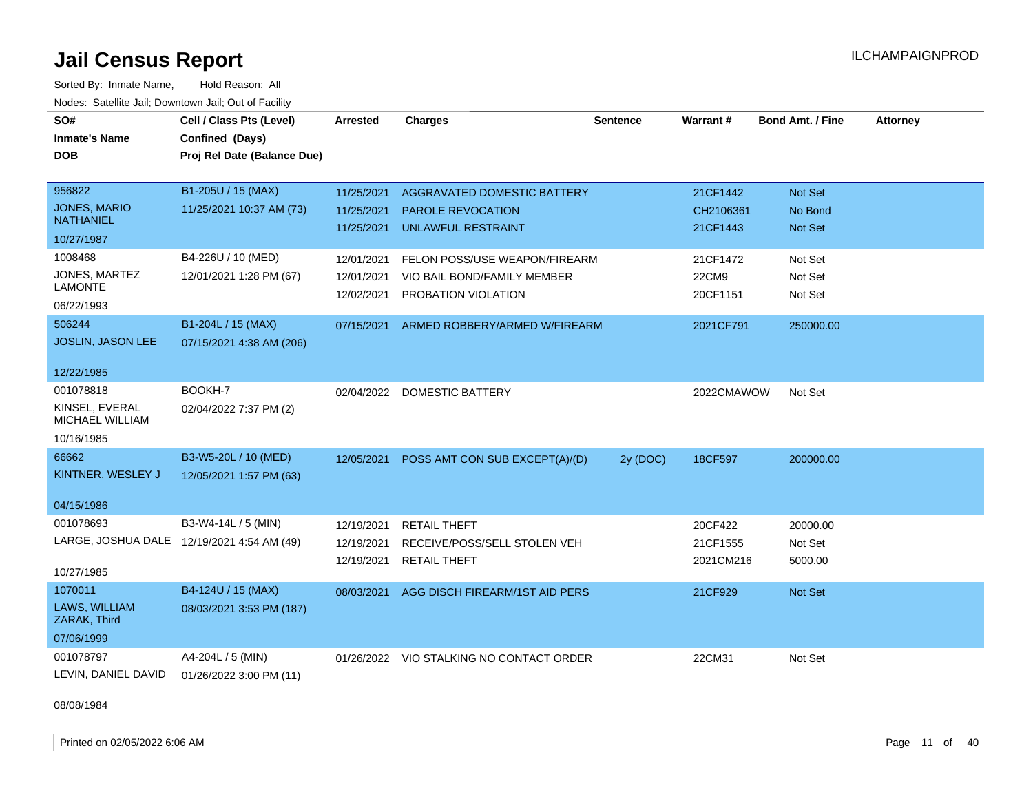Sorted By: Inmate Name, Hold Reason: All Nodes: Satellite Jail; Downtown Jail; Out of Facility

| SO#                                     | Cell / Class Pts (Level)                   | <b>Arrested</b> | <b>Charges</b>                           | <b>Sentence</b> | <b>Warrant#</b> | <b>Bond Amt. / Fine</b> | <b>Attorney</b> |
|-----------------------------------------|--------------------------------------------|-----------------|------------------------------------------|-----------------|-----------------|-------------------------|-----------------|
| <b>Inmate's Name</b>                    | Confined (Days)                            |                 |                                          |                 |                 |                         |                 |
| <b>DOB</b>                              | Proj Rel Date (Balance Due)                |                 |                                          |                 |                 |                         |                 |
|                                         |                                            |                 |                                          |                 |                 |                         |                 |
| 956822                                  | B1-205U / 15 (MAX)                         | 11/25/2021      | AGGRAVATED DOMESTIC BATTERY              |                 | 21CF1442        | Not Set                 |                 |
| <b>JONES, MARIO</b><br><b>NATHANIEL</b> | 11/25/2021 10:37 AM (73)                   | 11/25/2021      | PAROLE REVOCATION                        |                 | CH2106361       | No Bond                 |                 |
| 10/27/1987                              |                                            | 11/25/2021      | <b>UNLAWFUL RESTRAINT</b>                |                 | 21CF1443        | Not Set                 |                 |
| 1008468                                 | B4-226U / 10 (MED)                         | 12/01/2021      | FELON POSS/USE WEAPON/FIREARM            |                 | 21CF1472        | Not Set                 |                 |
| JONES, MARTEZ                           | 12/01/2021 1:28 PM (67)                    | 12/01/2021      | VIO BAIL BOND/FAMILY MEMBER              |                 | 22CM9           | Not Set                 |                 |
| <b>LAMONTE</b>                          |                                            | 12/02/2021      | PROBATION VIOLATION                      |                 | 20CF1151        | Not Set                 |                 |
| 06/22/1993                              |                                            |                 |                                          |                 |                 |                         |                 |
| 506244                                  | B1-204L / 15 (MAX)                         | 07/15/2021      | ARMED ROBBERY/ARMED W/FIREARM            |                 | 2021CF791       | 250000.00               |                 |
| <b>JOSLIN, JASON LEE</b>                | 07/15/2021 4:38 AM (206)                   |                 |                                          |                 |                 |                         |                 |
| 12/22/1985                              |                                            |                 |                                          |                 |                 |                         |                 |
| 001078818                               | BOOKH-7                                    |                 | 02/04/2022 DOMESTIC BATTERY              |                 | 2022CMAWOW      | Not Set                 |                 |
| KINSEL, EVERAL<br>MICHAEL WILLIAM       | 02/04/2022 7:37 PM (2)                     |                 |                                          |                 |                 |                         |                 |
| 10/16/1985                              |                                            |                 |                                          |                 |                 |                         |                 |
| 66662                                   | B3-W5-20L / 10 (MED)                       | 12/05/2021      | POSS AMT CON SUB EXCEPT(A)/(D)           | 2y (DOC)        | 18CF597         | 200000.00               |                 |
| KINTNER, WESLEY J                       | 12/05/2021 1:57 PM (63)                    |                 |                                          |                 |                 |                         |                 |
| 04/15/1986                              |                                            |                 |                                          |                 |                 |                         |                 |
| 001078693                               | B3-W4-14L / 5 (MIN)                        | 12/19/2021      | <b>RETAIL THEFT</b>                      |                 | 20CF422         | 20000.00                |                 |
|                                         | LARGE, JOSHUA DALE 12/19/2021 4:54 AM (49) | 12/19/2021      | RECEIVE/POSS/SELL STOLEN VEH             |                 | 21CF1555        | Not Set                 |                 |
|                                         |                                            | 12/19/2021      | <b>RETAIL THEFT</b>                      |                 | 2021CM216       | 5000.00                 |                 |
| 10/27/1985                              |                                            |                 |                                          |                 |                 |                         |                 |
| 1070011                                 | B4-124U / 15 (MAX)                         | 08/03/2021      | AGG DISCH FIREARM/1ST AID PERS           |                 | 21CF929         | Not Set                 |                 |
| LAWS, WILLIAM<br>ZARAK, Third           | 08/03/2021 3:53 PM (187)                   |                 |                                          |                 |                 |                         |                 |
| 07/06/1999                              |                                            |                 |                                          |                 |                 |                         |                 |
| 001078797                               | A4-204L / 5 (MIN)                          |                 | 01/26/2022 VIO STALKING NO CONTACT ORDER |                 | 22CM31          | Not Set                 |                 |
| LEVIN, DANIEL DAVID                     | 01/26/2022 3:00 PM (11)                    |                 |                                          |                 |                 |                         |                 |

08/08/1984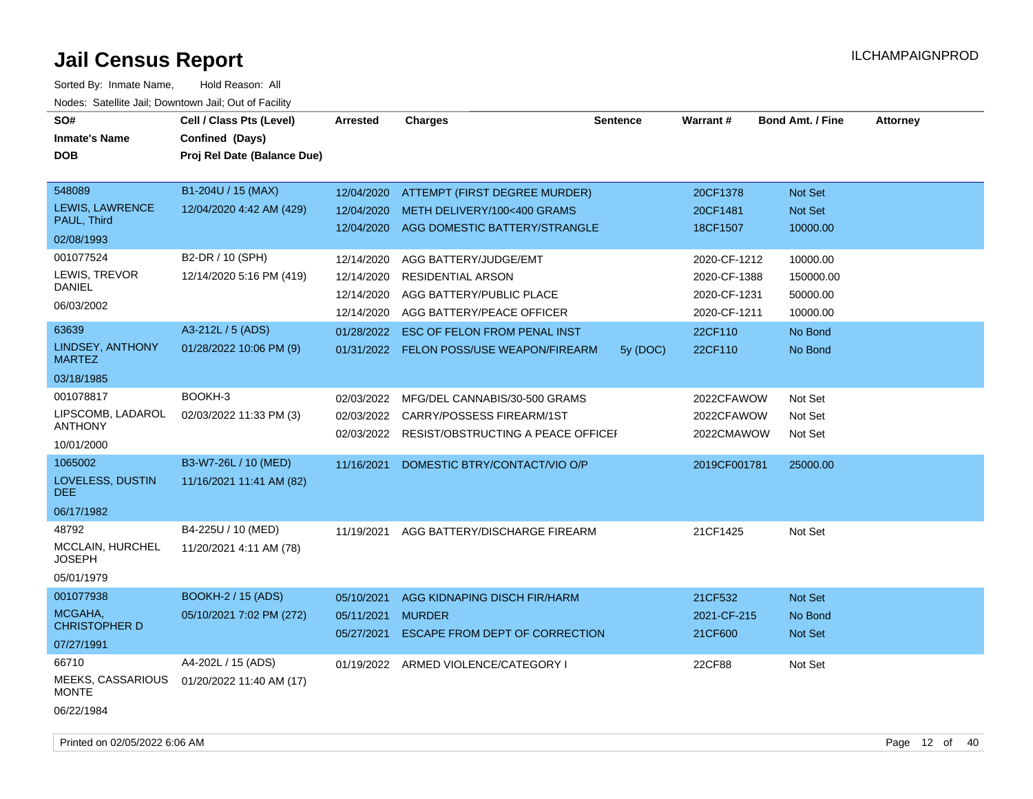| SO#<br><b>Inmate's Name</b><br><b>DOB</b>                          | Cell / Class Pts (Level)<br>Confined (Days)<br>Proj Rel Date (Balance Due) | Arrested                                                           | <b>Charges</b>                                                                                                                                    | <b>Sentence</b> | <b>Warrant#</b>                                                         | <b>Bond Amt. / Fine</b>                                  | <b>Attorney</b> |
|--------------------------------------------------------------------|----------------------------------------------------------------------------|--------------------------------------------------------------------|---------------------------------------------------------------------------------------------------------------------------------------------------|-----------------|-------------------------------------------------------------------------|----------------------------------------------------------|-----------------|
| 548089<br>LEWIS, LAWRENCE<br>PAUL, Third<br>02/08/1993             | B1-204U / 15 (MAX)<br>12/04/2020 4:42 AM (429)                             | 12/04/2020<br>12/04/2020<br>12/04/2020                             | ATTEMPT (FIRST DEGREE MURDER)<br>METH DELIVERY/100<400 GRAMS<br>AGG DOMESTIC BATTERY/STRANGLE                                                     |                 | 20CF1378<br>20CF1481<br>18CF1507                                        | Not Set<br>Not Set<br>10000.00                           |                 |
| 001077524<br>LEWIS, TREVOR<br><b>DANIEL</b><br>06/03/2002<br>63639 | B2-DR / 10 (SPH)<br>12/14/2020 5:16 PM (419)<br>A3-212L / 5 (ADS)          | 12/14/2020<br>12/14/2020<br>12/14/2020<br>12/14/2020<br>01/28/2022 | AGG BATTERY/JUDGE/EMT<br><b>RESIDENTIAL ARSON</b><br>AGG BATTERY/PUBLIC PLACE<br>AGG BATTERY/PEACE OFFICER<br><b>ESC OF FELON FROM PENAL INST</b> |                 | 2020-CF-1212<br>2020-CF-1388<br>2020-CF-1231<br>2020-CF-1211<br>22CF110 | 10000.00<br>150000.00<br>50000.00<br>10000.00<br>No Bond |                 |
| LINDSEY, ANTHONY<br><b>MARTEZ</b><br>03/18/1985                    | 01/28/2022 10:06 PM (9)                                                    |                                                                    | 01/31/2022 FELON POSS/USE WEAPON/FIREARM                                                                                                          | 5y (DOC)        | 22CF110                                                                 | No Bond                                                  |                 |
| 001078817<br>LIPSCOMB, LADAROL<br><b>ANTHONY</b><br>10/01/2000     | BOOKH-3<br>02/03/2022 11:33 PM (3)                                         | 02/03/2022<br>02/03/2022                                           | MFG/DEL CANNABIS/30-500 GRAMS<br>CARRY/POSSESS FIREARM/1ST<br>02/03/2022 RESIST/OBSTRUCTING A PEACE OFFICEF                                       |                 | 2022CFAWOW<br>2022CFAWOW<br>2022CMAWOW                                  | Not Set<br>Not Set<br>Not Set                            |                 |
| 1065002<br>LOVELESS, DUSTIN<br>DEE.<br>06/17/1982                  | B3-W7-26L / 10 (MED)<br>11/16/2021 11:41 AM (82)                           | 11/16/2021                                                         | DOMESTIC BTRY/CONTACT/VIO O/P                                                                                                                     |                 | 2019CF001781                                                            | 25000.00                                                 |                 |
| 48792<br>MCCLAIN, HURCHEL<br><b>JOSEPH</b><br>05/01/1979           | B4-225U / 10 (MED)<br>11/20/2021 4:11 AM (78)                              | 11/19/2021                                                         | AGG BATTERY/DISCHARGE FIREARM                                                                                                                     |                 | 21CF1425                                                                | Not Set                                                  |                 |
| 001077938<br>MCGAHA,<br><b>CHRISTOPHER D</b><br>07/27/1991         | <b>BOOKH-2 / 15 (ADS)</b><br>05/10/2021 7:02 PM (272)                      | 05/10/2021<br>05/11/2021<br>05/27/2021                             | AGG KIDNAPING DISCH FIR/HARM<br><b>MURDER</b><br>ESCAPE FROM DEPT OF CORRECTION                                                                   |                 | 21CF532<br>2021-CF-215<br>21CF600                                       | <b>Not Set</b><br>No Bond<br>Not Set                     |                 |
| 66710<br>MEEKS, CASSARIOUS<br><b>MONTE</b><br>06/22/1984           | A4-202L / 15 (ADS)<br>01/20/2022 11:40 AM (17)                             |                                                                    | 01/19/2022 ARMED VIOLENCE/CATEGORY I                                                                                                              |                 | 22CF88                                                                  | Not Set                                                  |                 |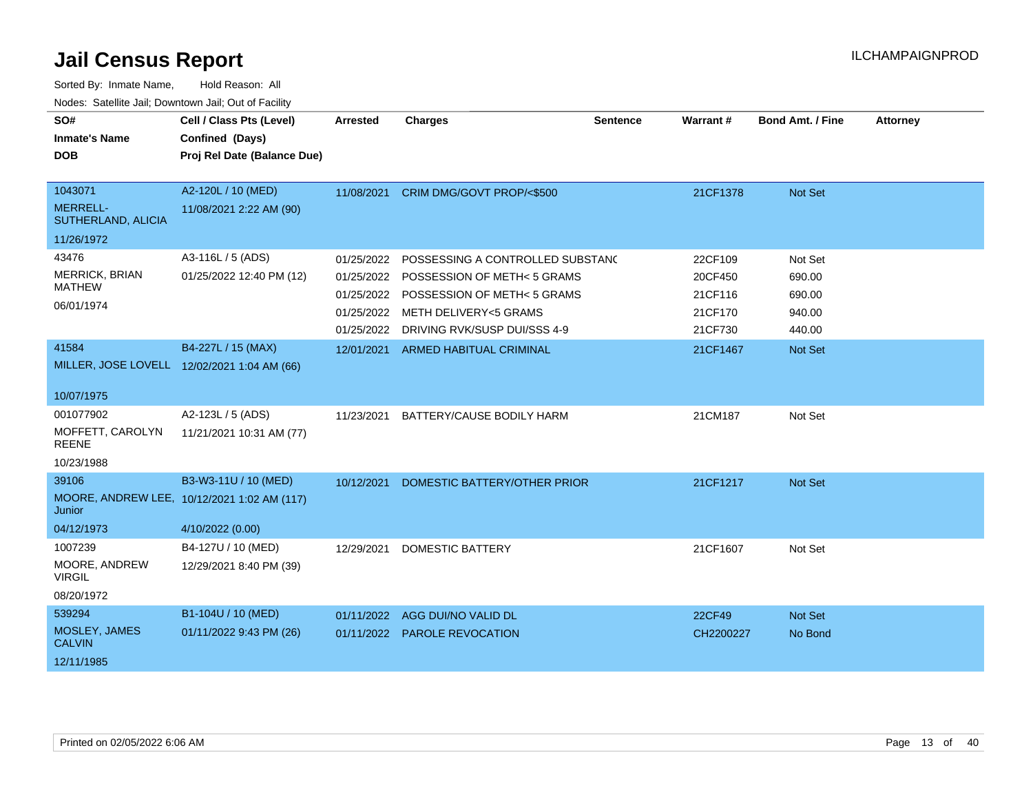| SO#<br><b>Inmate's Name</b><br><b>DOB</b> | Cell / Class Pts (Level)<br>Confined (Days)<br>Proj Rel Date (Balance Due) | <b>Arrested</b> | <b>Charges</b>                   | <b>Sentence</b> | Warrant # | Bond Amt. / Fine | <b>Attorney</b> |
|-------------------------------------------|----------------------------------------------------------------------------|-----------------|----------------------------------|-----------------|-----------|------------------|-----------------|
|                                           |                                                                            |                 |                                  |                 |           |                  |                 |
| 1043071                                   | A2-120L / 10 (MED)                                                         | 11/08/2021      | CRIM DMG/GOVT PROP/<\$500        |                 | 21CF1378  | Not Set          |                 |
| <b>MERRELL-</b><br>SUTHERLAND, ALICIA     | 11/08/2021 2:22 AM (90)                                                    |                 |                                  |                 |           |                  |                 |
| 11/26/1972                                |                                                                            |                 |                                  |                 |           |                  |                 |
| 43476                                     | A3-116L / 5 (ADS)                                                          | 01/25/2022      | POSSESSING A CONTROLLED SUBSTANC |                 | 22CF109   | Not Set          |                 |
| <b>MERRICK, BRIAN</b>                     | 01/25/2022 12:40 PM (12)                                                   | 01/25/2022      | POSSESSION OF METH< 5 GRAMS      |                 | 20CF450   | 690.00           |                 |
| <b>MATHEW</b>                             |                                                                            | 01/25/2022      | POSSESSION OF METH< 5 GRAMS      |                 | 21CF116   | 690.00           |                 |
| 06/01/1974                                |                                                                            | 01/25/2022      | METH DELIVERY<5 GRAMS            |                 | 21CF170   | 940.00           |                 |
|                                           |                                                                            | 01/25/2022      | DRIVING RVK/SUSP DUI/SSS 4-9     |                 | 21CF730   | 440.00           |                 |
| 41584                                     | B4-227L / 15 (MAX)                                                         | 12/01/2021      | ARMED HABITUAL CRIMINAL          |                 | 21CF1467  | Not Set          |                 |
|                                           | MILLER, JOSE LOVELL 12/02/2021 1:04 AM (66)                                |                 |                                  |                 |           |                  |                 |
| 10/07/1975                                |                                                                            |                 |                                  |                 |           |                  |                 |
| 001077902                                 | A2-123L / 5 (ADS)                                                          | 11/23/2021      | BATTERY/CAUSE BODILY HARM        |                 | 21CM187   | Not Set          |                 |
| MOFFETT, CAROLYN<br><b>REENE</b>          | 11/21/2021 10:31 AM (77)                                                   |                 |                                  |                 |           |                  |                 |
| 10/23/1988                                |                                                                            |                 |                                  |                 |           |                  |                 |
| 39106                                     | B3-W3-11U / 10 (MED)                                                       | 10/12/2021      | DOMESTIC BATTERY/OTHER PRIOR     |                 | 21CF1217  | Not Set          |                 |
| Junior                                    | MOORE, ANDREW LEE, 10/12/2021 1:02 AM (117)                                |                 |                                  |                 |           |                  |                 |
| 04/12/1973                                | 4/10/2022 (0.00)                                                           |                 |                                  |                 |           |                  |                 |
| 1007239                                   | B4-127U / 10 (MED)                                                         | 12/29/2021      | <b>DOMESTIC BATTERY</b>          |                 | 21CF1607  | Not Set          |                 |
| MOORE, ANDREW<br><b>VIRGIL</b>            | 12/29/2021 8:40 PM (39)                                                    |                 |                                  |                 |           |                  |                 |
| 08/20/1972                                |                                                                            |                 |                                  |                 |           |                  |                 |
| 539294                                    | B1-104U / 10 (MED)                                                         | 01/11/2022      | AGG DUI/NO VALID DL              |                 | 22CF49    | Not Set          |                 |
| MOSLEY, JAMES<br><b>CALVIN</b>            | 01/11/2022 9:43 PM (26)                                                    |                 | 01/11/2022 PAROLE REVOCATION     |                 | CH2200227 | No Bond          |                 |
| 12/11/1985                                |                                                                            |                 |                                  |                 |           |                  |                 |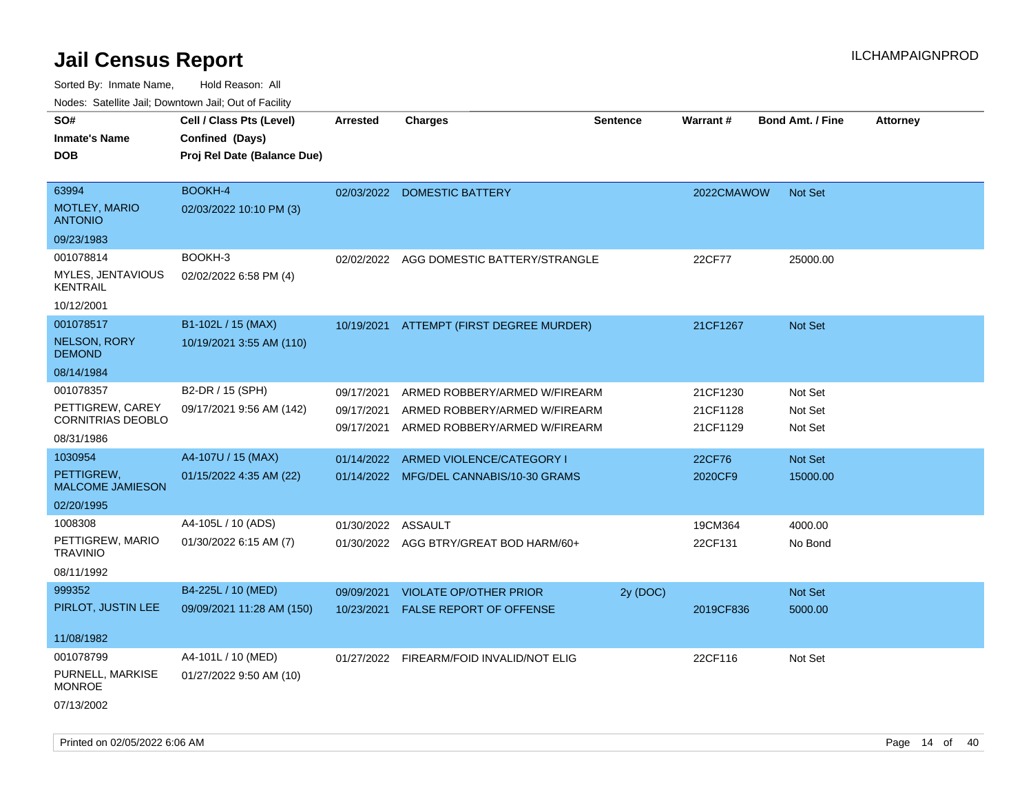| vouco. Catolino cali, Downtown cali, Out of Facility |                             |                    |                                          |                 |            |                         |                 |
|------------------------------------------------------|-----------------------------|--------------------|------------------------------------------|-----------------|------------|-------------------------|-----------------|
| SO#                                                  | Cell / Class Pts (Level)    | <b>Arrested</b>    | <b>Charges</b>                           | <b>Sentence</b> | Warrant#   | <b>Bond Amt. / Fine</b> | <b>Attorney</b> |
| Inmate's Name                                        | Confined (Days)             |                    |                                          |                 |            |                         |                 |
| DOB                                                  | Proj Rel Date (Balance Due) |                    |                                          |                 |            |                         |                 |
|                                                      |                             |                    |                                          |                 |            |                         |                 |
| 63994                                                | BOOKH-4                     |                    | 02/03/2022 DOMESTIC BATTERY              |                 | 2022CMAWOW | <b>Not Set</b>          |                 |
| <b>MOTLEY, MARIO</b><br><b>ANTONIO</b>               | 02/03/2022 10:10 PM (3)     |                    |                                          |                 |            |                         |                 |
| 09/23/1983                                           |                             |                    |                                          |                 |            |                         |                 |
| 001078814                                            | BOOKH-3                     |                    | 02/02/2022 AGG DOMESTIC BATTERY/STRANGLE |                 | 22CF77     | 25000.00                |                 |
| MYLES, JENTAVIOUS<br><b>KENTRAIL</b>                 | 02/02/2022 6:58 PM (4)      |                    |                                          |                 |            |                         |                 |
| 10/12/2001                                           |                             |                    |                                          |                 |            |                         |                 |
| 001078517                                            | B1-102L / 15 (MAX)          | 10/19/2021         | ATTEMPT (FIRST DEGREE MURDER)            |                 | 21CF1267   | <b>Not Set</b>          |                 |
| <b>NELSON, RORY</b><br><b>DEMOND</b>                 | 10/19/2021 3:55 AM (110)    |                    |                                          |                 |            |                         |                 |
| 08/14/1984                                           |                             |                    |                                          |                 |            |                         |                 |
| 001078357                                            | B2-DR / 15 (SPH)            | 09/17/2021         | ARMED ROBBERY/ARMED W/FIREARM            |                 | 21CF1230   | Not Set                 |                 |
| PETTIGREW, CAREY<br><b>CORNITRIAS DEOBLO</b>         | 09/17/2021 9:56 AM (142)    | 09/17/2021         | ARMED ROBBERY/ARMED W/FIREARM            |                 | 21CF1128   | Not Set                 |                 |
| 08/31/1986                                           |                             | 09/17/2021         | ARMED ROBBERY/ARMED W/FIREARM            |                 | 21CF1129   | Not Set                 |                 |
| 1030954                                              | A4-107U / 15 (MAX)          | 01/14/2022         | ARMED VIOLENCE/CATEGORY I                |                 | 22CF76     | <b>Not Set</b>          |                 |
| PETTIGREW,<br><b>MALCOME JAMIESON</b>                | 01/15/2022 4:35 AM (22)     |                    | 01/14/2022 MFG/DEL CANNABIS/10-30 GRAMS  |                 | 2020CF9    | 15000.00                |                 |
| 02/20/1995                                           |                             |                    |                                          |                 |            |                         |                 |
| 1008308                                              | A4-105L / 10 (ADS)          |                    |                                          |                 |            |                         |                 |
| PETTIGREW, MARIO                                     |                             | 01/30/2022 ASSAULT |                                          |                 | 19CM364    | 4000.00                 |                 |
| <b>TRAVINIO</b>                                      | 01/30/2022 6:15 AM (7)      |                    | 01/30/2022 AGG BTRY/GREAT BOD HARM/60+   |                 | 22CF131    | No Bond                 |                 |
| 08/11/1992                                           |                             |                    |                                          |                 |            |                         |                 |
| 999352                                               | B4-225L / 10 (MED)          | 09/09/2021         | <b>VIOLATE OP/OTHER PRIOR</b>            | 2y (DOC)        |            | Not Set                 |                 |
| PIRLOT, JUSTIN LEE                                   | 09/09/2021 11:28 AM (150)   | 10/23/2021         | FALSE REPORT OF OFFENSE                  |                 | 2019CF836  | 5000.00                 |                 |
|                                                      |                             |                    |                                          |                 |            |                         |                 |
| 11/08/1982                                           |                             |                    |                                          |                 |            |                         |                 |
| 001078799                                            | A4-101L / 10 (MED)          |                    | 01/27/2022 FIREARM/FOID INVALID/NOT ELIG |                 | 22CF116    | Not Set                 |                 |
| PURNELL, MARKISE<br><b>MONROE</b>                    | 01/27/2022 9:50 AM (10)     |                    |                                          |                 |            |                         |                 |
| 07/13/2002                                           |                             |                    |                                          |                 |            |                         |                 |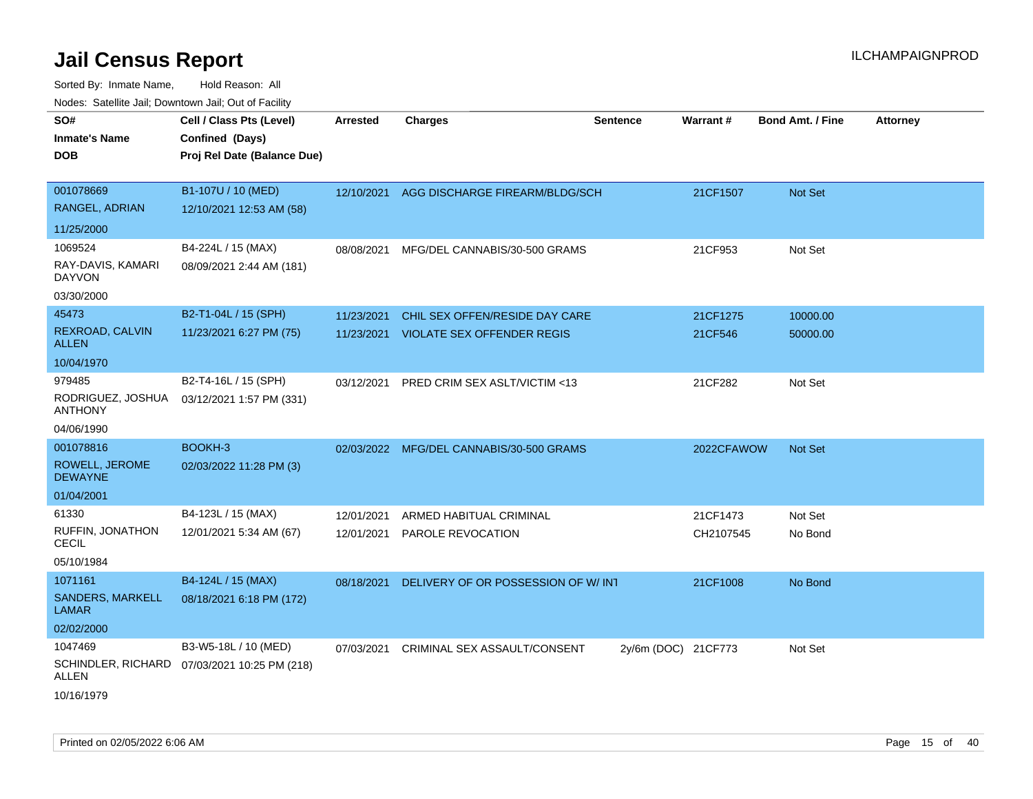| roaco. Calcinio dan, Domnomi dan, Cal or Fability                  |                                                                            |                          |                                                                         |                     |                       |                         |                 |
|--------------------------------------------------------------------|----------------------------------------------------------------------------|--------------------------|-------------------------------------------------------------------------|---------------------|-----------------------|-------------------------|-----------------|
| SO#<br>Inmate's Name<br>DOB                                        | Cell / Class Pts (Level)<br>Confined (Days)<br>Proj Rel Date (Balance Due) | Arrested                 | <b>Charges</b>                                                          | <b>Sentence</b>     | <b>Warrant#</b>       | <b>Bond Amt. / Fine</b> | <b>Attorney</b> |
| 001078669<br>RANGEL, ADRIAN                                        | B1-107U / 10 (MED)<br>12/10/2021 12:53 AM (58)                             |                          | 12/10/2021 AGG DISCHARGE FIREARM/BLDG/SCH                               |                     | 21CF1507              | <b>Not Set</b>          |                 |
| 11/25/2000<br>1069524<br>RAY-DAVIS, KAMARI<br>DAYVON<br>03/30/2000 | B4-224L / 15 (MAX)<br>08/09/2021 2:44 AM (181)                             | 08/08/2021               | MFG/DEL CANNABIS/30-500 GRAMS                                           |                     | 21CF953               | Not Set                 |                 |
| 45473<br>REXROAD, CALVIN<br>ALLEN<br>10/04/1970                    | B2-T1-04L / 15 (SPH)<br>11/23/2021 6:27 PM (75)                            | 11/23/2021               | CHIL SEX OFFEN/RESIDE DAY CARE<br>11/23/2021 VIOLATE SEX OFFENDER REGIS |                     | 21CF1275<br>21CF546   | 10000.00<br>50000.00    |                 |
| 979485<br>RODRIGUEZ, JOSHUA<br>ANTHONY<br>04/06/1990               | B2-T4-16L / 15 (SPH)<br>03/12/2021 1:57 PM (331)                           | 03/12/2021               | PRED CRIM SEX ASLT/VICTIM <13                                           |                     | 21CF282               | Not Set                 |                 |
| 001078816<br>ROWELL, JEROME<br><b>DEWAYNE</b><br>01/04/2001        | BOOKH-3<br>02/03/2022 11:28 PM (3)                                         |                          | 02/03/2022 MFG/DEL CANNABIS/30-500 GRAMS                                |                     | 2022CFAWOW            | <b>Not Set</b>          |                 |
| 61330<br>RUFFIN, JONATHON<br>CECIL<br>05/10/1984                   | B4-123L / 15 (MAX)<br>12/01/2021 5:34 AM (67)                              | 12/01/2021<br>12/01/2021 | ARMED HABITUAL CRIMINAL<br>PAROLE REVOCATION                            |                     | 21CF1473<br>CH2107545 | Not Set<br>No Bond      |                 |
| 1071161<br>SANDERS, MARKELL<br>LAMAR<br>02/02/2000                 | B4-124L / 15 (MAX)<br>08/18/2021 6:18 PM (172)                             | 08/18/2021               | DELIVERY OF OR POSSESSION OF W/INT                                      |                     | 21CF1008              | No Bond                 |                 |
| 1047469<br>ALLEN<br>10/16/1979                                     | B3-W5-18L / 10 (MED)<br>SCHINDLER, RICHARD 07/03/2021 10:25 PM (218)       | 07/03/2021               | CRIMINAL SEX ASSAULT/CONSENT                                            | 2y/6m (DOC) 21CF773 |                       | Not Set                 |                 |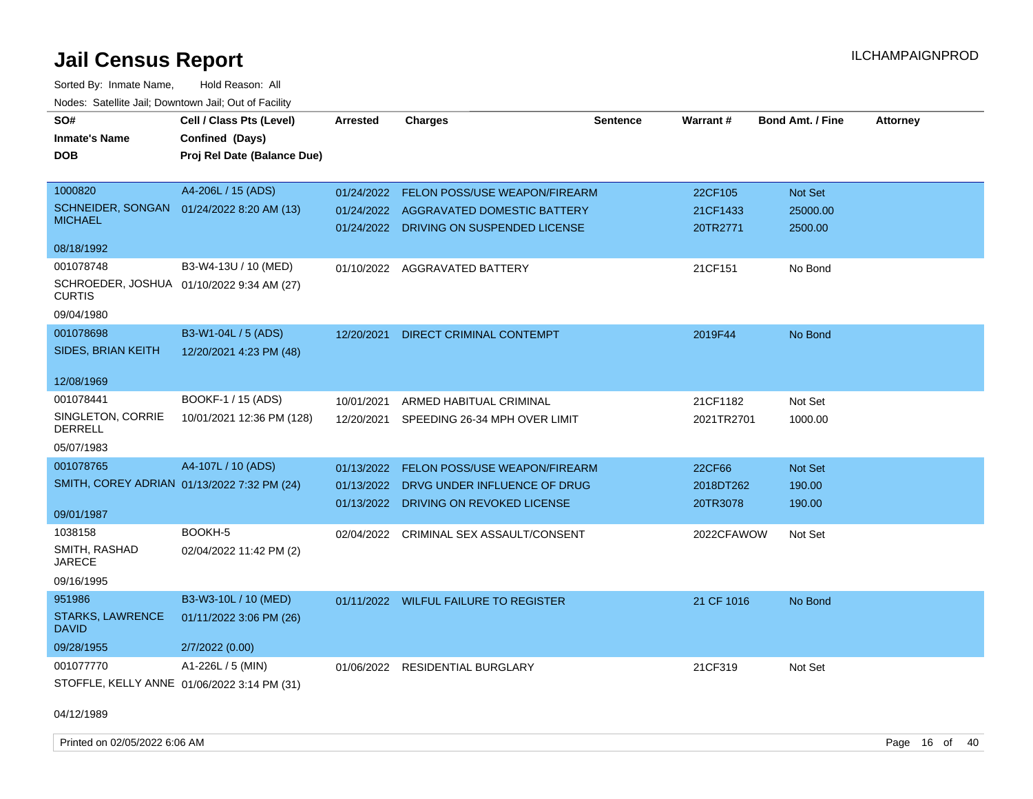Sorted By: Inmate Name, Hold Reason: All Nodes: Satellite Jail; Downtown Jail; Out of Facility

| SO#<br><b>Inmate's Name</b><br><b>DOB</b> | Cell / Class Pts (Level)<br>Confined (Days)<br>Proj Rel Date (Balance Due) | <b>Arrested</b> | <b>Charges</b>                           | <b>Sentence</b> | Warrant #  | <b>Bond Amt. / Fine</b> | <b>Attorney</b> |
|-------------------------------------------|----------------------------------------------------------------------------|-----------------|------------------------------------------|-----------------|------------|-------------------------|-----------------|
|                                           |                                                                            |                 |                                          |                 |            |                         |                 |
| 1000820                                   | A4-206L / 15 (ADS)                                                         | 01/24/2022      | FELON POSS/USE WEAPON/FIREARM            |                 | 22CF105    | Not Set                 |                 |
| SCHNEIDER, SONGAN<br><b>MICHAEL</b>       | 01/24/2022 8:20 AM (13)                                                    |                 | 01/24/2022 AGGRAVATED DOMESTIC BATTERY   |                 | 21CF1433   | 25000.00                |                 |
|                                           |                                                                            |                 | 01/24/2022 DRIVING ON SUSPENDED LICENSE  |                 | 20TR2771   | 2500.00                 |                 |
| 08/18/1992                                |                                                                            |                 |                                          |                 |            |                         |                 |
| 001078748                                 | B3-W4-13U / 10 (MED)                                                       |                 | 01/10/2022 AGGRAVATED BATTERY            |                 | 21CF151    | No Bond                 |                 |
| <b>CURTIS</b>                             | SCHROEDER, JOSHUA 01/10/2022 9:34 AM (27)                                  |                 |                                          |                 |            |                         |                 |
| 09/04/1980                                |                                                                            |                 |                                          |                 |            |                         |                 |
| 001078698                                 | B3-W1-04L / 5 (ADS)                                                        | 12/20/2021      | DIRECT CRIMINAL CONTEMPT                 |                 | 2019F44    | No Bond                 |                 |
| SIDES, BRIAN KEITH                        | 12/20/2021 4:23 PM (48)                                                    |                 |                                          |                 |            |                         |                 |
| 12/08/1969                                |                                                                            |                 |                                          |                 |            |                         |                 |
| 001078441                                 | BOOKF-1 / 15 (ADS)                                                         | 10/01/2021      | ARMED HABITUAL CRIMINAL                  |                 | 21CF1182   | Not Set                 |                 |
| SINGLETON, CORRIE<br><b>DERRELL</b>       | 10/01/2021 12:36 PM (128)                                                  |                 | 12/20/2021 SPEEDING 26-34 MPH OVER LIMIT |                 | 2021TR2701 | 1000.00                 |                 |
| 05/07/1983                                |                                                                            |                 |                                          |                 |            |                         |                 |
| 001078765                                 | A4-107L / 10 (ADS)                                                         | 01/13/2022      | FELON POSS/USE WEAPON/FIREARM            |                 | 22CF66     | Not Set                 |                 |
|                                           | SMITH, COREY ADRIAN 01/13/2022 7:32 PM (24)                                | 01/13/2022      | DRVG UNDER INFLUENCE OF DRUG             |                 | 2018DT262  | 190.00                  |                 |
|                                           |                                                                            | 01/13/2022      | DRIVING ON REVOKED LICENSE               |                 | 20TR3078   | 190.00                  |                 |
| 09/01/1987                                |                                                                            |                 |                                          |                 |            |                         |                 |
| 1038158                                   | BOOKH-5                                                                    |                 | 02/04/2022 CRIMINAL SEX ASSAULT/CONSENT  |                 | 2022CFAWOW | Not Set                 |                 |
| SMITH, RASHAD<br><b>JARECE</b>            | 02/04/2022 11:42 PM (2)                                                    |                 |                                          |                 |            |                         |                 |
| 09/16/1995                                |                                                                            |                 |                                          |                 |            |                         |                 |
| 951986                                    | B3-W3-10L / 10 (MED)                                                       |                 | 01/11/2022 WILFUL FAILURE TO REGISTER    |                 | 21 CF 1016 | No Bond                 |                 |
| <b>STARKS, LAWRENCE</b><br><b>DAVID</b>   | 01/11/2022 3:06 PM (26)                                                    |                 |                                          |                 |            |                         |                 |
| 09/28/1955                                | 2/7/2022 (0.00)                                                            |                 |                                          |                 |            |                         |                 |
| 001077770                                 | A1-226L / 5 (MIN)                                                          |                 | 01/06/2022 RESIDENTIAL BURGLARY          |                 | 21CF319    | Not Set                 |                 |
|                                           | STOFFLE, KELLY ANNE 01/06/2022 3:14 PM (31)                                |                 |                                          |                 |            |                         |                 |

04/12/1989

Printed on 02/05/2022 6:06 AM Page 16 of 40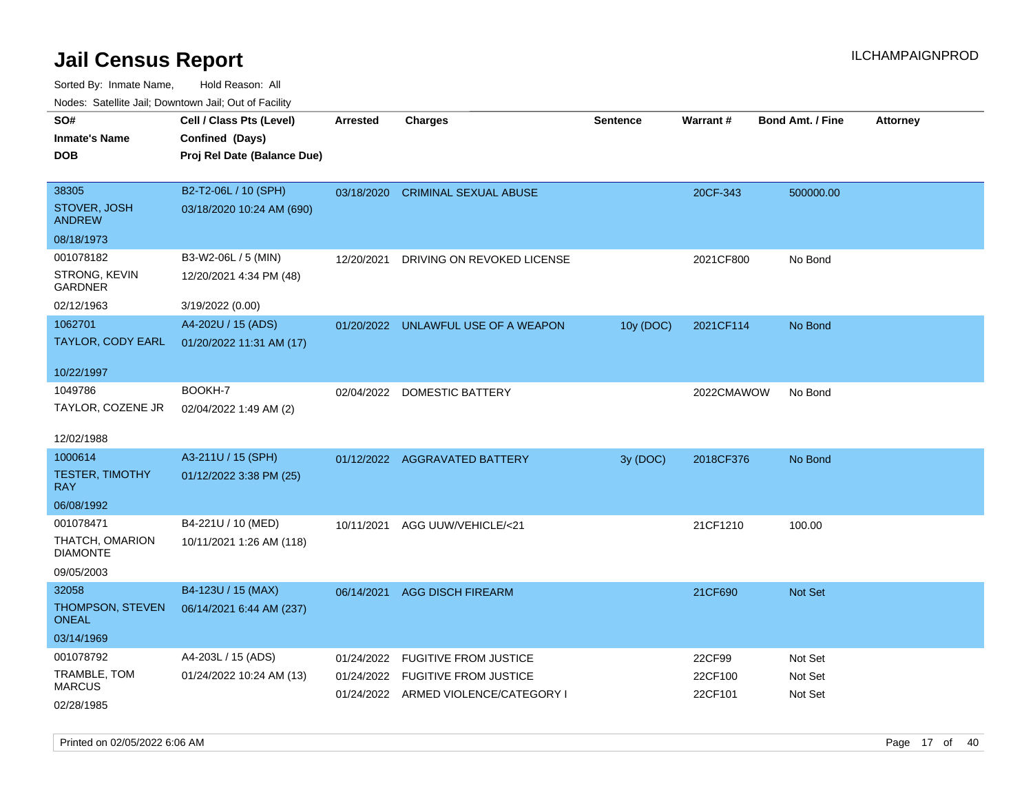| <b>NOULD:</b> Cutomto buil, Downtown buil, Out of Fability |                             |            |                                      |                 |            |                         |                 |
|------------------------------------------------------------|-----------------------------|------------|--------------------------------------|-----------------|------------|-------------------------|-----------------|
| SO#                                                        | Cell / Class Pts (Level)    | Arrested   | Charges                              | <b>Sentence</b> | Warrant#   | <b>Bond Amt. / Fine</b> | <b>Attorney</b> |
| <b>Inmate's Name</b>                                       | Confined (Days)             |            |                                      |                 |            |                         |                 |
| <b>DOB</b>                                                 | Proj Rel Date (Balance Due) |            |                                      |                 |            |                         |                 |
|                                                            |                             |            |                                      |                 |            |                         |                 |
| 38305                                                      | B2-T2-06L / 10 (SPH)        |            | 03/18/2020 CRIMINAL SEXUAL ABUSE     |                 | 20CF-343   | 500000.00               |                 |
| STOVER, JOSH<br><b>ANDREW</b>                              | 03/18/2020 10:24 AM (690)   |            |                                      |                 |            |                         |                 |
| 08/18/1973                                                 |                             |            |                                      |                 |            |                         |                 |
| 001078182                                                  | B3-W2-06L / 5 (MIN)         | 12/20/2021 | DRIVING ON REVOKED LICENSE           |                 | 2021CF800  | No Bond                 |                 |
| STRONG, KEVIN<br><b>GARDNER</b>                            | 12/20/2021 4:34 PM (48)     |            |                                      |                 |            |                         |                 |
| 02/12/1963                                                 | 3/19/2022 (0.00)            |            |                                      |                 |            |                         |                 |
| 1062701                                                    | A4-202U / 15 (ADS)          |            | 01/20/2022 UNLAWFUL USE OF A WEAPON  | 10y (DOC)       | 2021CF114  | No Bond                 |                 |
| TAYLOR, CODY EARL                                          | 01/20/2022 11:31 AM (17)    |            |                                      |                 |            |                         |                 |
|                                                            |                             |            |                                      |                 |            |                         |                 |
| 10/22/1997                                                 |                             |            |                                      |                 |            |                         |                 |
| 1049786                                                    | BOOKH-7                     |            | 02/04/2022 DOMESTIC BATTERY          |                 | 2022CMAWOW | No Bond                 |                 |
| TAYLOR, COZENE JR                                          | 02/04/2022 1:49 AM (2)      |            |                                      |                 |            |                         |                 |
|                                                            |                             |            |                                      |                 |            |                         |                 |
| 12/02/1988                                                 |                             |            |                                      |                 |            |                         |                 |
| 1000614                                                    | A3-211U / 15 (SPH)          |            | 01/12/2022 AGGRAVATED BATTERY        | 3y (DOC)        | 2018CF376  | No Bond                 |                 |
| <b>TESTER, TIMOTHY</b><br><b>RAY</b>                       | 01/12/2022 3:38 PM (25)     |            |                                      |                 |            |                         |                 |
| 06/08/1992                                                 |                             |            |                                      |                 |            |                         |                 |
| 001078471                                                  | B4-221U / 10 (MED)          | 10/11/2021 | AGG UUW/VEHICLE/<21                  |                 | 21CF1210   | 100.00                  |                 |
| THATCH, OMARION<br><b>DIAMONTE</b>                         | 10/11/2021 1:26 AM (118)    |            |                                      |                 |            |                         |                 |
| 09/05/2003                                                 |                             |            |                                      |                 |            |                         |                 |
| 32058                                                      | B4-123U / 15 (MAX)          | 06/14/2021 | <b>AGG DISCH FIREARM</b>             |                 | 21CF690    | Not Set                 |                 |
| THOMPSON, STEVEN<br><b>ONEAL</b>                           | 06/14/2021 6:44 AM (237)    |            |                                      |                 |            |                         |                 |
| 03/14/1969                                                 |                             |            |                                      |                 |            |                         |                 |
| 001078792                                                  | A4-203L / 15 (ADS)          | 01/24/2022 | <b>FUGITIVE FROM JUSTICE</b>         |                 | 22CF99     | Not Set                 |                 |
| TRAMBLE, TOM                                               | 01/24/2022 10:24 AM (13)    | 01/24/2022 | <b>FUGITIVE FROM JUSTICE</b>         |                 | 22CF100    | Not Set                 |                 |
| <b>MARCUS</b>                                              |                             |            | 01/24/2022 ARMED VIOLENCE/CATEGORY I |                 | 22CF101    | Not Set                 |                 |
| 02/28/1985                                                 |                             |            |                                      |                 |            |                         |                 |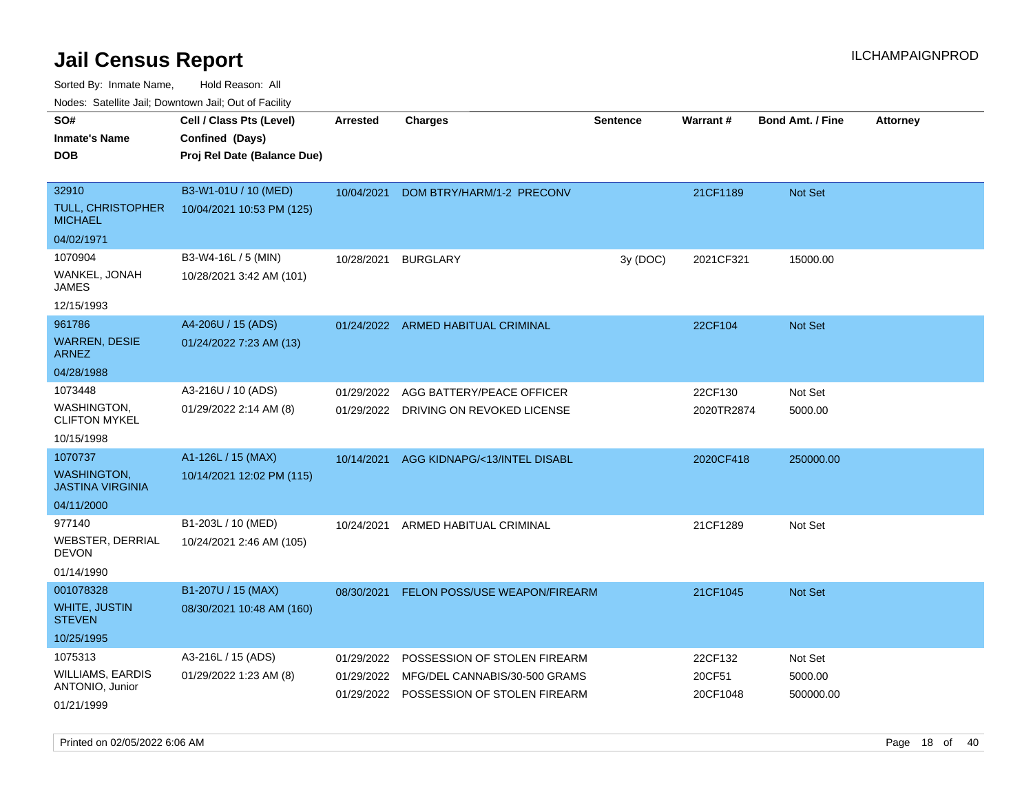Sorted By: Inmate Name, Hold Reason: All

Nodes: Satellite Jail; Downtown Jail; Out of Facility

| roaco. Oatomto dan, Downtown dan, Oat or Fability |                             |            |                                         |          |            |                         |                 |
|---------------------------------------------------|-----------------------------|------------|-----------------------------------------|----------|------------|-------------------------|-----------------|
| SO#                                               | Cell / Class Pts (Level)    | Arrested   | <b>Charges</b>                          | Sentence | Warrant#   | <b>Bond Amt. / Fine</b> | <b>Attorney</b> |
| <b>Inmate's Name</b>                              | Confined (Days)             |            |                                         |          |            |                         |                 |
| <b>DOB</b>                                        | Proj Rel Date (Balance Due) |            |                                         |          |            |                         |                 |
|                                                   |                             |            |                                         |          |            |                         |                 |
| 32910                                             | B3-W1-01U / 10 (MED)        | 10/04/2021 | DOM BTRY/HARM/1-2 PRECONV               |          | 21CF1189   | Not Set                 |                 |
| TULL, CHRISTOPHER<br><b>MICHAEL</b>               | 10/04/2021 10:53 PM (125)   |            |                                         |          |            |                         |                 |
| 04/02/1971                                        |                             |            |                                         |          |            |                         |                 |
| 1070904                                           | B3-W4-16L / 5 (MIN)         | 10/28/2021 | <b>BURGLARY</b>                         | 3y (DOC) | 2021CF321  | 15000.00                |                 |
| WANKEL, JONAH<br><b>JAMES</b>                     | 10/28/2021 3:42 AM (101)    |            |                                         |          |            |                         |                 |
| 12/15/1993                                        |                             |            |                                         |          |            |                         |                 |
| 961786                                            | A4-206U / 15 (ADS)          |            | 01/24/2022 ARMED HABITUAL CRIMINAL      |          | 22CF104    | Not Set                 |                 |
| <b>WARREN, DESIE</b><br><b>ARNEZ</b>              | 01/24/2022 7:23 AM (13)     |            |                                         |          |            |                         |                 |
| 04/28/1988                                        |                             |            |                                         |          |            |                         |                 |
| 1073448                                           | A3-216U / 10 (ADS)          | 01/29/2022 | AGG BATTERY/PEACE OFFICER               |          | 22CF130    | Not Set                 |                 |
| <b>WASHINGTON,</b><br><b>CLIFTON MYKEL</b>        | 01/29/2022 2:14 AM (8)      |            | 01/29/2022 DRIVING ON REVOKED LICENSE   |          | 2020TR2874 | 5000.00                 |                 |
| 10/15/1998                                        |                             |            |                                         |          |            |                         |                 |
| 1070737                                           | A1-126L / 15 (MAX)          | 10/14/2021 | AGG KIDNAPG/<13/INTEL DISABL            |          | 2020CF418  | 250000.00               |                 |
| <b>WASHINGTON,</b><br><b>JASTINA VIRGINIA</b>     | 10/14/2021 12:02 PM (115)   |            |                                         |          |            |                         |                 |
| 04/11/2000                                        |                             |            |                                         |          |            |                         |                 |
| 977140                                            | B1-203L / 10 (MED)          | 10/24/2021 | ARMED HABITUAL CRIMINAL                 |          | 21CF1289   | Not Set                 |                 |
| <b>WEBSTER, DERRIAL</b><br><b>DEVON</b>           | 10/24/2021 2:46 AM (105)    |            |                                         |          |            |                         |                 |
| 01/14/1990                                        |                             |            |                                         |          |            |                         |                 |
| 001078328                                         | B1-207U / 15 (MAX)          | 08/30/2021 | FELON POSS/USE WEAPON/FIREARM           |          | 21CF1045   | <b>Not Set</b>          |                 |
| <b>WHITE, JUSTIN</b><br><b>STEVEN</b>             | 08/30/2021 10:48 AM (160)   |            |                                         |          |            |                         |                 |
| 10/25/1995                                        |                             |            |                                         |          |            |                         |                 |
| 1075313                                           | A3-216L / 15 (ADS)          | 01/29/2022 | POSSESSION OF STOLEN FIREARM            |          | 22CF132    | Not Set                 |                 |
| <b>WILLIAMS, EARDIS</b><br>ANTONIO, Junior        | 01/29/2022 1:23 AM (8)      | 01/29/2022 | MFG/DEL CANNABIS/30-500 GRAMS           |          | 20CF51     | 5000.00                 |                 |
| 01/21/1999                                        |                             |            | 01/29/2022 POSSESSION OF STOLEN FIREARM |          | 20CF1048   | 500000.00               |                 |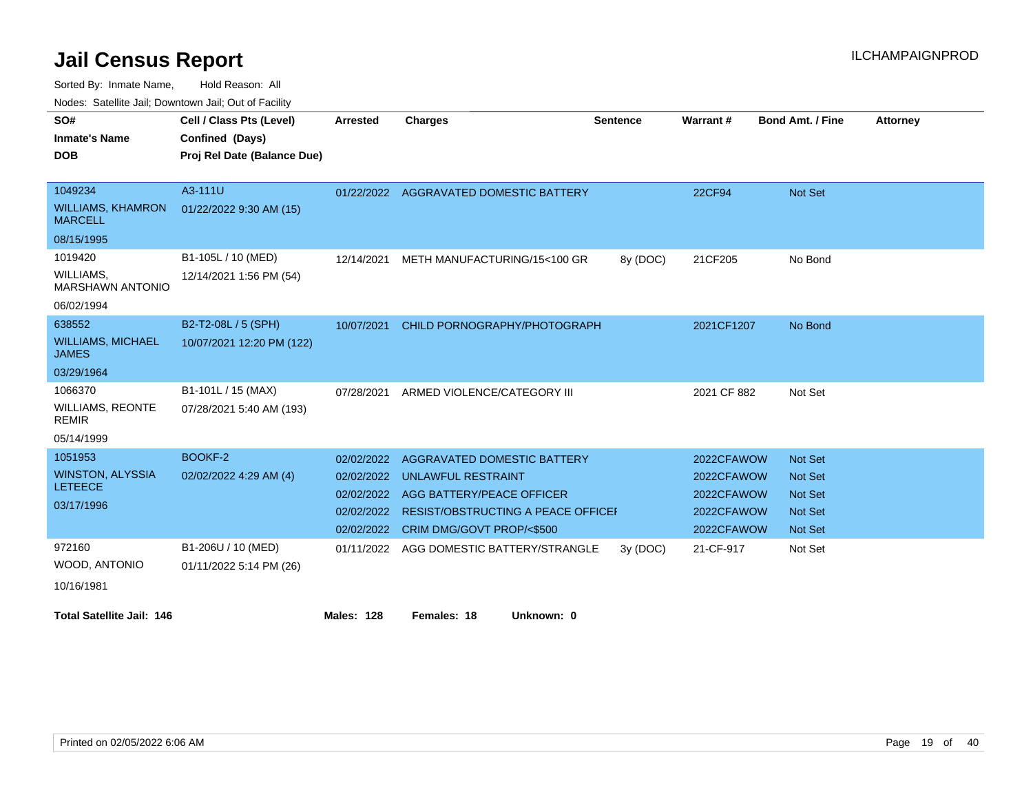Sorted By: Inmate Name, Hold Reason: All

Nodes: Satellite Jail; Downtown Jail; Out of Facility

| SO#                                        | Cell / Class Pts (Level)    | <b>Arrested</b>   | <b>Charges</b>                         | <b>Sentence</b> | Warrant#    | <b>Bond Amt. / Fine</b> | <b>Attorney</b> |
|--------------------------------------------|-----------------------------|-------------------|----------------------------------------|-----------------|-------------|-------------------------|-----------------|
| <b>Inmate's Name</b>                       | Confined (Days)             |                   |                                        |                 |             |                         |                 |
| <b>DOB</b>                                 | Proj Rel Date (Balance Due) |                   |                                        |                 |             |                         |                 |
|                                            |                             |                   |                                        |                 |             |                         |                 |
| 1049234                                    | A3-111U                     |                   | 01/22/2022 AGGRAVATED DOMESTIC BATTERY |                 | 22CF94      | <b>Not Set</b>          |                 |
| <b>WILLIAMS, KHAMRON</b><br><b>MARCELL</b> | 01/22/2022 9:30 AM (15)     |                   |                                        |                 |             |                         |                 |
| 08/15/1995                                 |                             |                   |                                        |                 |             |                         |                 |
| 1019420                                    | B1-105L / 10 (MED)          | 12/14/2021        | METH MANUFACTURING/15<100 GR           | 8y (DOC)        | 21CF205     | No Bond                 |                 |
| WILLIAMS,<br><b>MARSHAWN ANTONIO</b>       | 12/14/2021 1:56 PM (54)     |                   |                                        |                 |             |                         |                 |
| 06/02/1994                                 |                             |                   |                                        |                 |             |                         |                 |
| 638552                                     | B2-T2-08L / 5 (SPH)         | 10/07/2021        | CHILD PORNOGRAPHY/PHOTOGRAPH           |                 | 2021CF1207  | No Bond                 |                 |
| <b>WILLIAMS, MICHAEL</b><br><b>JAMES</b>   | 10/07/2021 12:20 PM (122)   |                   |                                        |                 |             |                         |                 |
| 03/29/1964                                 |                             |                   |                                        |                 |             |                         |                 |
| 1066370                                    | B1-101L / 15 (MAX)          | 07/28/2021        | ARMED VIOLENCE/CATEGORY III            |                 | 2021 CF 882 | Not Set                 |                 |
| <b>WILLIAMS, REONTE</b><br><b>REMIR</b>    | 07/28/2021 5:40 AM (193)    |                   |                                        |                 |             |                         |                 |
| 05/14/1999                                 |                             |                   |                                        |                 |             |                         |                 |
| 1051953                                    | BOOKF-2                     | 02/02/2022        | <b>AGGRAVATED DOMESTIC BATTERY</b>     |                 | 2022CFAWOW  | <b>Not Set</b>          |                 |
| <b>WINSTON, ALYSSIA</b>                    | 02/02/2022 4:29 AM (4)      | 02/02/2022        | UNLAWFUL RESTRAINT                     |                 | 2022CFAWOW  | <b>Not Set</b>          |                 |
| <b>LETEECE</b>                             |                             | 02/02/2022        | AGG BATTERY/PEACE OFFICER              |                 | 2022CFAWOW  | <b>Not Set</b>          |                 |
| 03/17/1996                                 |                             | 02/02/2022        | RESIST/OBSTRUCTING A PEACE OFFICEF     |                 | 2022CFAWOW  | <b>Not Set</b>          |                 |
|                                            |                             | 02/02/2022        | CRIM DMG/GOVT PROP/<\$500              |                 | 2022CFAWOW  | <b>Not Set</b>          |                 |
| 972160                                     | B1-206U / 10 (MED)          | 01/11/2022        | AGG DOMESTIC BATTERY/STRANGLE          | 3y(DOC)         | 21-CF-917   | Not Set                 |                 |
| WOOD, ANTONIO                              | 01/11/2022 5:14 PM (26)     |                   |                                        |                 |             |                         |                 |
| 10/16/1981                                 |                             |                   |                                        |                 |             |                         |                 |
| <b>Total Satellite Jail: 146</b>           |                             | <b>Males: 128</b> | Females: 18<br>Unknown: 0              |                 |             |                         |                 |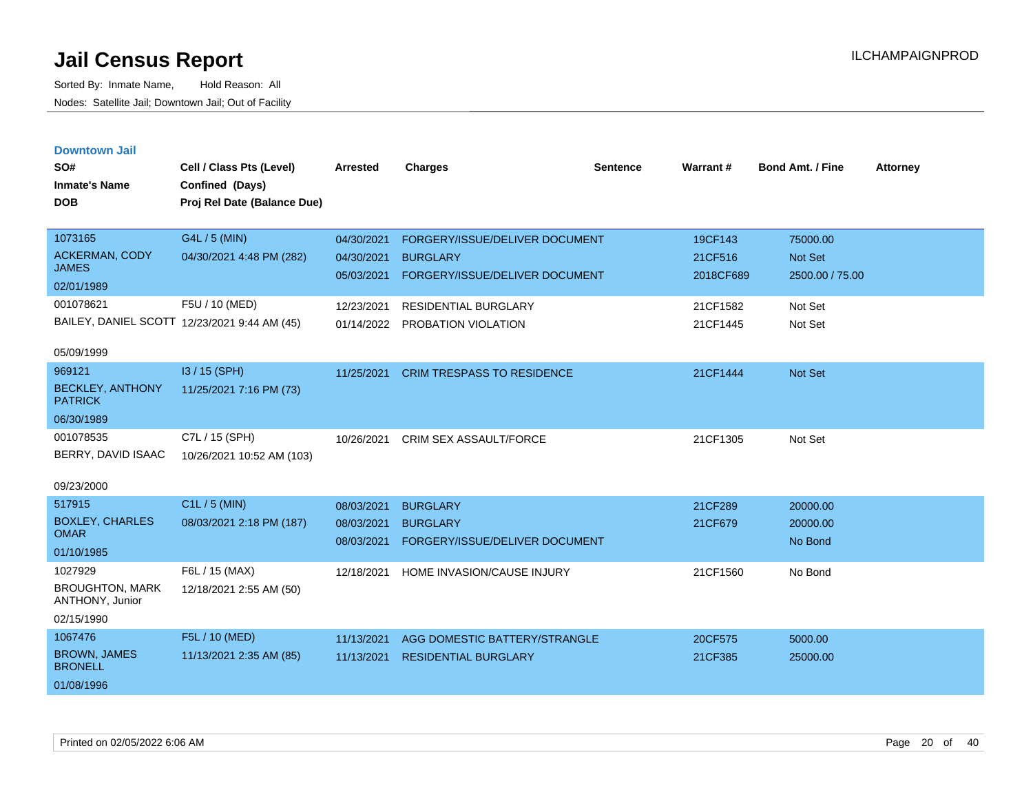|  |  | <b>Downtown Jail</b> |  |
|--|--|----------------------|--|
|  |  |                      |  |

| SO#<br><b>Inmate's Name</b><br><b>DOB</b>                                   | Cell / Class Pts (Level)<br>Confined (Days)<br>Proj Rel Date (Balance Due) | Arrested                                             | <b>Charges</b>                                                                                                     | <b>Sentence</b> | <b>Warrant#</b>                             | <b>Bond Amt. / Fine</b>                           | <b>Attorney</b> |
|-----------------------------------------------------------------------------|----------------------------------------------------------------------------|------------------------------------------------------|--------------------------------------------------------------------------------------------------------------------|-----------------|---------------------------------------------|---------------------------------------------------|-----------------|
| 1073165<br><b>ACKERMAN, CODY</b><br><b>JAMES</b><br>02/01/1989<br>001078621 | G4L / 5 (MIN)<br>04/30/2021 4:48 PM (282)<br>F5U / 10 (MED)                | 04/30/2021<br>04/30/2021<br>05/03/2021<br>12/23/2021 | FORGERY/ISSUE/DELIVER DOCUMENT<br><b>BURGLARY</b><br>FORGERY/ISSUE/DELIVER DOCUMENT<br><b>RESIDENTIAL BURGLARY</b> |                 | 19CF143<br>21CF516<br>2018CF689<br>21CF1582 | 75000.00<br>Not Set<br>2500.00 / 75.00<br>Not Set |                 |
| 05/09/1999                                                                  | BAILEY, DANIEL SCOTT 12/23/2021 9:44 AM (45)                               |                                                      | 01/14/2022 PROBATION VIOLATION                                                                                     |                 | 21CF1445                                    | Not Set                                           |                 |
| 969121<br><b>BECKLEY, ANTHONY</b><br><b>PATRICK</b><br>06/30/1989           | I3 / 15 (SPH)<br>11/25/2021 7:16 PM (73)                                   | 11/25/2021                                           | <b>CRIM TRESPASS TO RESIDENCE</b>                                                                                  |                 | 21CF1444                                    | Not Set                                           |                 |
| 001078535<br>BERRY, DAVID ISAAC<br>09/23/2000                               | C7L / 15 (SPH)<br>10/26/2021 10:52 AM (103)                                | 10/26/2021                                           | <b>CRIM SEX ASSAULT/FORCE</b>                                                                                      |                 | 21CF1305                                    | Not Set                                           |                 |
| 517915<br><b>BOXLEY, CHARLES</b><br><b>OMAR</b><br>01/10/1985               | C1L / 5 (MIN)<br>08/03/2021 2:18 PM (187)                                  | 08/03/2021<br>08/03/2021<br>08/03/2021               | <b>BURGLARY</b><br><b>BURGLARY</b><br>FORGERY/ISSUE/DELIVER DOCUMENT                                               |                 | 21CF289<br>21CF679                          | 20000.00<br>20000.00<br>No Bond                   |                 |
| 1027929<br><b>BROUGHTON, MARK</b><br>ANTHONY, Junior<br>02/15/1990          | F6L / 15 (MAX)<br>12/18/2021 2:55 AM (50)                                  |                                                      | 12/18/2021 HOME INVASION/CAUSE INJURY                                                                              |                 | 21CF1560                                    | No Bond                                           |                 |
| 1067476<br><b>BROWN, JAMES</b><br><b>BRONELL</b><br>01/08/1996              | F5L / 10 (MED)<br>11/13/2021 2:35 AM (85)                                  | 11/13/2021<br>11/13/2021                             | AGG DOMESTIC BATTERY/STRANGLE<br><b>RESIDENTIAL BURGLARY</b>                                                       |                 | 20CF575<br>21CF385                          | 5000.00<br>25000.00                               |                 |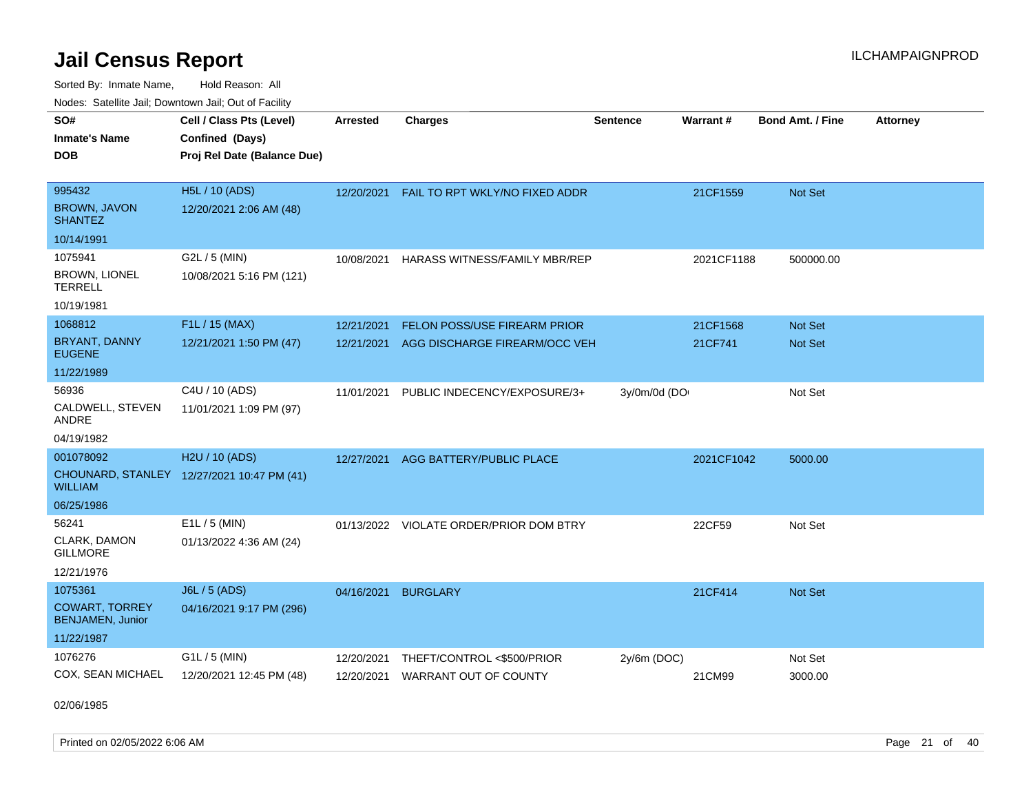Sorted By: Inmate Name, Hold Reason: All Nodes: Satellite Jail; Downtown Jail; Out of Facility

| SO#                                              | Cell / Class Pts (Level)                       | <b>Arrested</b> | <b>Charges</b>                            | <b>Sentence</b> | Warrant#   | <b>Bond Amt. / Fine</b> | <b>Attorney</b> |
|--------------------------------------------------|------------------------------------------------|-----------------|-------------------------------------------|-----------------|------------|-------------------------|-----------------|
| <b>Inmate's Name</b><br><b>DOB</b>               | Confined (Days)<br>Proj Rel Date (Balance Due) |                 |                                           |                 |            |                         |                 |
|                                                  |                                                |                 |                                           |                 |            |                         |                 |
| 995432                                           | H5L / 10 (ADS)                                 |                 | 12/20/2021 FAIL TO RPT WKLY/NO FIXED ADDR |                 | 21CF1559   | Not Set                 |                 |
| <b>BROWN, JAVON</b><br><b>SHANTEZ</b>            | 12/20/2021 2:06 AM (48)                        |                 |                                           |                 |            |                         |                 |
| 10/14/1991                                       |                                                |                 |                                           |                 |            |                         |                 |
| 1075941                                          | G2L / 5 (MIN)                                  | 10/08/2021      | HARASS WITNESS/FAMILY MBR/REP             |                 | 2021CF1188 | 500000.00               |                 |
| BROWN, LIONEL<br><b>TERRELL</b>                  | 10/08/2021 5:16 PM (121)                       |                 |                                           |                 |            |                         |                 |
| 10/19/1981                                       |                                                |                 |                                           |                 |            |                         |                 |
| 1068812                                          | F1L / 15 (MAX)                                 | 12/21/2021      | <b>FELON POSS/USE FIREARM PRIOR</b>       |                 | 21CF1568   | Not Set                 |                 |
| BRYANT, DANNY<br><b>EUGENE</b>                   | 12/21/2021 1:50 PM (47)                        | 12/21/2021      | AGG DISCHARGE FIREARM/OCC VEH             |                 | 21CF741    | <b>Not Set</b>          |                 |
| 11/22/1989                                       |                                                |                 |                                           |                 |            |                         |                 |
| 56936                                            | C4U / 10 (ADS)                                 | 11/01/2021      | PUBLIC INDECENCY/EXPOSURE/3+              | 3y/0m/0d (DO    |            | Not Set                 |                 |
| CALDWELL, STEVEN<br>ANDRE                        | 11/01/2021 1:09 PM (97)                        |                 |                                           |                 |            |                         |                 |
| 04/19/1982                                       |                                                |                 |                                           |                 |            |                         |                 |
| 001078092                                        | H <sub>2</sub> U / 10 (ADS)                    | 12/27/2021      | AGG BATTERY/PUBLIC PLACE                  |                 | 2021CF1042 | 5000.00                 |                 |
| <b>WILLIAM</b>                                   | CHOUNARD, STANLEY 12/27/2021 10:47 PM (41)     |                 |                                           |                 |            |                         |                 |
| 06/25/1986                                       |                                                |                 |                                           |                 |            |                         |                 |
| 56241                                            | $E1L / 5$ (MIN)                                | 01/13/2022      | <b>VIOLATE ORDER/PRIOR DOM BTRY</b>       |                 | 22CF59     | Not Set                 |                 |
| CLARK, DAMON<br><b>GILLMORE</b>                  | 01/13/2022 4:36 AM (24)                        |                 |                                           |                 |            |                         |                 |
| 12/21/1976                                       |                                                |                 |                                           |                 |            |                         |                 |
| 1075361                                          | J6L / 5 (ADS)                                  | 04/16/2021      | <b>BURGLARY</b>                           |                 | 21CF414    | Not Set                 |                 |
| <b>COWART, TORREY</b><br><b>BENJAMEN, Junior</b> | 04/16/2021 9:17 PM (296)                       |                 |                                           |                 |            |                         |                 |
| 11/22/1987                                       |                                                |                 |                                           |                 |            |                         |                 |
| 1076276                                          | G1L / 5 (MIN)                                  | 12/20/2021      | THEFT/CONTROL <\$500/PRIOR                | 2y/6m (DOC)     |            | Not Set                 |                 |
| COX, SEAN MICHAEL                                | 12/20/2021 12:45 PM (48)                       | 12/20/2021      | <b>WARRANT OUT OF COUNTY</b>              |                 | 21CM99     | 3000.00                 |                 |

02/06/1985

Printed on 02/05/2022 6:06 AM Page 21 of 40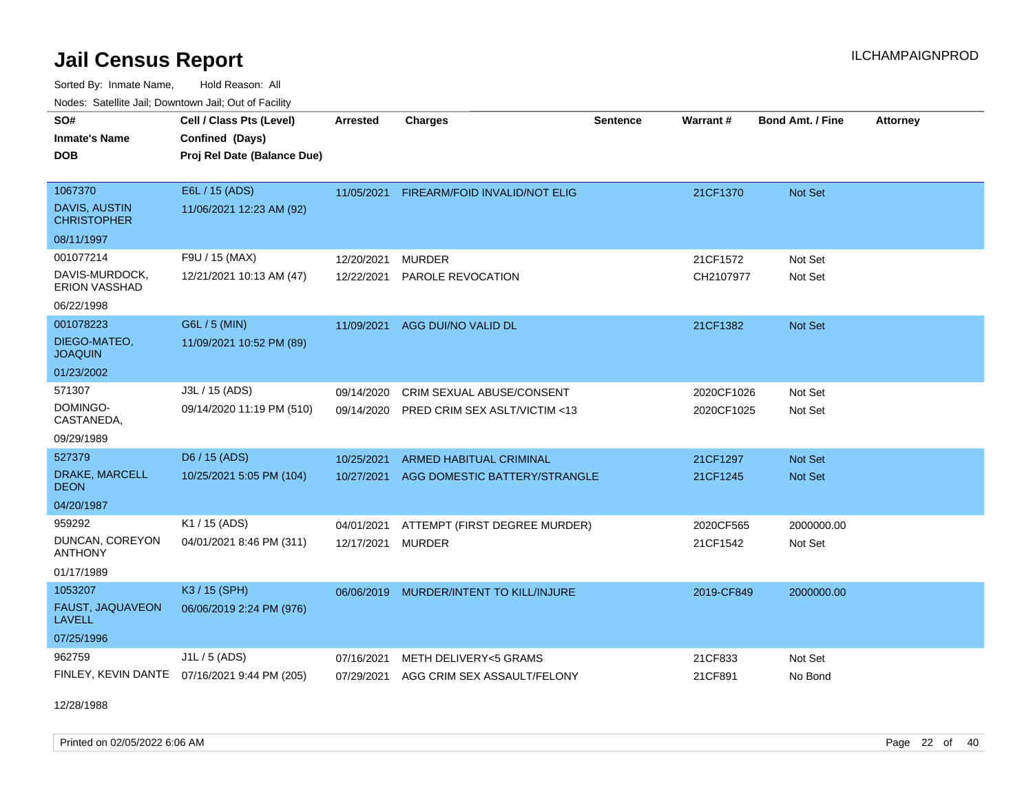Sorted By: Inmate Name, Hold Reason: All Nodes: Satellite Jail; Downtown Jail; Out of Facility

| Noucs. Calcinic Jail, Downtown Jail, Out of Facility |                                              |                 |                                      |                 |                 |                         |                 |
|------------------------------------------------------|----------------------------------------------|-----------------|--------------------------------------|-----------------|-----------------|-------------------------|-----------------|
| SO#                                                  | Cell / Class Pts (Level)                     | <b>Arrested</b> | <b>Charges</b>                       | <b>Sentence</b> | <b>Warrant#</b> | <b>Bond Amt. / Fine</b> | <b>Attorney</b> |
| <b>Inmate's Name</b>                                 | Confined (Days)                              |                 |                                      |                 |                 |                         |                 |
| <b>DOB</b>                                           | Proj Rel Date (Balance Due)                  |                 |                                      |                 |                 |                         |                 |
|                                                      |                                              |                 |                                      |                 |                 |                         |                 |
| 1067370                                              | E6L / 15 (ADS)                               | 11/05/2021      | <b>FIREARM/FOID INVALID/NOT ELIG</b> |                 | 21CF1370        | Not Set                 |                 |
| DAVIS, AUSTIN<br><b>CHRISTOPHER</b>                  | 11/06/2021 12:23 AM (92)                     |                 |                                      |                 |                 |                         |                 |
| 08/11/1997                                           |                                              |                 |                                      |                 |                 |                         |                 |
| 001077214                                            | F9U / 15 (MAX)                               | 12/20/2021      | <b>MURDER</b>                        |                 | 21CF1572        | Not Set                 |                 |
| DAVIS-MURDOCK,<br><b>ERION VASSHAD</b>               | 12/21/2021 10:13 AM (47)                     | 12/22/2021      | PAROLE REVOCATION                    |                 | CH2107977       | Not Set                 |                 |
| 06/22/1998                                           |                                              |                 |                                      |                 |                 |                         |                 |
| 001078223                                            | G6L / 5 (MIN)                                | 11/09/2021      | AGG DUI/NO VALID DL                  |                 | 21CF1382        | Not Set                 |                 |
| DIEGO-MATEO,<br><b>JOAQUIN</b>                       | 11/09/2021 10:52 PM (89)                     |                 |                                      |                 |                 |                         |                 |
| 01/23/2002                                           |                                              |                 |                                      |                 |                 |                         |                 |
| 571307                                               | J3L / 15 (ADS)                               | 09/14/2020      | CRIM SEXUAL ABUSE/CONSENT            |                 | 2020CF1026      | Not Set                 |                 |
| DOMINGO-<br>CASTANEDA,                               | 09/14/2020 11:19 PM (510)                    | 09/14/2020      | PRED CRIM SEX ASLT/VICTIM <13        |                 | 2020CF1025      | Not Set                 |                 |
| 09/29/1989                                           |                                              |                 |                                      |                 |                 |                         |                 |
| 527379                                               | D6 / 15 (ADS)                                | 10/25/2021      | <b>ARMED HABITUAL CRIMINAL</b>       |                 | 21CF1297        | <b>Not Set</b>          |                 |
| DRAKE, MARCELL<br>DEON                               | 10/25/2021 5:05 PM (104)                     | 10/27/2021      | AGG DOMESTIC BATTERY/STRANGLE        |                 | 21CF1245        | <b>Not Set</b>          |                 |
| 04/20/1987                                           |                                              |                 |                                      |                 |                 |                         |                 |
| 959292                                               | K1 / 15 (ADS)                                | 04/01/2021      | ATTEMPT (FIRST DEGREE MURDER)        |                 | 2020CF565       | 2000000.00              |                 |
| DUNCAN, COREYON<br><b>ANTHONY</b>                    | 04/01/2021 8:46 PM (311)                     | 12/17/2021      | <b>MURDER</b>                        |                 | 21CF1542        | Not Set                 |                 |
| 01/17/1989                                           |                                              |                 |                                      |                 |                 |                         |                 |
| 1053207                                              | K3 / 15 (SPH)                                | 06/06/2019      | MURDER/INTENT TO KILL/INJURE         |                 | 2019-CF849      | 2000000.00              |                 |
| FAUST, JAQUAVEON<br>LAVELL                           | 06/06/2019 2:24 PM (976)                     |                 |                                      |                 |                 |                         |                 |
| 07/25/1996                                           |                                              |                 |                                      |                 |                 |                         |                 |
| 962759                                               | J1L / 5 (ADS)                                | 07/16/2021      | METH DELIVERY<5 GRAMS                |                 | 21CF833         | Not Set                 |                 |
|                                                      | FINLEY, KEVIN DANTE 07/16/2021 9:44 PM (205) | 07/29/2021      | AGG CRIM SEX ASSAULT/FELONY          |                 | 21CF891         | No Bond                 |                 |

12/28/1988

Printed on 02/05/2022 6:06 AM Page 22 of 40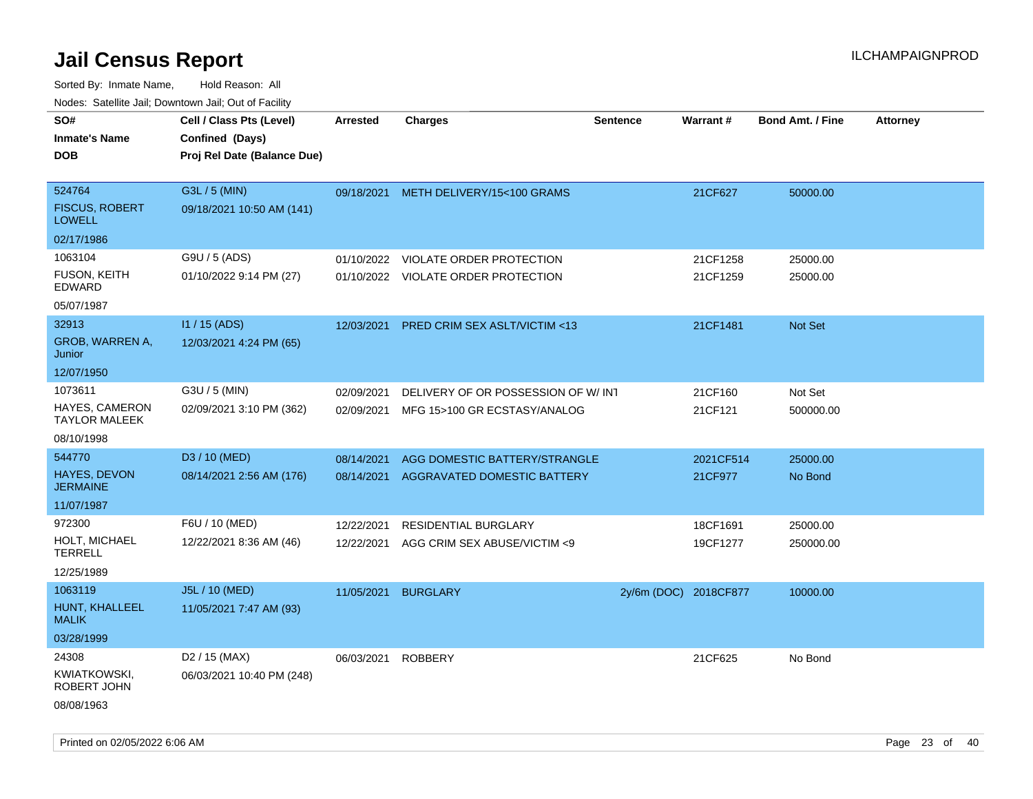| rouco. Calcinic Jan, Downtown Jan, Out of Facility |                                                                            |                 |                                         |                       |                 |                         |                 |
|----------------------------------------------------|----------------------------------------------------------------------------|-----------------|-----------------------------------------|-----------------------|-----------------|-------------------------|-----------------|
| SO#<br>Inmate's Name<br><b>DOB</b>                 | Cell / Class Pts (Level)<br>Confined (Days)<br>Proj Rel Date (Balance Due) | <b>Arrested</b> | <b>Charges</b>                          | <b>Sentence</b>       | <b>Warrant#</b> | <b>Bond Amt. / Fine</b> | <b>Attorney</b> |
| 524764<br><b>FISCUS, ROBERT</b><br><b>LOWELL</b>   | G3L / 5 (MIN)<br>09/18/2021 10:50 AM (141)                                 |                 | 09/18/2021 METH DELIVERY/15<100 GRAMS   |                       | 21CF627         | 50000.00                |                 |
| 02/17/1986                                         |                                                                            |                 |                                         |                       |                 |                         |                 |
| 1063104                                            | G9U / 5 (ADS)                                                              | 01/10/2022      | VIOLATE ORDER PROTECTION                |                       | 21CF1258        | 25000.00                |                 |
| FUSON, KEITH<br>EDWARD                             | 01/10/2022 9:14 PM (27)                                                    |                 | 01/10/2022 VIOLATE ORDER PROTECTION     |                       | 21CF1259        | 25000.00                |                 |
| 05/07/1987                                         |                                                                            |                 |                                         |                       |                 |                         |                 |
| 32913                                              | I1 / 15 (ADS)                                                              | 12/03/2021      | <b>PRED CRIM SEX ASLT/VICTIM &lt;13</b> |                       | 21CF1481        | <b>Not Set</b>          |                 |
| <b>GROB, WARREN A,</b><br>Junior                   | 12/03/2021 4:24 PM (65)                                                    |                 |                                         |                       |                 |                         |                 |
| 12/07/1950                                         |                                                                            |                 |                                         |                       |                 |                         |                 |
| 1073611                                            | G3U / 5 (MIN)                                                              | 02/09/2021      | DELIVERY OF OR POSSESSION OF W/INT      |                       | 21CF160         | Not Set                 |                 |
| HAYES, CAMERON<br>TAYLOR MALEEK                    | 02/09/2021 3:10 PM (362)                                                   | 02/09/2021      | MFG 15>100 GR ECSTASY/ANALOG            |                       | 21CF121         | 500000.00               |                 |
| 08/10/1998                                         |                                                                            |                 |                                         |                       |                 |                         |                 |
| 544770                                             | D3 / 10 (MED)                                                              | 08/14/2021      | AGG DOMESTIC BATTERY/STRANGLE           |                       | 2021CF514       | 25000.00                |                 |
| <b>HAYES, DEVON</b><br>JERMAINE                    | 08/14/2021 2:56 AM (176)                                                   | 08/14/2021      | AGGRAVATED DOMESTIC BATTERY             |                       | 21CF977         | No Bond                 |                 |
| 11/07/1987                                         |                                                                            |                 |                                         |                       |                 |                         |                 |
| 972300                                             | F6U / 10 (MED)                                                             | 12/22/2021      | RESIDENTIAL BURGLARY                    |                       | 18CF1691        | 25000.00                |                 |
| HOLT, MICHAEL<br>TERRELL                           | 12/22/2021 8:36 AM (46)                                                    | 12/22/2021      | AGG CRIM SEX ABUSE/VICTIM <9            |                       | 19CF1277        | 250000.00               |                 |
| 12/25/1989                                         |                                                                            |                 |                                         |                       |                 |                         |                 |
| 1063119                                            | J5L / 10 (MED)                                                             | 11/05/2021      | <b>BURGLARY</b>                         | 2y/6m (DOC) 2018CF877 |                 | 10000.00                |                 |
| HUNT, KHALLEEL<br>MALIK                            | 11/05/2021 7:47 AM (93)                                                    |                 |                                         |                       |                 |                         |                 |
| 03/28/1999                                         |                                                                            |                 |                                         |                       |                 |                         |                 |
| 24308                                              | D <sub>2</sub> / 15 (MAX)                                                  | 06/03/2021      | <b>ROBBERY</b>                          |                       | 21CF625         | No Bond                 |                 |
| KWIATKOWSKI,<br>ROBERT JOHN                        | 06/03/2021 10:40 PM (248)                                                  |                 |                                         |                       |                 |                         |                 |
| 08/08/1963                                         |                                                                            |                 |                                         |                       |                 |                         |                 |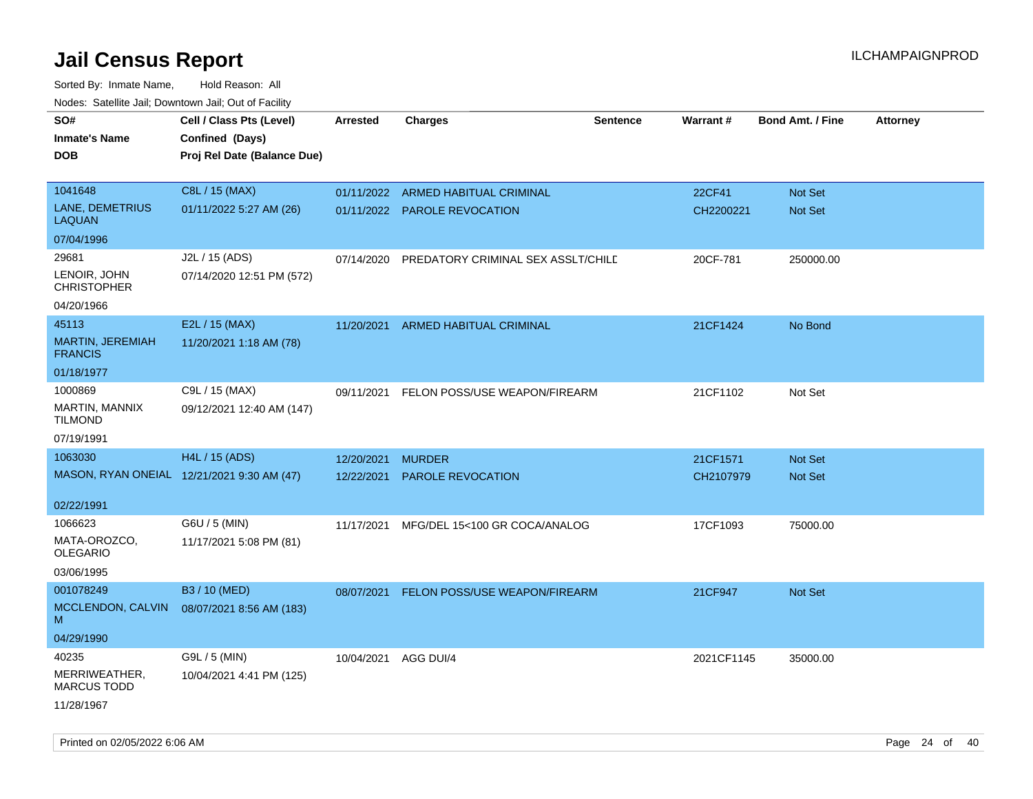| roaco. Catolino dall, Downtown dall, Out of Fability |                                            |                 |                                    |                 |                 |                         |                 |
|------------------------------------------------------|--------------------------------------------|-----------------|------------------------------------|-----------------|-----------------|-------------------------|-----------------|
| SO#                                                  | Cell / Class Pts (Level)                   | <b>Arrested</b> | Charges                            | <b>Sentence</b> | <b>Warrant#</b> | <b>Bond Amt. / Fine</b> | <b>Attorney</b> |
| <b>Inmate's Name</b>                                 | Confined (Days)                            |                 |                                    |                 |                 |                         |                 |
| <b>DOB</b>                                           | Proj Rel Date (Balance Due)                |                 |                                    |                 |                 |                         |                 |
|                                                      |                                            |                 |                                    |                 |                 |                         |                 |
| 1041648                                              | C8L / 15 (MAX)                             |                 | 01/11/2022 ARMED HABITUAL CRIMINAL |                 | 22CF41          | <b>Not Set</b>          |                 |
| LANE, DEMETRIUS<br>LAQUAN                            | 01/11/2022 5:27 AM (26)                    |                 | 01/11/2022 PAROLE REVOCATION       |                 | CH2200221       | Not Set                 |                 |
| 07/04/1996                                           |                                            |                 |                                    |                 |                 |                         |                 |
| 29681                                                | J2L / 15 (ADS)                             | 07/14/2020      | PREDATORY CRIMINAL SEX ASSLT/CHILD |                 | 20CF-781        | 250000.00               |                 |
| LENOIR, JOHN<br><b>CHRISTOPHER</b>                   | 07/14/2020 12:51 PM (572)                  |                 |                                    |                 |                 |                         |                 |
| 04/20/1966                                           |                                            |                 |                                    |                 |                 |                         |                 |
| 45113                                                | E2L / 15 (MAX)                             | 11/20/2021      | ARMED HABITUAL CRIMINAL            |                 | 21CF1424        | No Bond                 |                 |
| MARTIN, JEREMIAH<br><b>FRANCIS</b>                   | 11/20/2021 1:18 AM (78)                    |                 |                                    |                 |                 |                         |                 |
| 01/18/1977                                           |                                            |                 |                                    |                 |                 |                         |                 |
| 1000869                                              | C9L / 15 (MAX)                             | 09/11/2021      | FELON POSS/USE WEAPON/FIREARM      |                 | 21CF1102        | Not Set                 |                 |
| <b>MARTIN, MANNIX</b><br>TILMOND                     | 09/12/2021 12:40 AM (147)                  |                 |                                    |                 |                 |                         |                 |
| 07/19/1991                                           |                                            |                 |                                    |                 |                 |                         |                 |
| 1063030                                              | H4L / 15 (ADS)                             | 12/20/2021      | <b>MURDER</b>                      |                 | 21CF1571        | <b>Not Set</b>          |                 |
|                                                      | MASON, RYAN ONEIAL 12/21/2021 9:30 AM (47) | 12/22/2021      | <b>PAROLE REVOCATION</b>           |                 | CH2107979       | <b>Not Set</b>          |                 |
|                                                      |                                            |                 |                                    |                 |                 |                         |                 |
| 02/22/1991                                           |                                            |                 |                                    |                 |                 |                         |                 |
| 1066623                                              | G6U / 5 (MIN)                              | 11/17/2021      | MFG/DEL 15<100 GR COCA/ANALOG      |                 | 17CF1093        | 75000.00                |                 |
| MATA-OROZCO.<br>OLEGARIO                             | 11/17/2021 5:08 PM (81)                    |                 |                                    |                 |                 |                         |                 |
| 03/06/1995                                           |                                            |                 |                                    |                 |                 |                         |                 |
| 001078249                                            | B3 / 10 (MED)                              | 08/07/2021      | FELON POSS/USE WEAPON/FIREARM      |                 | 21CF947         | Not Set                 |                 |
| MCCLENDON, CALVIN                                    | 08/07/2021 8:56 AM (183)                   |                 |                                    |                 |                 |                         |                 |
| М                                                    |                                            |                 |                                    |                 |                 |                         |                 |
| 04/29/1990                                           |                                            |                 |                                    |                 |                 |                         |                 |
| 40235                                                | G9L / 5 (MIN)                              | 10/04/2021      | AGG DUI/4                          |                 | 2021CF1145      | 35000.00                |                 |
| MERRIWEATHER,<br><b>MARCUS TODD</b>                  | 10/04/2021 4:41 PM (125)                   |                 |                                    |                 |                 |                         |                 |
| 11/28/1967                                           |                                            |                 |                                    |                 |                 |                         |                 |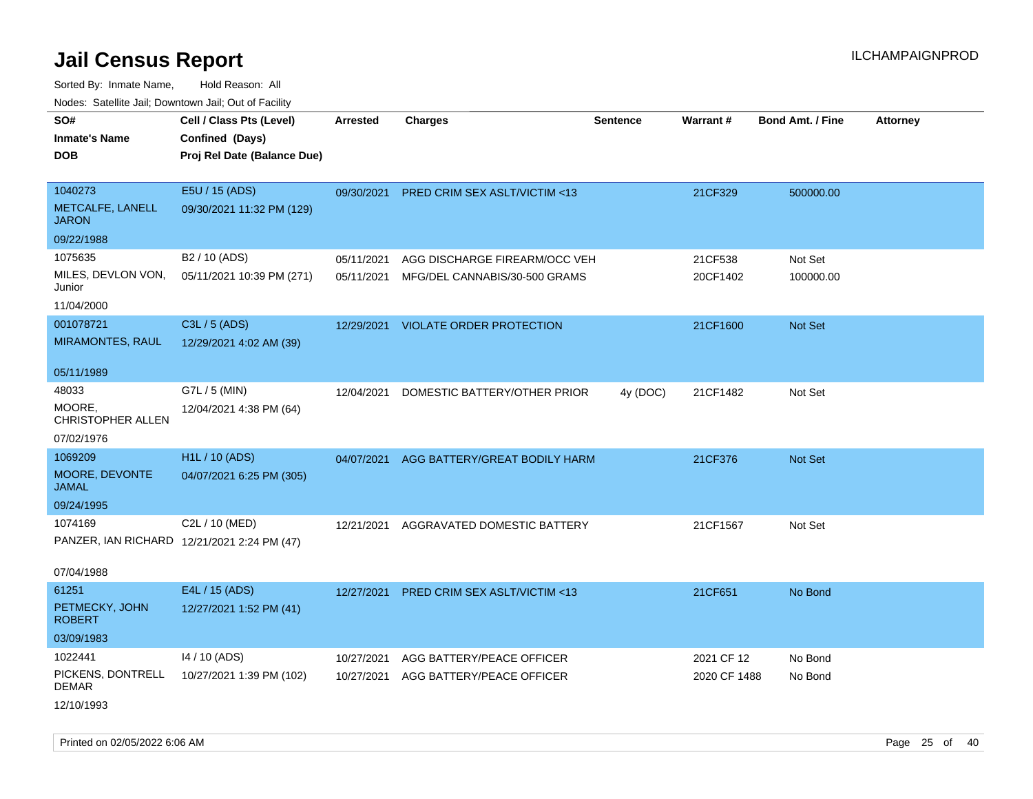Sorted By: Inmate Name, Hold Reason: All Nodes: Satellite Jail; Downtown Jail; Out of Facility

| rouco. Calcinic Jan, Downtown Jan, Out of Facility |                                                                            |                 |                                     |                 |              |                         |                 |
|----------------------------------------------------|----------------------------------------------------------------------------|-----------------|-------------------------------------|-----------------|--------------|-------------------------|-----------------|
| SO#<br>Inmate's Name<br><b>DOB</b>                 | Cell / Class Pts (Level)<br>Confined (Days)<br>Proj Rel Date (Balance Due) | <b>Arrested</b> | Charges                             | <b>Sentence</b> | Warrant#     | <b>Bond Amt. / Fine</b> | <b>Attorney</b> |
| 1040273<br>METCALFE, LANELL<br>JARON               | E5U / 15 (ADS)<br>09/30/2021 11:32 PM (129)                                | 09/30/2021      | PRED CRIM SEX ASLT/VICTIM <13       |                 | 21CF329      | 500000.00               |                 |
| 09/22/1988                                         |                                                                            |                 |                                     |                 |              |                         |                 |
| 1075635                                            | B <sub>2</sub> / 10 (ADS)                                                  | 05/11/2021      | AGG DISCHARGE FIREARM/OCC VEH       |                 | 21CF538      | Not Set                 |                 |
| MILES, DEVLON VON,<br>Junior                       | 05/11/2021 10:39 PM (271)                                                  | 05/11/2021      | MFG/DEL CANNABIS/30-500 GRAMS       |                 | 20CF1402     | 100000.00               |                 |
| 11/04/2000                                         |                                                                            |                 |                                     |                 |              |                         |                 |
| 001078721                                          | C3L / 5 (ADS)                                                              |                 | 12/29/2021 VIOLATE ORDER PROTECTION |                 | 21CF1600     | <b>Not Set</b>          |                 |
| <b>MIRAMONTES, RAUL</b>                            | 12/29/2021 4:02 AM (39)                                                    |                 |                                     |                 |              |                         |                 |
| 05/11/1989                                         |                                                                            |                 |                                     |                 |              |                         |                 |
| 48033                                              | G7L / 5 (MIN)                                                              | 12/04/2021      | DOMESTIC BATTERY/OTHER PRIOR        | 4y (DOC)        | 21CF1482     | Not Set                 |                 |
| MOORE.<br>CHRISTOPHER ALLEN                        | 12/04/2021 4:38 PM (64)                                                    |                 |                                     |                 |              |                         |                 |
| 07/02/1976                                         |                                                                            |                 |                                     |                 |              |                         |                 |
| 1069209                                            | H <sub>1</sub> L / 10 (ADS)                                                | 04/07/2021      | AGG BATTERY/GREAT BODILY HARM       |                 | 21CF376      | <b>Not Set</b>          |                 |
| MOORE, DEVONTE<br>JAMAL                            | 04/07/2021 6:25 PM (305)                                                   |                 |                                     |                 |              |                         |                 |
| 09/24/1995                                         |                                                                            |                 |                                     |                 |              |                         |                 |
| 1074169                                            | C2L / 10 (MED)                                                             | 12/21/2021      | AGGRAVATED DOMESTIC BATTERY         |                 | 21CF1567     | Not Set                 |                 |
|                                                    | PANZER, IAN RICHARD 12/21/2021 2:24 PM (47)                                |                 |                                     |                 |              |                         |                 |
| 07/04/1988                                         |                                                                            |                 |                                     |                 |              |                         |                 |
| 61251                                              | E4L / 15 (ADS)                                                             | 12/27/2021      | PRED CRIM SEX ASLT/VICTIM <13       |                 | 21CF651      | No Bond                 |                 |
| PETMECKY, JOHN<br>ROBERT                           | 12/27/2021 1:52 PM (41)                                                    |                 |                                     |                 |              |                         |                 |
| 03/09/1983                                         |                                                                            |                 |                                     |                 |              |                         |                 |
| 1022441                                            | 14 / 10 (ADS)                                                              | 10/27/2021      | AGG BATTERY/PEACE OFFICER           |                 | 2021 CF 12   | No Bond                 |                 |
| PICKENS, DONTRELL<br>DEMAR                         | 10/27/2021 1:39 PM (102)                                                   | 10/27/2021      | AGG BATTERY/PEACE OFFICER           |                 | 2020 CF 1488 | No Bond                 |                 |
| 12/10/1993                                         |                                                                            |                 |                                     |                 |              |                         |                 |

Printed on 02/05/2022 6:06 AM Page 25 of 40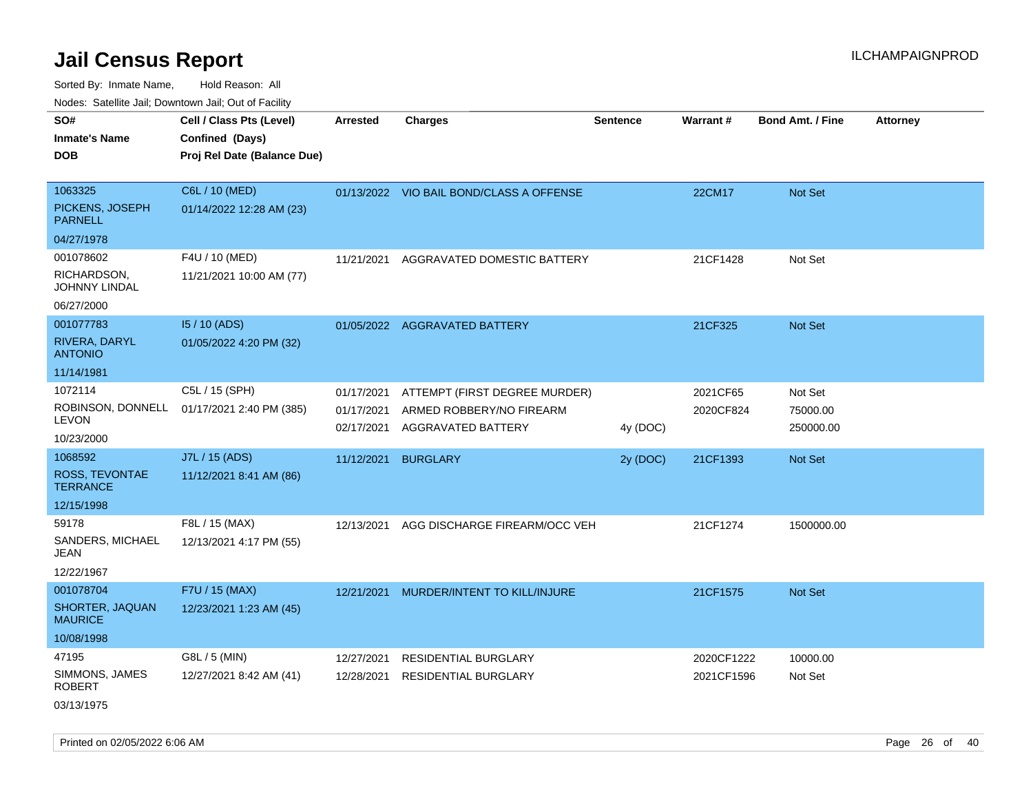Sorted By: Inmate Name, Hold Reason: All Nodes: Satellite Jail; Downtown Jail; Out of Facility

| rouco. Calcinic Jan, Downtown Jan, Out of Facility                |                                                                            |                                        |                                                                                 |                 |                          |                                  |                 |
|-------------------------------------------------------------------|----------------------------------------------------------------------------|----------------------------------------|---------------------------------------------------------------------------------|-----------------|--------------------------|----------------------------------|-----------------|
| SO#<br>Inmate's Name<br><b>DOB</b>                                | Cell / Class Pts (Level)<br>Confined (Days)<br>Proj Rel Date (Balance Due) | <b>Arrested</b>                        | <b>Charges</b>                                                                  | <b>Sentence</b> | Warrant#                 | <b>Bond Amt. / Fine</b>          | <b>Attorney</b> |
| 1063325<br>PICKENS, JOSEPH<br><b>PARNELL</b>                      | C6L / 10 (MED)<br>01/14/2022 12:28 AM (23)                                 |                                        | 01/13/2022 VIO BAIL BOND/CLASS A OFFENSE                                        |                 | 22CM17                   | Not Set                          |                 |
| 04/27/1978<br>001078602<br>RICHARDSON,<br>JOHNNY LINDAL           | F4U / 10 (MED)<br>11/21/2021 10:00 AM (77)                                 | 11/21/2021                             | AGGRAVATED DOMESTIC BATTERY                                                     |                 | 21CF1428                 | Not Set                          |                 |
| 06/27/2000<br>001077783<br>RIVERA, DARYL<br><b>ANTONIO</b>        | 15 / 10 (ADS)<br>01/05/2022 4:20 PM (32)                                   |                                        | 01/05/2022 AGGRAVATED BATTERY                                                   |                 | 21CF325                  | Not Set                          |                 |
| 11/14/1981<br>1072114<br>ROBINSON, DONNELL<br>LEVON<br>10/23/2000 | C5L / 15 (SPH)<br>01/17/2021 2:40 PM (385)                                 | 01/17/2021<br>01/17/2021<br>02/17/2021 | ATTEMPT (FIRST DEGREE MURDER)<br>ARMED ROBBERY/NO FIREARM<br>AGGRAVATED BATTERY | 4y (DOC)        | 2021CF65<br>2020CF824    | Not Set<br>75000.00<br>250000.00 |                 |
| 1068592<br>ROSS, TEVONTAE<br>TERRANCE<br>12/15/1998               | J7L / 15 (ADS)<br>11/12/2021 8:41 AM (86)                                  | 11/12/2021                             | <b>BURGLARY</b>                                                                 | 2y (DOC)        | 21CF1393                 | <b>Not Set</b>                   |                 |
| 59178<br>SANDERS, MICHAEL<br>JEAN<br>12/22/1967                   | F8L / 15 (MAX)<br>12/13/2021 4:17 PM (55)                                  | 12/13/2021                             | AGG DISCHARGE FIREARM/OCC VEH                                                   |                 | 21CF1274                 | 1500000.00                       |                 |
| 001078704<br>SHORTER, JAQUAN<br>MAURICE<br>10/08/1998             | F7U / 15 (MAX)<br>12/23/2021 1:23 AM (45)                                  | 12/21/2021                             | MURDER/INTENT TO KILL/INJURE                                                    |                 | 21CF1575                 | Not Set                          |                 |
| 47195<br>SIMMONS, JAMES<br>ROBERT<br>03/13/1975                   | G8L / 5 (MIN)<br>12/27/2021 8:42 AM (41)                                   | 12/27/2021<br>12/28/2021               | <b>RESIDENTIAL BURGLARY</b><br><b>RESIDENTIAL BURGLARY</b>                      |                 | 2020CF1222<br>2021CF1596 | 10000.00<br>Not Set              |                 |

Printed on 02/05/2022 6:06 AM Page 26 of 40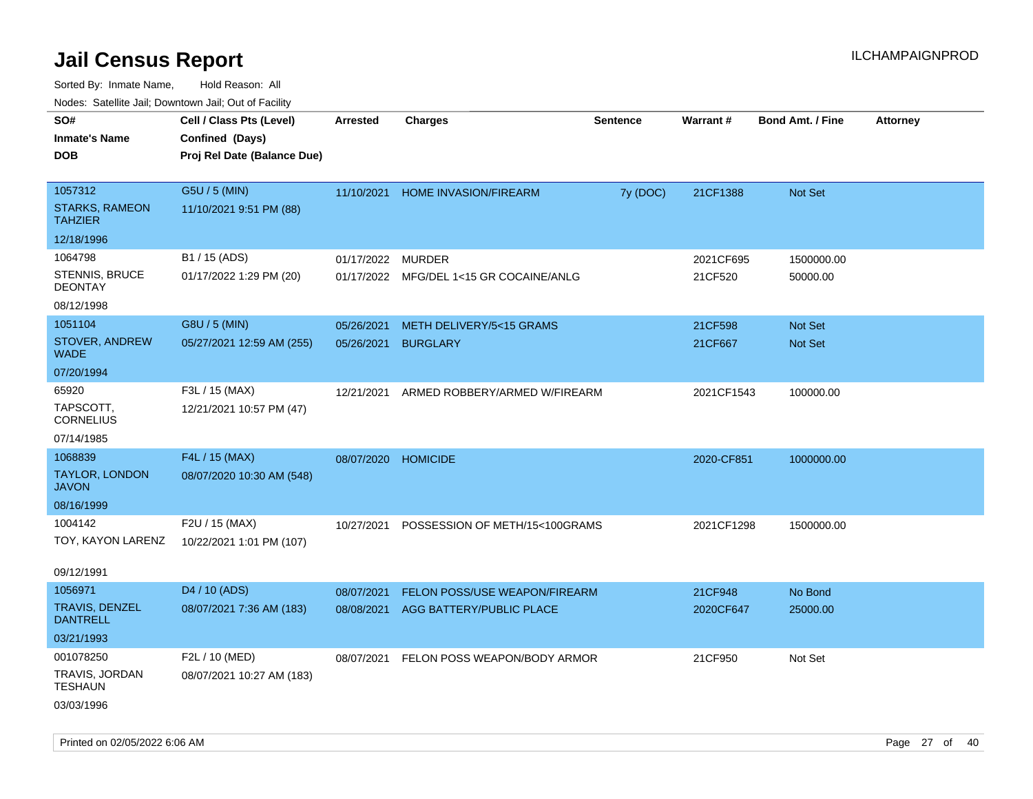| Nodes. Salenne Jan, Downlown Jan, Out of Facility |                             |                 |                                |                 |                 |                         |                 |
|---------------------------------------------------|-----------------------------|-----------------|--------------------------------|-----------------|-----------------|-------------------------|-----------------|
| SO#                                               | Cell / Class Pts (Level)    | <b>Arrested</b> | <b>Charges</b>                 | <b>Sentence</b> | <b>Warrant#</b> | <b>Bond Amt. / Fine</b> | <b>Attorney</b> |
| <b>Inmate's Name</b>                              | Confined (Days)             |                 |                                |                 |                 |                         |                 |
| <b>DOB</b>                                        | Proj Rel Date (Balance Due) |                 |                                |                 |                 |                         |                 |
|                                                   |                             |                 |                                |                 |                 |                         |                 |
| 1057312                                           | G5U / 5 (MIN)               | 11/10/2021      | HOME INVASION/FIREARM          | 7y (DOC)        | 21CF1388        | Not Set                 |                 |
| <b>STARKS, RAMEON</b><br><b>TAHZIER</b>           | 11/10/2021 9:51 PM (88)     |                 |                                |                 |                 |                         |                 |
| 12/18/1996                                        |                             |                 |                                |                 |                 |                         |                 |
| 1064798                                           | B1 / 15 (ADS)               | 01/17/2022      | <b>MURDER</b>                  |                 | 2021CF695       | 1500000.00              |                 |
| <b>STENNIS, BRUCE</b><br><b>DEONTAY</b>           | 01/17/2022 1:29 PM (20)     | 01/17/2022      | MFG/DEL 1<15 GR COCAINE/ANLG   |                 | 21CF520         | 50000.00                |                 |
| 08/12/1998                                        |                             |                 |                                |                 |                 |                         |                 |
| 1051104                                           | G8U / 5 (MIN)               | 05/26/2021      | METH DELIVERY/5<15 GRAMS       |                 | 21CF598         | <b>Not Set</b>          |                 |
| STOVER, ANDREW<br><b>WADE</b>                     | 05/27/2021 12:59 AM (255)   | 05/26/2021      | <b>BURGLARY</b>                |                 | 21CF667         | <b>Not Set</b>          |                 |
| 07/20/1994                                        |                             |                 |                                |                 |                 |                         |                 |
| 65920                                             | F3L / 15 (MAX)              | 12/21/2021      | ARMED ROBBERY/ARMED W/FIREARM  |                 | 2021CF1543      | 100000.00               |                 |
| TAPSCOTT,<br><b>CORNELIUS</b>                     | 12/21/2021 10:57 PM (47)    |                 |                                |                 |                 |                         |                 |
| 07/14/1985                                        |                             |                 |                                |                 |                 |                         |                 |
| 1068839                                           | F4L / 15 (MAX)              | 08/07/2020      | <b>HOMICIDE</b>                |                 | 2020-CF851      | 1000000.00              |                 |
| TAYLOR, LONDON<br><b>JAVON</b>                    | 08/07/2020 10:30 AM (548)   |                 |                                |                 |                 |                         |                 |
| 08/16/1999                                        |                             |                 |                                |                 |                 |                         |                 |
| 1004142                                           | F2U / 15 (MAX)              | 10/27/2021      | POSSESSION OF METH/15<100GRAMS |                 | 2021CF1298      | 1500000.00              |                 |
| TOY, KAYON LARENZ                                 | 10/22/2021 1:01 PM (107)    |                 |                                |                 |                 |                         |                 |
| 09/12/1991                                        |                             |                 |                                |                 |                 |                         |                 |
| 1056971                                           | D4 / 10 (ADS)               | 08/07/2021      | FELON POSS/USE WEAPON/FIREARM  |                 | 21CF948         | No Bond                 |                 |
| <b>TRAVIS, DENZEL</b><br>DANTRELL                 | 08/07/2021 7:36 AM (183)    | 08/08/2021      | AGG BATTERY/PUBLIC PLACE       |                 | 2020CF647       | 25000.00                |                 |
| 03/21/1993                                        |                             |                 |                                |                 |                 |                         |                 |
| 001078250                                         | F2L / 10 (MED)              | 08/07/2021      | FELON POSS WEAPON/BODY ARMOR   |                 | 21CF950         | Not Set                 |                 |
| TRAVIS, JORDAN<br><b>TESHAUN</b>                  | 08/07/2021 10:27 AM (183)   |                 |                                |                 |                 |                         |                 |
| 03/03/1996                                        |                             |                 |                                |                 |                 |                         |                 |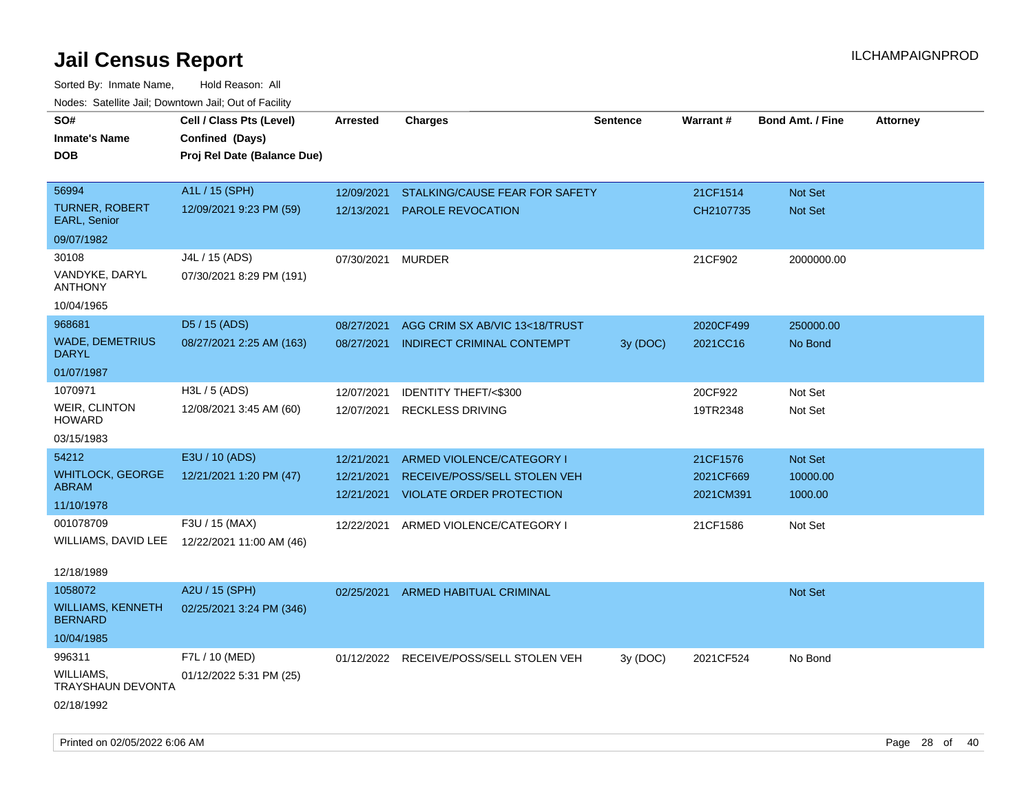| rouco. Calcinic Jan, Downtown Jan, Out of Facility |                             |                 |                                   |                 |           |                         |                 |
|----------------------------------------------------|-----------------------------|-----------------|-----------------------------------|-----------------|-----------|-------------------------|-----------------|
| SO#                                                | Cell / Class Pts (Level)    | <b>Arrested</b> | Charges                           | <b>Sentence</b> | Warrant#  | <b>Bond Amt. / Fine</b> | <b>Attorney</b> |
| Inmate's Name                                      | Confined (Days)             |                 |                                   |                 |           |                         |                 |
| <b>DOB</b>                                         | Proj Rel Date (Balance Due) |                 |                                   |                 |           |                         |                 |
|                                                    |                             |                 |                                   |                 |           |                         |                 |
| 56994                                              | A1L / 15 (SPH)              | 12/09/2021      | STALKING/CAUSE FEAR FOR SAFETY    |                 | 21CF1514  | Not Set                 |                 |
| <b>TURNER, ROBERT</b><br><b>EARL, Senior</b>       | 12/09/2021 9:23 PM (59)     | 12/13/2021      | <b>PAROLE REVOCATION</b>          |                 | CH2107735 | Not Set                 |                 |
| 09/07/1982                                         |                             |                 |                                   |                 |           |                         |                 |
| 30108                                              | J4L / 15 (ADS)              | 07/30/2021      | <b>MURDER</b>                     |                 | 21CF902   | 2000000.00              |                 |
| VANDYKE, DARYL<br>ANTHONY                          | 07/30/2021 8:29 PM (191)    |                 |                                   |                 |           |                         |                 |
| 10/04/1965                                         |                             |                 |                                   |                 |           |                         |                 |
| 968681                                             | D <sub>5</sub> / 15 (ADS)   | 08/27/2021      | AGG CRIM SX AB/VIC 13<18/TRUST    |                 | 2020CF499 | 250000.00               |                 |
| WADE, DEMETRIUS<br>DARYL                           | 08/27/2021 2:25 AM (163)    | 08/27/2021      | <b>INDIRECT CRIMINAL CONTEMPT</b> | 3y (DOC)        | 2021CC16  | No Bond                 |                 |
| 01/07/1987                                         |                             |                 |                                   |                 |           |                         |                 |
| 1070971                                            | H3L / 5 (ADS)               | 12/07/2021      | <b>IDENTITY THEFT/&lt;\$300</b>   |                 | 20CF922   | Not Set                 |                 |
| <b>WEIR, CLINTON</b><br>HOWARD                     | 12/08/2021 3:45 AM (60)     | 12/07/2021      | <b>RECKLESS DRIVING</b>           |                 | 19TR2348  | Not Set                 |                 |
| 03/15/1983                                         |                             |                 |                                   |                 |           |                         |                 |
| 54212                                              | E3U / 10 (ADS)              | 12/21/2021      | ARMED VIOLENCE/CATEGORY I         |                 | 21CF1576  | Not Set                 |                 |
| WHITLOCK, GEORGE                                   | 12/21/2021 1:20 PM (47)     | 12/21/2021      | RECEIVE/POSS/SELL STOLEN VEH      |                 | 2021CF669 | 10000.00                |                 |
| ABRAM                                              |                             | 12/21/2021      | <b>VIOLATE ORDER PROTECTION</b>   |                 | 2021CM391 | 1000.00                 |                 |
| 11/10/1978                                         |                             |                 |                                   |                 |           |                         |                 |
| 001078709                                          | F3U / 15 (MAX)              | 12/22/2021      | ARMED VIOLENCE/CATEGORY I         |                 | 21CF1586  | Not Set                 |                 |
| WILLIAMS, DAVID LEE                                | 12/22/2021 11:00 AM (46)    |                 |                                   |                 |           |                         |                 |
| 12/18/1989                                         |                             |                 |                                   |                 |           |                         |                 |
| 1058072                                            | A2U / 15 (SPH)              | 02/25/2021      | <b>ARMED HABITUAL CRIMINAL</b>    |                 |           | <b>Not Set</b>          |                 |
| WILLIAMS, KENNETH<br><b>BERNARD</b>                | 02/25/2021 3:24 PM (346)    |                 |                                   |                 |           |                         |                 |
| 10/04/1985                                         |                             |                 |                                   |                 |           |                         |                 |
| 996311                                             | F7L / 10 (MED)              | 01/12/2022      | RECEIVE/POSS/SELL STOLEN VEH      | 3y (DOC)        | 2021CF524 | No Bond                 |                 |
| WILLIAMS,<br><b>TRAYSHAUN DEVONTA</b>              | 01/12/2022 5:31 PM (25)     |                 |                                   |                 |           |                         |                 |
| 02/18/1992                                         |                             |                 |                                   |                 |           |                         |                 |
|                                                    |                             |                 |                                   |                 |           |                         |                 |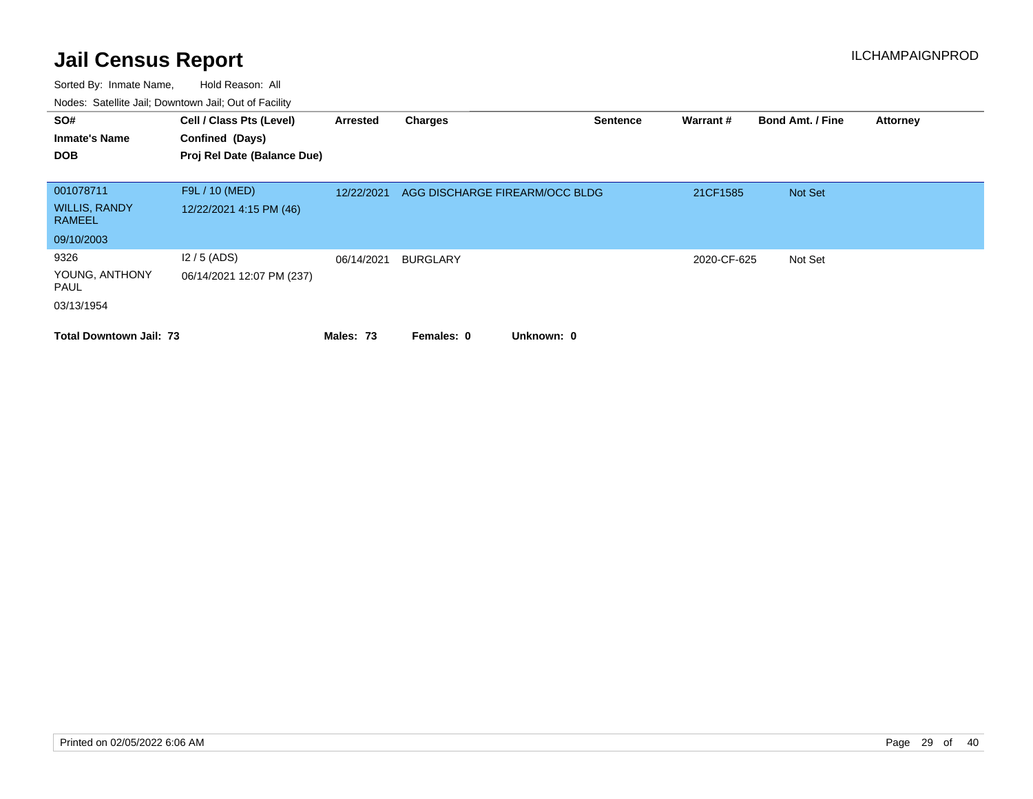| SO#<br><b>Inmate's Name</b><br><b>DOB</b> | Cell / Class Pts (Level)<br>Confined (Days)<br>Proj Rel Date (Balance Due) | Arrested   | <b>Charges</b>                 | <b>Sentence</b> | Warrant#    | <b>Bond Amt. / Fine</b> | <b>Attorney</b> |
|-------------------------------------------|----------------------------------------------------------------------------|------------|--------------------------------|-----------------|-------------|-------------------------|-----------------|
| 001078711                                 | F9L / 10 (MED)                                                             |            |                                |                 |             |                         |                 |
| <b>WILLIS, RANDY</b><br><b>RAMEEL</b>     | 12/22/2021 4:15 PM (46)                                                    | 12/22/2021 | AGG DISCHARGE FIREARM/OCC BLDG |                 | 21CF1585    | Not Set                 |                 |
| 09/10/2003                                |                                                                            |            |                                |                 |             |                         |                 |
| 9326                                      | $12/5$ (ADS)                                                               | 06/14/2021 | <b>BURGLARY</b>                |                 | 2020-CF-625 | Not Set                 |                 |
| YOUNG, ANTHONY<br>PAUL                    | 06/14/2021 12:07 PM (237)                                                  |            |                                |                 |             |                         |                 |
| 03/13/1954                                |                                                                            |            |                                |                 |             |                         |                 |
| <b>Total Downtown Jail: 73</b>            |                                                                            | Males: 73  | Unknown: 0<br>Females: 0       |                 |             |                         |                 |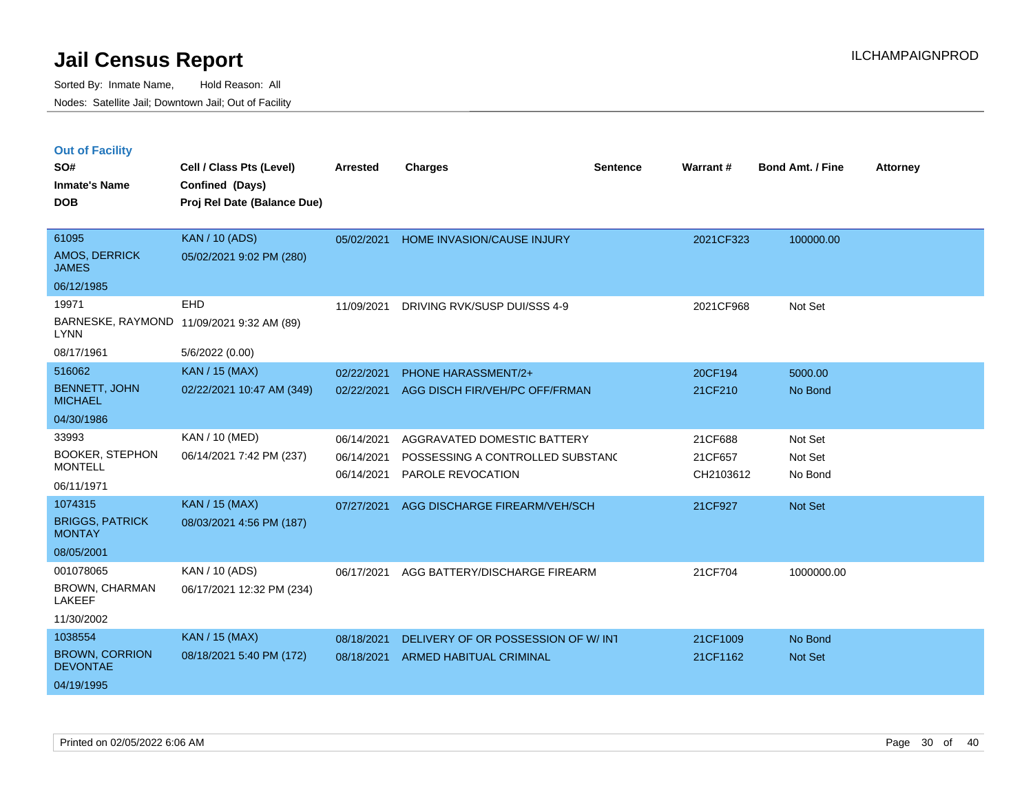|  | <b>Out of Facility</b> |
|--|------------------------|
|--|------------------------|

| SO#<br><b>Inmate's Name</b>                                       | Cell / Class Pts (Level)<br>Confined (Days)        | <b>Arrested</b>                        | <b>Charges</b>                                                                       | <b>Sentence</b> | Warrant#                        | <b>Bond Amt. / Fine</b>       | <b>Attorney</b> |
|-------------------------------------------------------------------|----------------------------------------------------|----------------------------------------|--------------------------------------------------------------------------------------|-----------------|---------------------------------|-------------------------------|-----------------|
| <b>DOB</b>                                                        | Proj Rel Date (Balance Due)                        |                                        |                                                                                      |                 |                                 |                               |                 |
| 61095<br><b>AMOS, DERRICK</b><br><b>JAMES</b><br>06/12/1985       | <b>KAN / 10 (ADS)</b><br>05/02/2021 9:02 PM (280)  | 05/02/2021                             | HOME INVASION/CAUSE INJURY                                                           |                 | 2021CF323                       | 100000.00                     |                 |
| 19971<br>BARNESKE, RAYMOND<br><b>LYNN</b><br>08/17/1961           | EHD<br>11/09/2021 9:32 AM (89)<br>5/6/2022 (0.00)  | 11/09/2021                             | DRIVING RVK/SUSP DUI/SSS 4-9                                                         |                 | 2021CF968                       | Not Set                       |                 |
| 516062<br><b>BENNETT, JOHN</b><br><b>MICHAEL</b><br>04/30/1986    | <b>KAN / 15 (MAX)</b><br>02/22/2021 10:47 AM (349) | 02/22/2021<br>02/22/2021               | PHONE HARASSMENT/2+<br>AGG DISCH FIR/VEH/PC OFF/FRMAN                                |                 | 20CF194<br>21CF210              | 5000.00<br>No Bond            |                 |
| 33993<br><b>BOOKER, STEPHON</b><br><b>MONTELL</b><br>06/11/1971   | <b>KAN / 10 (MED)</b><br>06/14/2021 7:42 PM (237)  | 06/14/2021<br>06/14/2021<br>06/14/2021 | AGGRAVATED DOMESTIC BATTERY<br>POSSESSING A CONTROLLED SUBSTANC<br>PAROLE REVOCATION |                 | 21CF688<br>21CF657<br>CH2103612 | Not Set<br>Not Set<br>No Bond |                 |
| 1074315<br><b>BRIGGS, PATRICK</b><br><b>MONTAY</b><br>08/05/2001  | KAN / 15 (MAX)<br>08/03/2021 4:56 PM (187)         | 07/27/2021                             | AGG DISCHARGE FIREARM/VEH/SCH                                                        |                 | 21CF927                         | Not Set                       |                 |
| 001078065<br><b>BROWN, CHARMAN</b><br><b>LAKEEF</b><br>11/30/2002 | KAN / 10 (ADS)<br>06/17/2021 12:32 PM (234)        | 06/17/2021                             | AGG BATTERY/DISCHARGE FIREARM                                                        |                 | 21CF704                         | 1000000.00                    |                 |
| 1038554<br><b>BROWN, CORRION</b><br><b>DEVONTAE</b><br>04/19/1995 | KAN / 15 (MAX)<br>08/18/2021 5:40 PM (172)         | 08/18/2021<br>08/18/2021               | DELIVERY OF OR POSSESSION OF W/INT<br>ARMED HABITUAL CRIMINAL                        |                 | 21CF1009<br>21CF1162            | No Bond<br>Not Set            |                 |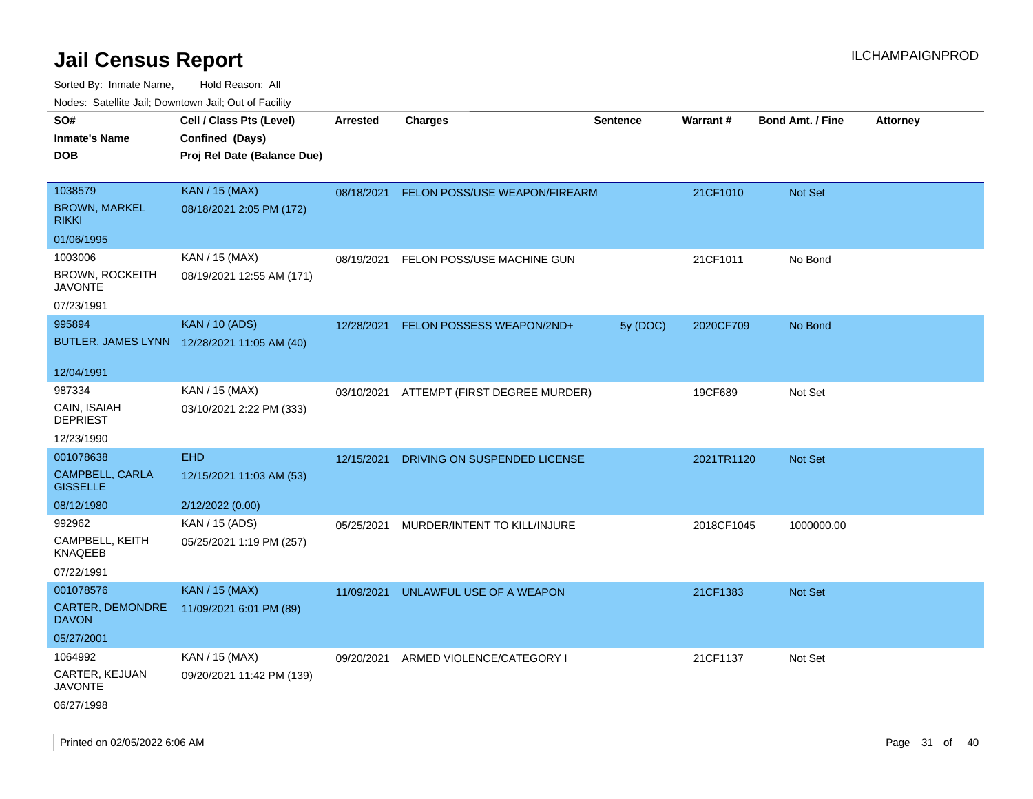| ivouss. Satellite Jali, Downtown Jali, Out of Facility |                                             |            |                                          |                 |            |                         |                 |
|--------------------------------------------------------|---------------------------------------------|------------|------------------------------------------|-----------------|------------|-------------------------|-----------------|
| SO#                                                    | Cell / Class Pts (Level)                    | Arrested   | <b>Charges</b>                           | <b>Sentence</b> | Warrant#   | <b>Bond Amt. / Fine</b> | <b>Attorney</b> |
| Inmate's Name                                          | Confined (Days)                             |            |                                          |                 |            |                         |                 |
| DOB                                                    | Proj Rel Date (Balance Due)                 |            |                                          |                 |            |                         |                 |
|                                                        |                                             |            |                                          |                 |            |                         |                 |
| 1038579                                                | <b>KAN / 15 (MAX)</b>                       | 08/18/2021 | FELON POSS/USE WEAPON/FIREARM            |                 | 21CF1010   | Not Set                 |                 |
| <b>BROWN, MARKEL</b><br>rikki                          | 08/18/2021 2:05 PM (172)                    |            |                                          |                 |            |                         |                 |
| 01/06/1995                                             |                                             |            |                                          |                 |            |                         |                 |
| 1003006                                                | KAN / 15 (MAX)                              | 08/19/2021 | FELON POSS/USE MACHINE GUN               |                 | 21CF1011   | No Bond                 |                 |
| BROWN, ROCKEITH<br>JAVONTE                             | 08/19/2021 12:55 AM (171)                   |            |                                          |                 |            |                         |                 |
| 07/23/1991                                             |                                             |            |                                          |                 |            |                         |                 |
| 995894                                                 | <b>KAN / 10 (ADS)</b>                       | 12/28/2021 | FELON POSSESS WEAPON/2ND+                | 5y (DOC)        | 2020CF709  | No Bond                 |                 |
|                                                        | BUTLER, JAMES LYNN 12/28/2021 11:05 AM (40) |            |                                          |                 |            |                         |                 |
| 12/04/1991                                             |                                             |            |                                          |                 |            |                         |                 |
|                                                        |                                             |            |                                          |                 |            |                         |                 |
| 987334                                                 | KAN / 15 (MAX)                              |            | 03/10/2021 ATTEMPT (FIRST DEGREE MURDER) |                 | 19CF689    | Not Set                 |                 |
| CAIN, ISAIAH<br><b>DEPRIEST</b>                        | 03/10/2021 2:22 PM (333)                    |            |                                          |                 |            |                         |                 |
| 12/23/1990                                             |                                             |            |                                          |                 |            |                         |                 |
| 001078638                                              | <b>EHD</b>                                  | 12/15/2021 | DRIVING ON SUSPENDED LICENSE             |                 | 2021TR1120 | <b>Not Set</b>          |                 |
| CAMPBELL, CARLA<br><b>GISSELLE</b>                     | 12/15/2021 11:03 AM (53)                    |            |                                          |                 |            |                         |                 |
| 08/12/1980                                             | 2/12/2022 (0.00)                            |            |                                          |                 |            |                         |                 |
| 992962                                                 | KAN / 15 (ADS)                              | 05/25/2021 | MURDER/INTENT TO KILL/INJURE             |                 | 2018CF1045 | 1000000.00              |                 |
| CAMPBELL, KEITH<br>KNAQEEB                             | 05/25/2021 1:19 PM (257)                    |            |                                          |                 |            |                         |                 |
| 07/22/1991                                             |                                             |            |                                          |                 |            |                         |                 |
| 001078576                                              | <b>KAN / 15 (MAX)</b>                       | 11/09/2021 | UNLAWFUL USE OF A WEAPON                 |                 | 21CF1383   | <b>Not Set</b>          |                 |
| <b>CARTER, DEMONDRE</b><br>DAVON                       | 11/09/2021 6:01 PM (89)                     |            |                                          |                 |            |                         |                 |
| 05/27/2001                                             |                                             |            |                                          |                 |            |                         |                 |
| 1064992                                                | KAN / 15 (MAX)                              | 09/20/2021 | ARMED VIOLENCE/CATEGORY I                |                 | 21CF1137   | Not Set                 |                 |
| CARTER, KEJUAN<br>JAVONTE                              | 09/20/2021 11:42 PM (139)                   |            |                                          |                 |            |                         |                 |
| 06/27/1998                                             |                                             |            |                                          |                 |            |                         |                 |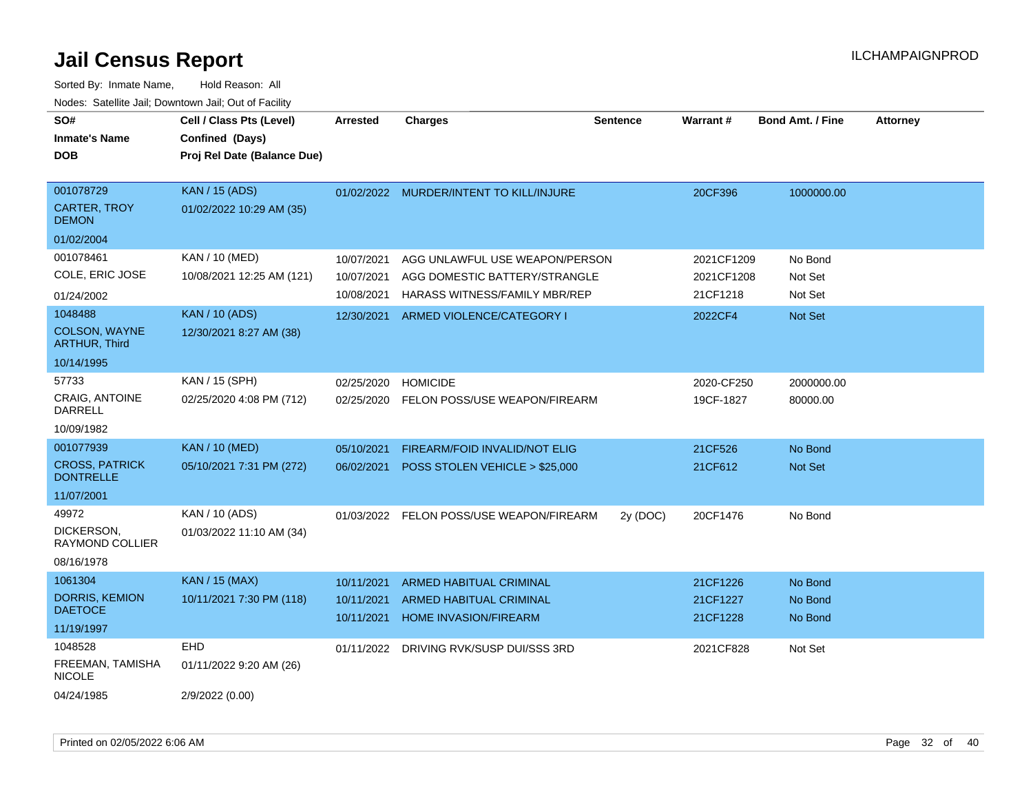| SO#<br><b>Inmate's Name</b><br><b>DOB</b>                            | Cell / Class Pts (Level)<br>Confined (Days)<br>Proj Rel Date (Balance Due) | <b>Arrested</b>                        | <b>Charges</b>                                                                                   | <b>Sentence</b> | <b>Warrant#</b>                      | <b>Bond Amt. / Fine</b>       | Attorney |
|----------------------------------------------------------------------|----------------------------------------------------------------------------|----------------------------------------|--------------------------------------------------------------------------------------------------|-----------------|--------------------------------------|-------------------------------|----------|
| 001078729<br>CARTER, TROY<br><b>DEMON</b><br>01/02/2004              | <b>KAN / 15 (ADS)</b><br>01/02/2022 10:29 AM (35)                          |                                        | 01/02/2022 MURDER/INTENT TO KILL/INJURE                                                          |                 | 20CF396                              | 1000000.00                    |          |
| 001078461<br>COLE, ERIC JOSE<br>01/24/2002                           | <b>KAN / 10 (MED)</b><br>10/08/2021 12:25 AM (121)                         | 10/07/2021<br>10/07/2021<br>10/08/2021 | AGG UNLAWFUL USE WEAPON/PERSON<br>AGG DOMESTIC BATTERY/STRANGLE<br>HARASS WITNESS/FAMILY MBR/REP |                 | 2021CF1209<br>2021CF1208<br>21CF1218 | No Bond<br>Not Set<br>Not Set |          |
| 1048488<br>COLSON, WAYNE<br><b>ARTHUR, Third</b><br>10/14/1995       | <b>KAN / 10 (ADS)</b><br>12/30/2021 8:27 AM (38)                           | 12/30/2021                             | ARMED VIOLENCE/CATEGORY I                                                                        |                 | 2022CF4                              | Not Set                       |          |
| 57733<br>CRAIG, ANTOINE<br>DARRELL<br>10/09/1982                     | KAN / 15 (SPH)<br>02/25/2020 4:08 PM (712)                                 | 02/25/2020<br>02/25/2020               | <b>HOMICIDE</b><br>FELON POSS/USE WEAPON/FIREARM                                                 |                 | 2020-CF250<br>19CF-1827              | 2000000.00<br>80000.00        |          |
| 001077939<br><b>CROSS, PATRICK</b><br><b>DONTRELLE</b><br>11/07/2001 | <b>KAN / 10 (MED)</b><br>05/10/2021 7:31 PM (272)                          | 05/10/2021<br>06/02/2021               | FIREARM/FOID INVALID/NOT ELIG<br>POSS STOLEN VEHICLE > \$25,000                                  |                 | 21CF526<br>21CF612                   | No Bond<br>Not Set            |          |
| 49972<br>DICKERSON,<br>RAYMOND COLLIER<br>08/16/1978                 | KAN / 10 (ADS)<br>01/03/2022 11:10 AM (34)                                 | 01/03/2022                             | FELON POSS/USE WEAPON/FIREARM                                                                    | 2y (DOC)        | 20CF1476                             | No Bond                       |          |
| 1061304<br><b>DORRIS, KEMION</b><br><b>DAETOCE</b><br>11/19/1997     | <b>KAN / 15 (MAX)</b><br>10/11/2021 7:30 PM (118)                          | 10/11/2021<br>10/11/2021<br>10/11/2021 | ARMED HABITUAL CRIMINAL<br>ARMED HABITUAL CRIMINAL<br><b>HOME INVASION/FIREARM</b>               |                 | 21CF1226<br>21CF1227<br>21CF1228     | No Bond<br>No Bond<br>No Bond |          |
| 1048528<br>FREEMAN, TAMISHA<br><b>NICOLE</b><br>04/24/1985           | EHD<br>01/11/2022 9:20 AM (26)<br>2/9/2022 (0.00)                          | 01/11/2022                             | DRIVING RVK/SUSP DUI/SSS 3RD                                                                     |                 | 2021CF828                            | Not Set                       |          |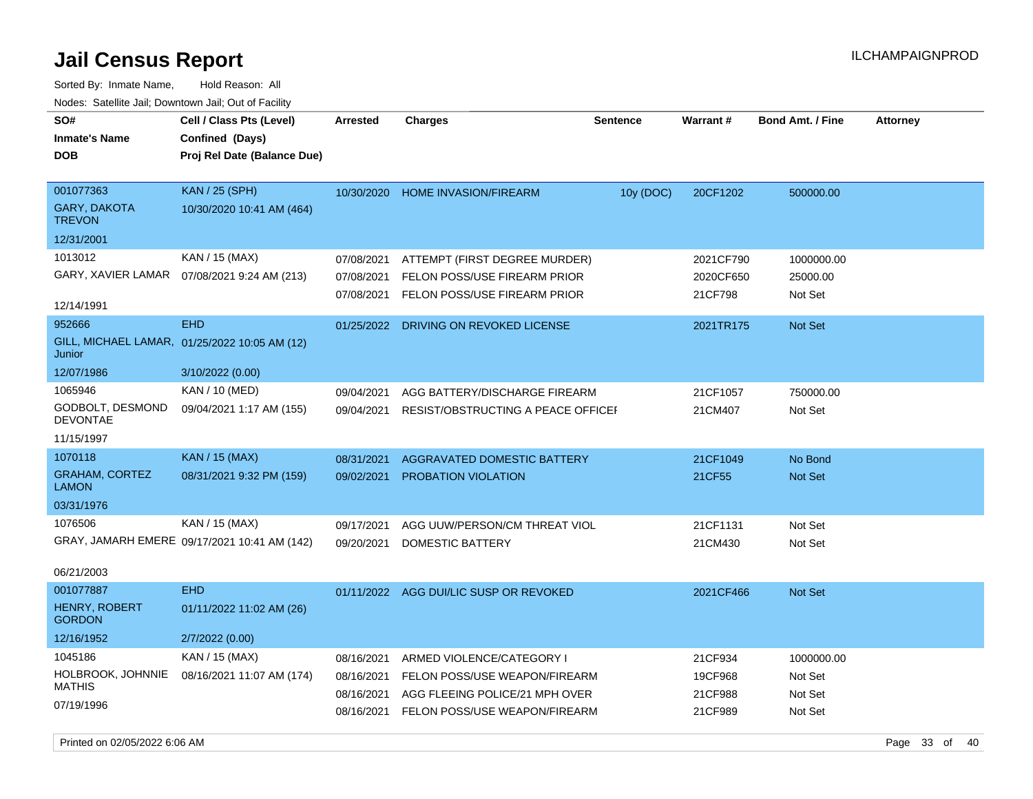| Nuuts. Saltiille Jall, Duwilluwii Jall, Oul UI Facility |                                               |                 |                                        |                 |                 |                         |                 |
|---------------------------------------------------------|-----------------------------------------------|-----------------|----------------------------------------|-----------------|-----------------|-------------------------|-----------------|
| SO#                                                     | Cell / Class Pts (Level)                      | <b>Arrested</b> | <b>Charges</b>                         | <b>Sentence</b> | <b>Warrant#</b> | <b>Bond Amt. / Fine</b> | <b>Attorney</b> |
| <b>Inmate's Name</b>                                    | Confined (Days)                               |                 |                                        |                 |                 |                         |                 |
| <b>DOB</b>                                              | Proj Rel Date (Balance Due)                   |                 |                                        |                 |                 |                         |                 |
|                                                         |                                               |                 |                                        |                 |                 |                         |                 |
| 001077363                                               | <b>KAN</b> / 25 (SPH)                         | 10/30/2020      | <b>HOME INVASION/FIREARM</b>           | 10y (DOC)       | 20CF1202        | 500000.00               |                 |
| <b>GARY, DAKOTA</b><br><b>TREVON</b>                    | 10/30/2020 10:41 AM (464)                     |                 |                                        |                 |                 |                         |                 |
| 12/31/2001                                              |                                               |                 |                                        |                 |                 |                         |                 |
| 1013012                                                 | KAN / 15 (MAX)                                | 07/08/2021      | ATTEMPT (FIRST DEGREE MURDER)          |                 | 2021CF790       | 1000000.00              |                 |
|                                                         | GARY, XAVIER LAMAR  07/08/2021 9:24 AM (213)  | 07/08/2021      | FELON POSS/USE FIREARM PRIOR           |                 | 2020CF650       | 25000.00                |                 |
|                                                         |                                               | 07/08/2021      | FELON POSS/USE FIREARM PRIOR           |                 | 21CF798         | Not Set                 |                 |
| 12/14/1991                                              |                                               |                 |                                        |                 |                 |                         |                 |
| 952666                                                  | <b>EHD</b>                                    | 01/25/2022      | DRIVING ON REVOKED LICENSE             |                 | 2021TR175       | <b>Not Set</b>          |                 |
| Junior                                                  | GILL, MICHAEL LAMAR, 01/25/2022 10:05 AM (12) |                 |                                        |                 |                 |                         |                 |
| 12/07/1986                                              | 3/10/2022 (0.00)                              |                 |                                        |                 |                 |                         |                 |
| 1065946                                                 | KAN / 10 (MED)                                | 09/04/2021      | AGG BATTERY/DISCHARGE FIREARM          |                 | 21CF1057        | 750000.00               |                 |
| GODBOLT, DESMOND<br>DEVONTAE                            | 09/04/2021 1:17 AM (155)                      | 09/04/2021      | RESIST/OBSTRUCTING A PEACE OFFICEF     |                 | 21CM407         | Not Set                 |                 |
| 11/15/1997                                              |                                               |                 |                                        |                 |                 |                         |                 |
| 1070118                                                 | KAN / 15 (MAX)                                | 08/31/2021      | AGGRAVATED DOMESTIC BATTERY            |                 | 21CF1049        | No Bond                 |                 |
| <b>GRAHAM, CORTEZ</b><br><b>LAMON</b>                   | 08/31/2021 9:32 PM (159)                      | 09/02/2021      | PROBATION VIOLATION                    |                 | 21CF55          | Not Set                 |                 |
| 03/31/1976                                              |                                               |                 |                                        |                 |                 |                         |                 |
| 1076506                                                 | KAN / 15 (MAX)                                | 09/17/2021      | AGG UUW/PERSON/CM THREAT VIOL          |                 | 21CF1131        | Not Set                 |                 |
|                                                         | GRAY, JAMARH EMERE 09/17/2021 10:41 AM (142)  | 09/20/2021      | DOMESTIC BATTERY                       |                 | 21CM430         | Not Set                 |                 |
|                                                         |                                               |                 |                                        |                 |                 |                         |                 |
| 06/21/2003                                              |                                               |                 |                                        |                 |                 |                         |                 |
| 001077887                                               | <b>EHD</b>                                    |                 | 01/11/2022 AGG DUI/LIC SUSP OR REVOKED |                 | 2021CF466       | <b>Not Set</b>          |                 |
| <b>HENRY, ROBERT</b><br><b>GORDON</b>                   | 01/11/2022 11:02 AM (26)                      |                 |                                        |                 |                 |                         |                 |
| 12/16/1952                                              | 2/7/2022 (0.00)                               |                 |                                        |                 |                 |                         |                 |
| 1045186                                                 | KAN / 15 (MAX)                                | 08/16/2021      | ARMED VIOLENCE/CATEGORY I              |                 | 21CF934         | 1000000.00              |                 |
| HOLBROOK, JOHNNIE                                       | 08/16/2021 11:07 AM (174)                     | 08/16/2021      | FELON POSS/USE WEAPON/FIREARM          |                 | 19CF968         | Not Set                 |                 |
| <b>MATHIS</b>                                           |                                               | 08/16/2021      | AGG FLEEING POLICE/21 MPH OVER         |                 | 21CF988         | Not Set                 |                 |
| 07/19/1996                                              |                                               | 08/16/2021      | FELON POSS/USE WEAPON/FIREARM          |                 | 21CF989         | Not Set                 |                 |
|                                                         |                                               |                 |                                        |                 |                 |                         |                 |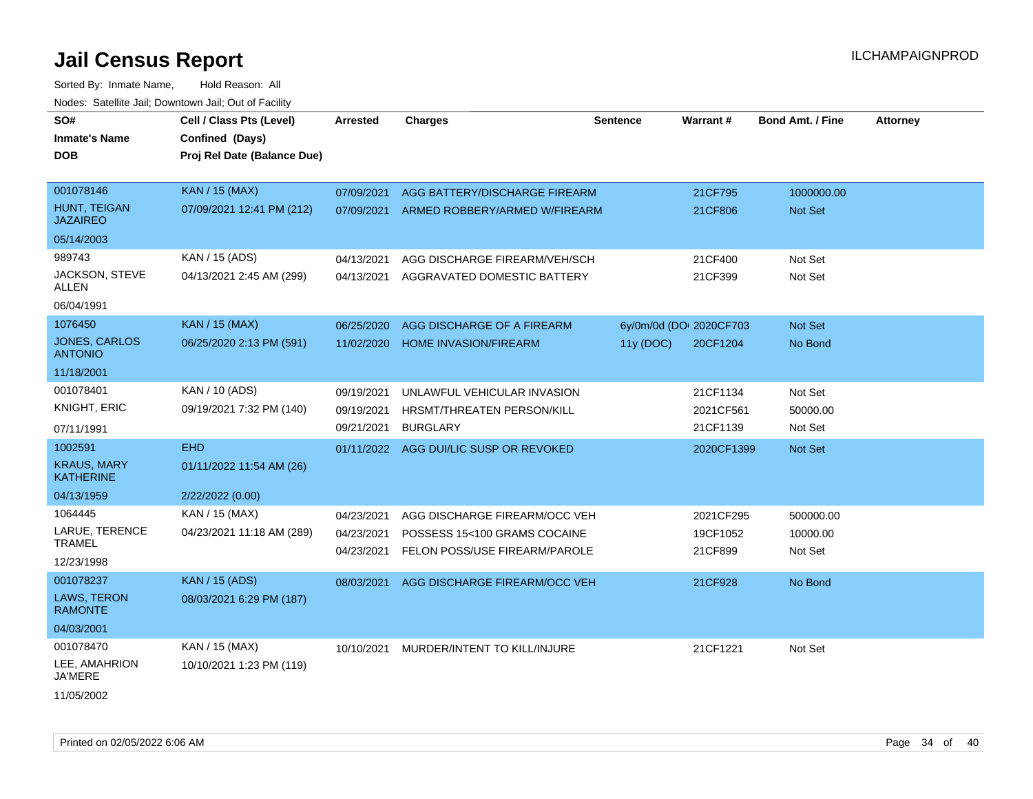| SO#                                    | Cell / Class Pts (Level)    | <b>Arrested</b> | <b>Charges</b>                         | <b>Sentence</b> | <b>Warrant#</b>         | <b>Bond Amt. / Fine</b> | <b>Attorney</b> |
|----------------------------------------|-----------------------------|-----------------|----------------------------------------|-----------------|-------------------------|-------------------------|-----------------|
| <b>Inmate's Name</b>                   | Confined (Days)             |                 |                                        |                 |                         |                         |                 |
| <b>DOB</b>                             | Proj Rel Date (Balance Due) |                 |                                        |                 |                         |                         |                 |
|                                        |                             |                 |                                        |                 |                         |                         |                 |
| 001078146                              | <b>KAN / 15 (MAX)</b>       | 07/09/2021      | AGG BATTERY/DISCHARGE FIREARM          |                 | 21CF795                 | 1000000.00              |                 |
| HUNT, TEIGAN<br><b>JAZAIREO</b>        | 07/09/2021 12:41 PM (212)   | 07/09/2021      | ARMED ROBBERY/ARMED W/FIREARM          |                 | 21CF806                 | <b>Not Set</b>          |                 |
| 05/14/2003                             |                             |                 |                                        |                 |                         |                         |                 |
| 989743                                 | KAN / 15 (ADS)              | 04/13/2021      | AGG DISCHARGE FIREARM/VEH/SCH          |                 | 21CF400                 | Not Set                 |                 |
| JACKSON, STEVE<br>ALLEN                | 04/13/2021 2:45 AM (299)    | 04/13/2021      | AGGRAVATED DOMESTIC BATTERY            |                 | 21CF399                 | Not Set                 |                 |
| 06/04/1991                             |                             |                 |                                        |                 |                         |                         |                 |
| 1076450                                | <b>KAN / 15 (MAX)</b>       | 06/25/2020      | AGG DISCHARGE OF A FIREARM             |                 | 6y/0m/0d (DOI 2020CF703 | <b>Not Set</b>          |                 |
| JONES, CARLOS<br><b>ANTONIO</b>        | 06/25/2020 2:13 PM (591)    | 11/02/2020      | <b>HOME INVASION/FIREARM</b>           | 11y (DOC)       | 20CF1204                | No Bond                 |                 |
| 11/18/2001                             |                             |                 |                                        |                 |                         |                         |                 |
| 001078401                              | KAN / 10 (ADS)              | 09/19/2021      | UNLAWFUL VEHICULAR INVASION            |                 | 21CF1134                | Not Set                 |                 |
| <b>KNIGHT, ERIC</b>                    | 09/19/2021 7:32 PM (140)    | 09/19/2021      | HRSMT/THREATEN PERSON/KILL             |                 | 2021CF561               | 50000.00                |                 |
| 07/11/1991                             |                             | 09/21/2021      | <b>BURGLARY</b>                        |                 | 21CF1139                | Not Set                 |                 |
| 1002591                                | <b>EHD</b>                  |                 | 01/11/2022 AGG DUI/LIC SUSP OR REVOKED |                 | 2020CF1399              | <b>Not Set</b>          |                 |
| <b>KRAUS, MARY</b><br><b>KATHERINE</b> | 01/11/2022 11:54 AM (26)    |                 |                                        |                 |                         |                         |                 |
| 04/13/1959                             | 2/22/2022 (0.00)            |                 |                                        |                 |                         |                         |                 |
| 1064445                                | KAN / 15 (MAX)              | 04/23/2021      | AGG DISCHARGE FIREARM/OCC VEH          |                 | 2021CF295               | 500000.00               |                 |
| LARUE, TERENCE                         | 04/23/2021 11:18 AM (289)   | 04/23/2021      | POSSESS 15<100 GRAMS COCAINE           |                 | 19CF1052                | 10000.00                |                 |
| TRAMEL                                 |                             | 04/23/2021      | FELON POSS/USE FIREARM/PAROLE          |                 | 21CF899                 | Not Set                 |                 |
| 12/23/1998                             |                             |                 |                                        |                 |                         |                         |                 |
| 001078237                              | <b>KAN / 15 (ADS)</b>       | 08/03/2021      | AGG DISCHARGE FIREARM/OCC VEH          |                 | 21CF928                 | No Bond                 |                 |
| LAWS, TERON<br><b>RAMONTE</b>          | 08/03/2021 6:29 PM (187)    |                 |                                        |                 |                         |                         |                 |
| 04/03/2001                             |                             |                 |                                        |                 |                         |                         |                 |
| 001078470                              | KAN / 15 (MAX)              | 10/10/2021      | MURDER/INTENT TO KILL/INJURE           |                 | 21CF1221                | Not Set                 |                 |
| LEE, AMAHRION<br>JA'MERE               | 10/10/2021 1:23 PM (119)    |                 |                                        |                 |                         |                         |                 |
| 11/05/2002                             |                             |                 |                                        |                 |                         |                         |                 |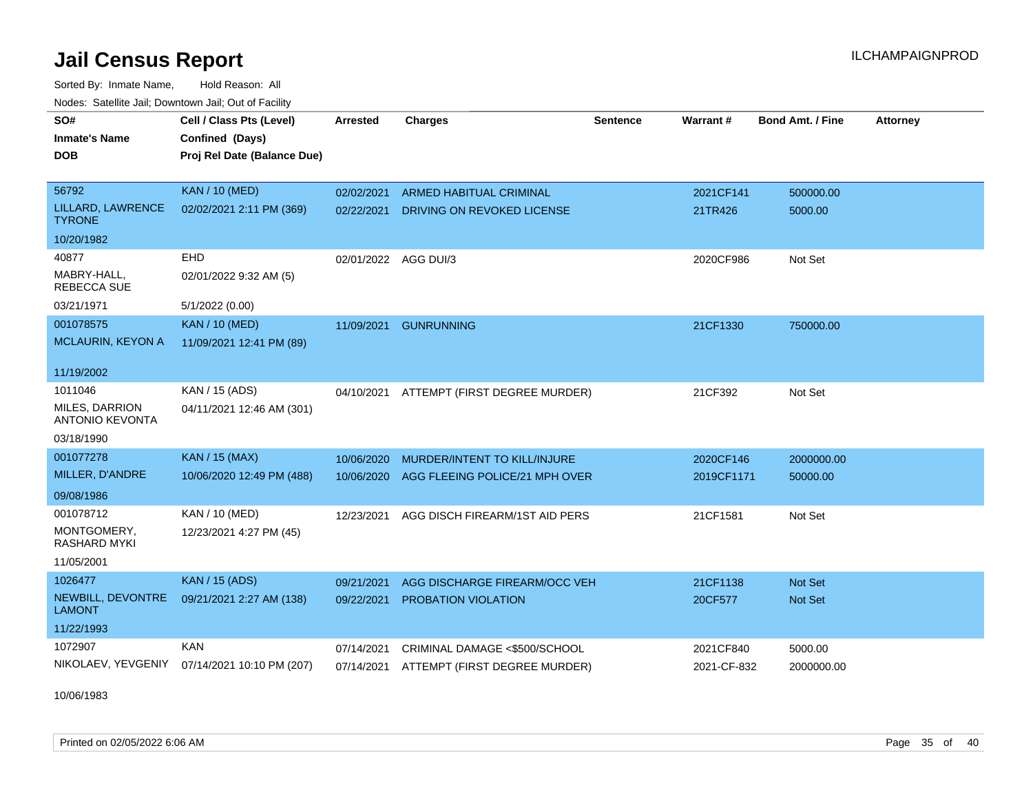Sorted By: Inmate Name, Hold Reason: All Nodes: Satellite Jail; Downtown Jail; Out of Facility

| SO#                                      | Cell / Class Pts (Level)    | <b>Arrested</b>      |                                          | <b>Sentence</b> | Warrant#    | <b>Bond Amt. / Fine</b> | <b>Attorney</b> |
|------------------------------------------|-----------------------------|----------------------|------------------------------------------|-----------------|-------------|-------------------------|-----------------|
|                                          |                             |                      | <b>Charges</b>                           |                 |             |                         |                 |
| <b>Inmate's Name</b>                     | Confined (Days)             |                      |                                          |                 |             |                         |                 |
| <b>DOB</b>                               | Proj Rel Date (Balance Due) |                      |                                          |                 |             |                         |                 |
|                                          |                             |                      |                                          |                 |             |                         |                 |
| 56792                                    | <b>KAN / 10 (MED)</b>       | 02/02/2021           | <b>ARMED HABITUAL CRIMINAL</b>           |                 | 2021CF141   | 500000.00               |                 |
| LILLARD, LAWRENCE<br><b>TYRONE</b>       | 02/02/2021 2:11 PM (369)    | 02/22/2021           | DRIVING ON REVOKED LICENSE               |                 | 21TR426     | 5000.00                 |                 |
| 10/20/1982                               |                             |                      |                                          |                 |             |                         |                 |
| 40877                                    | <b>EHD</b>                  | 02/01/2022 AGG DUI/3 |                                          |                 | 2020CF986   | Not Set                 |                 |
| MABRY-HALL.<br>REBECCA SUE               | 02/01/2022 9:32 AM (5)      |                      |                                          |                 |             |                         |                 |
| 03/21/1971                               | 5/1/2022 (0.00)             |                      |                                          |                 |             |                         |                 |
| 001078575                                | <b>KAN / 10 (MED)</b>       | 11/09/2021           | <b>GUNRUNNING</b>                        |                 | 21CF1330    | 750000.00               |                 |
| MCLAURIN, KEYON A                        | 11/09/2021 12:41 PM (89)    |                      |                                          |                 |             |                         |                 |
|                                          |                             |                      |                                          |                 |             |                         |                 |
| 11/19/2002                               |                             |                      |                                          |                 |             |                         |                 |
| 1011046                                  | KAN / 15 (ADS)              | 04/10/2021           | ATTEMPT (FIRST DEGREE MURDER)            |                 | 21CF392     | Not Set                 |                 |
| MILES, DARRION<br><b>ANTONIO KEVONTA</b> | 04/11/2021 12:46 AM (301)   |                      |                                          |                 |             |                         |                 |
| 03/18/1990                               |                             |                      |                                          |                 |             |                         |                 |
| 001077278                                | <b>KAN / 15 (MAX)</b>       | 10/06/2020           | MURDER/INTENT TO KILL/INJURE             |                 | 2020CF146   | 2000000.00              |                 |
| MILLER, D'ANDRE                          | 10/06/2020 12:49 PM (488)   | 10/06/2020           | AGG FLEEING POLICE/21 MPH OVER           |                 | 2019CF1171  | 50000.00                |                 |
| 09/08/1986                               |                             |                      |                                          |                 |             |                         |                 |
| 001078712                                | KAN / 10 (MED)              | 12/23/2021           | AGG DISCH FIREARM/1ST AID PERS           |                 | 21CF1581    | Not Set                 |                 |
| MONTGOMERY,<br><b>RASHARD MYKI</b>       | 12/23/2021 4:27 PM (45)     |                      |                                          |                 |             |                         |                 |
| 11/05/2001                               |                             |                      |                                          |                 |             |                         |                 |
| 1026477                                  | <b>KAN / 15 (ADS)</b>       | 09/21/2021           | AGG DISCHARGE FIREARM/OCC VEH            |                 | 21CF1138    | Not Set                 |                 |
| NEWBILL, DEVONTRE<br><b>LAMONT</b>       | 09/21/2021 2:27 AM (138)    | 09/22/2021           | PROBATION VIOLATION                      |                 | 20CF577     | Not Set                 |                 |
| 11/22/1993                               |                             |                      |                                          |                 |             |                         |                 |
| 1072907                                  | <b>KAN</b>                  | 07/14/2021           | CRIMINAL DAMAGE <\$500/SCHOOL            |                 | 2021CF840   | 5000.00                 |                 |
| NIKOLAEV, YEVGENIY                       | 07/14/2021 10:10 PM (207)   |                      | 07/14/2021 ATTEMPT (FIRST DEGREE MURDER) |                 | 2021-CF-832 | 2000000.00              |                 |
|                                          |                             |                      |                                          |                 |             |                         |                 |

10/06/1983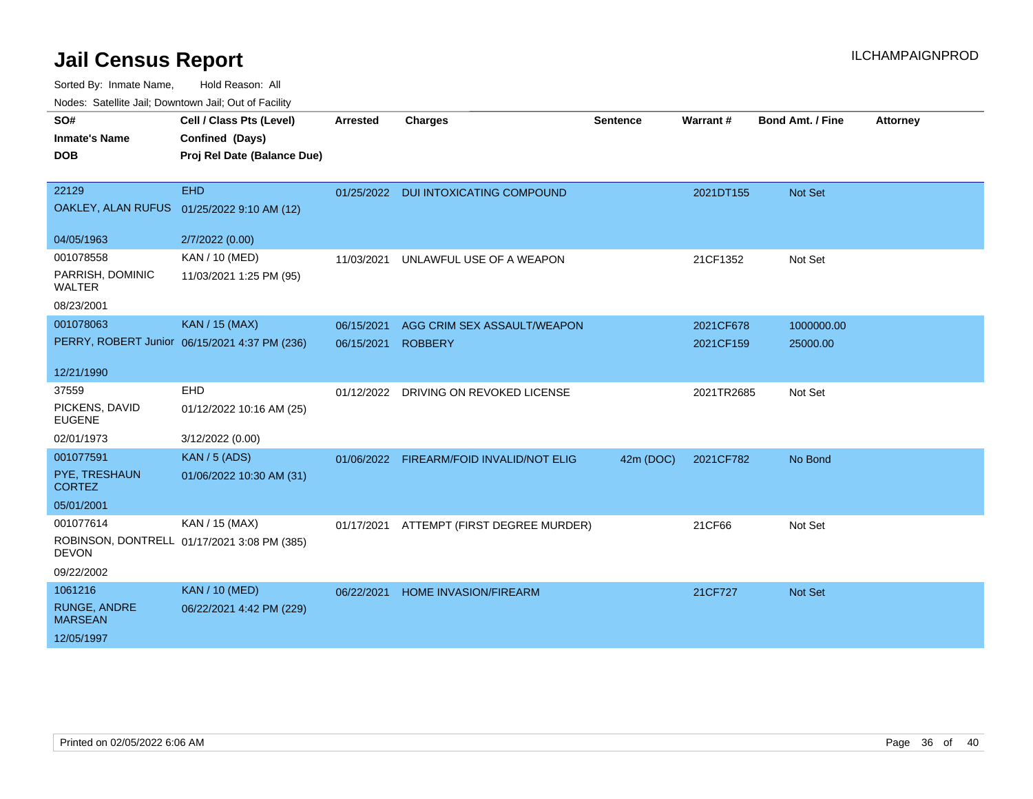Sorted By: Inmate Name, Hold Reason: All

Nodes: Satellite Jail; Downtown Jail; Out of Facility

| SO#                               | Cell / Class Pts (Level)                      | <b>Arrested</b> | <b>Charges</b>                           | <b>Sentence</b> | <b>Warrant#</b> | <b>Bond Amt. / Fine</b> | <b>Attorney</b> |
|-----------------------------------|-----------------------------------------------|-----------------|------------------------------------------|-----------------|-----------------|-------------------------|-----------------|
| <b>Inmate's Name</b>              | Confined (Days)                               |                 |                                          |                 |                 |                         |                 |
| <b>DOB</b>                        | Proj Rel Date (Balance Due)                   |                 |                                          |                 |                 |                         |                 |
|                                   |                                               |                 |                                          |                 |                 |                         |                 |
| 22129                             | <b>EHD</b>                                    |                 | 01/25/2022 DUI INTOXICATING COMPOUND     |                 | 2021DT155       | Not Set                 |                 |
|                                   | OAKLEY, ALAN RUFUS 01/25/2022 9:10 AM (12)    |                 |                                          |                 |                 |                         |                 |
| 04/05/1963                        | 2/7/2022 (0.00)                               |                 |                                          |                 |                 |                         |                 |
| 001078558                         | KAN / 10 (MED)                                | 11/03/2021      | UNLAWFUL USE OF A WEAPON                 |                 | 21CF1352        | Not Set                 |                 |
| PARRISH, DOMINIC<br><b>WALTER</b> | 11/03/2021 1:25 PM (95)                       |                 |                                          |                 |                 |                         |                 |
| 08/23/2001                        |                                               |                 |                                          |                 |                 |                         |                 |
| 001078063                         | <b>KAN</b> / 15 (MAX)                         | 06/15/2021      | AGG CRIM SEX ASSAULT/WEAPON              |                 | 2021CF678       | 1000000.00              |                 |
|                                   | PERRY, ROBERT Junior 06/15/2021 4:37 PM (236) | 06/15/2021      | <b>ROBBERY</b>                           |                 | 2021CF159       | 25000.00                |                 |
| 12/21/1990                        |                                               |                 |                                          |                 |                 |                         |                 |
| 37559                             | <b>EHD</b>                                    |                 | 01/12/2022 DRIVING ON REVOKED LICENSE    |                 | 2021TR2685      | Not Set                 |                 |
| PICKENS, DAVID<br><b>EUGENE</b>   | 01/12/2022 10:16 AM (25)                      |                 |                                          |                 |                 |                         |                 |
| 02/01/1973                        | 3/12/2022 (0.00)                              |                 |                                          |                 |                 |                         |                 |
| 001077591                         | <b>KAN / 5 (ADS)</b>                          |                 | 01/06/2022 FIREARM/FOID INVALID/NOT ELIG | 42m (DOC)       | 2021CF782       | No Bond                 |                 |
| PYE, TRESHAUN<br><b>CORTEZ</b>    | 01/06/2022 10:30 AM (31)                      |                 |                                          |                 |                 |                         |                 |
| 05/01/2001                        |                                               |                 |                                          |                 |                 |                         |                 |
| 001077614                         | KAN / 15 (MAX)                                |                 | 01/17/2021 ATTEMPT (FIRST DEGREE MURDER) |                 | 21CF66          | Not Set                 |                 |
| <b>DEVON</b>                      | ROBINSON, DONTRELL 01/17/2021 3:08 PM (385)   |                 |                                          |                 |                 |                         |                 |
| 09/22/2002                        |                                               |                 |                                          |                 |                 |                         |                 |
| 1061216                           | <b>KAN / 10 (MED)</b>                         | 06/22/2021      | HOME INVASION/FIREARM                    |                 | 21CF727         | Not Set                 |                 |
| RUNGE, ANDRE<br><b>MARSEAN</b>    | 06/22/2021 4:42 PM (229)                      |                 |                                          |                 |                 |                         |                 |
| 12/05/1997                        |                                               |                 |                                          |                 |                 |                         |                 |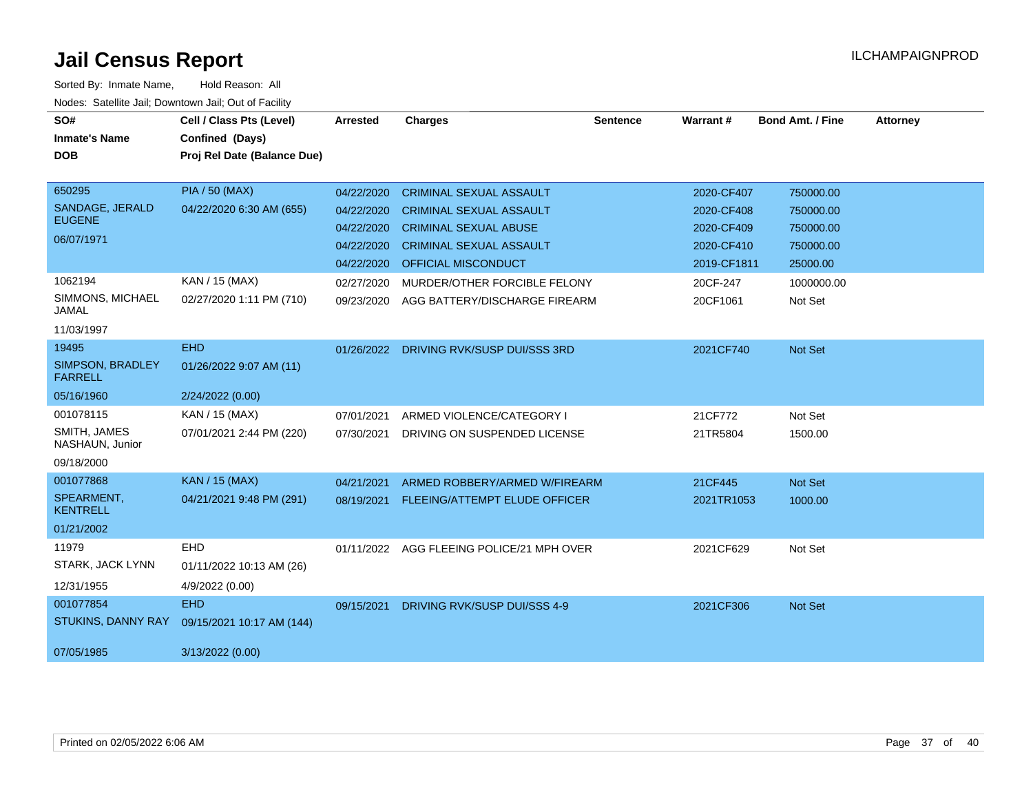| SO#<br><b>Inmate's Name</b>        | Cell / Class Pts (Level)<br>Confined (Days) | Arrested   | <b>Charges</b>                            | <b>Sentence</b> | <b>Warrant#</b> | <b>Bond Amt. / Fine</b> | <b>Attorney</b> |
|------------------------------------|---------------------------------------------|------------|-------------------------------------------|-----------------|-----------------|-------------------------|-----------------|
| <b>DOB</b>                         | Proj Rel Date (Balance Due)                 |            |                                           |                 |                 |                         |                 |
| 650295                             | <b>PIA / 50 (MAX)</b>                       | 04/22/2020 | <b>CRIMINAL SEXUAL ASSAULT</b>            |                 | 2020-CF407      | 750000.00               |                 |
| SANDAGE, JERALD<br><b>EUGENE</b>   | 04/22/2020 6:30 AM (655)                    | 04/22/2020 | <b>CRIMINAL SEXUAL ASSAULT</b>            |                 | 2020-CF408      | 750000.00               |                 |
| 06/07/1971                         |                                             | 04/22/2020 | <b>CRIMINAL SEXUAL ABUSE</b>              |                 | 2020-CF409      | 750000.00               |                 |
|                                    |                                             | 04/22/2020 | <b>CRIMINAL SEXUAL ASSAULT</b>            |                 | 2020-CF410      | 750000.00               |                 |
|                                    |                                             | 04/22/2020 | <b>OFFICIAL MISCONDUCT</b>                |                 | 2019-CF1811     | 25000.00                |                 |
| 1062194                            | KAN / 15 (MAX)                              | 02/27/2020 | MURDER/OTHER FORCIBLE FELONY              |                 | 20CF-247        | 1000000.00              |                 |
| SIMMONS, MICHAEL<br><b>JAMAL</b>   | 02/27/2020 1:11 PM (710)                    | 09/23/2020 | AGG BATTERY/DISCHARGE FIREARM             |                 | 20CF1061        | Not Set                 |                 |
| 11/03/1997                         |                                             |            |                                           |                 |                 |                         |                 |
| 19495                              | <b>EHD</b>                                  | 01/26/2022 | DRIVING RVK/SUSP DUI/SSS 3RD              |                 | 2021CF740       | Not Set                 |                 |
| SIMPSON, BRADLEY<br><b>FARRELL</b> | 01/26/2022 9:07 AM (11)                     |            |                                           |                 |                 |                         |                 |
| 05/16/1960                         | 2/24/2022 (0.00)                            |            |                                           |                 |                 |                         |                 |
| 001078115                          | KAN / 15 (MAX)                              | 07/01/2021 | ARMED VIOLENCE/CATEGORY I                 |                 | 21CF772         | Not Set                 |                 |
| SMITH, JAMES<br>NASHAUN, Junior    | 07/01/2021 2:44 PM (220)                    | 07/30/2021 | DRIVING ON SUSPENDED LICENSE              |                 | 21TR5804        | 1500.00                 |                 |
| 09/18/2000                         |                                             |            |                                           |                 |                 |                         |                 |
| 001077868                          | <b>KAN / 15 (MAX)</b>                       | 04/21/2021 | ARMED ROBBERY/ARMED W/FIREARM             |                 | 21CF445         | Not Set                 |                 |
| SPEARMENT,<br><b>KENTRELL</b>      | 04/21/2021 9:48 PM (291)                    | 08/19/2021 | FLEEING/ATTEMPT ELUDE OFFICER             |                 | 2021TR1053      | 1000.00                 |                 |
| 01/21/2002                         |                                             |            |                                           |                 |                 |                         |                 |
| 11979                              | EHD                                         |            | 01/11/2022 AGG FLEEING POLICE/21 MPH OVER |                 | 2021CF629       | Not Set                 |                 |
| STARK, JACK LYNN                   | 01/11/2022 10:13 AM (26)                    |            |                                           |                 |                 |                         |                 |
| 12/31/1955                         | 4/9/2022 (0.00)                             |            |                                           |                 |                 |                         |                 |
| 001077854                          | <b>EHD</b>                                  | 09/15/2021 | DRIVING RVK/SUSP DUI/SSS 4-9              |                 | 2021CF306       | Not Set                 |                 |
| <b>STUKINS, DANNY RAY</b>          | 09/15/2021 10:17 AM (144)                   |            |                                           |                 |                 |                         |                 |
| 07/05/1985                         | 3/13/2022 (0.00)                            |            |                                           |                 |                 |                         |                 |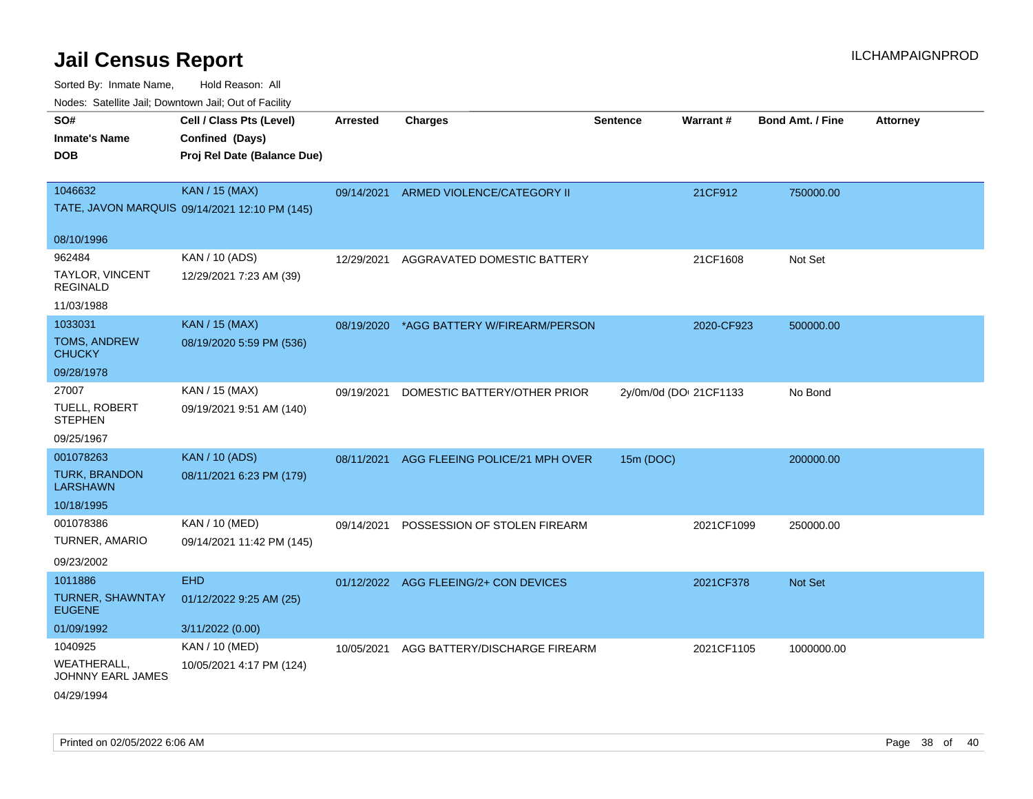| rouco. Calcillo Jali, Downtown Jali, Out of Facility   |                                                                            |                 |                                          |                 |                        |                         |                 |
|--------------------------------------------------------|----------------------------------------------------------------------------|-----------------|------------------------------------------|-----------------|------------------------|-------------------------|-----------------|
| SO#<br>Inmate's Name<br><b>DOB</b>                     | Cell / Class Pts (Level)<br>Confined (Days)<br>Proj Rel Date (Balance Due) | <b>Arrested</b> | <b>Charges</b>                           | <b>Sentence</b> | Warrant#               | <b>Bond Amt. / Fine</b> | <b>Attorney</b> |
| 1046632                                                | <b>KAN / 15 (MAX)</b><br>TATE, JAVON MARQUIS 09/14/2021 12:10 PM (145)     | 09/14/2021      | ARMED VIOLENCE/CATEGORY II               |                 | 21CF912                | 750000.00               |                 |
| 08/10/1996                                             |                                                                            |                 |                                          |                 |                        |                         |                 |
| 962484<br>TAYLOR, VINCENT<br>REGINALD                  | KAN / 10 (ADS)<br>12/29/2021 7:23 AM (39)                                  | 12/29/2021      | AGGRAVATED DOMESTIC BATTERY              |                 | 21CF1608               | Not Set                 |                 |
| 11/03/1988<br>1033031                                  |                                                                            |                 |                                          |                 |                        |                         |                 |
| TOMS, ANDREW<br>CHUCKY                                 | <b>KAN / 15 (MAX)</b><br>08/19/2020 5:59 PM (536)                          |                 | 08/19/2020 *AGG BATTERY W/FIREARM/PERSON |                 | 2020-CF923             | 500000.00               |                 |
| 09/28/1978                                             |                                                                            |                 |                                          |                 |                        |                         |                 |
| 27007<br>TUELL, ROBERT<br><b>STEPHEN</b><br>09/25/1967 | KAN / 15 (MAX)<br>09/19/2021 9:51 AM (140)                                 | 09/19/2021      | DOMESTIC BATTERY/OTHER PRIOR             |                 | 2y/0m/0d (DOI 21CF1133 | No Bond                 |                 |
| 001078263                                              | <b>KAN / 10 (ADS)</b>                                                      | 08/11/2021      | AGG FLEEING POLICE/21 MPH OVER           | 15m (DOC)       |                        | 200000.00               |                 |
| <b>TURK, BRANDON</b><br>LARSHAWN                       | 08/11/2021 6:23 PM (179)                                                   |                 |                                          |                 |                        |                         |                 |
| 10/18/1995                                             |                                                                            |                 |                                          |                 |                        |                         |                 |
| 001078386<br>TURNER, AMARIO<br>09/23/2002              | KAN / 10 (MED)<br>09/14/2021 11:42 PM (145)                                | 09/14/2021      | POSSESSION OF STOLEN FIREARM             |                 | 2021CF1099             | 250000.00               |                 |
| 1011886                                                | <b>EHD</b>                                                                 |                 | 01/12/2022 AGG FLEEING/2+ CON DEVICES    |                 | 2021CF378              | <b>Not Set</b>          |                 |
| TURNER, SHAWNTAY<br><b>EUGENE</b>                      | 01/12/2022 9:25 AM (25)                                                    |                 |                                          |                 |                        |                         |                 |
| 01/09/1992                                             | 3/11/2022 (0.00)                                                           |                 |                                          |                 |                        |                         |                 |
| 1040925                                                | KAN / 10 (MED)                                                             | 10/05/2021      | AGG BATTERY/DISCHARGE FIREARM            |                 | 2021CF1105             | 1000000.00              |                 |
| WEATHERALL.<br>JOHNNY EARL JAMES<br>04/29/1994         | 10/05/2021 4:17 PM (124)                                                   |                 |                                          |                 |                        |                         |                 |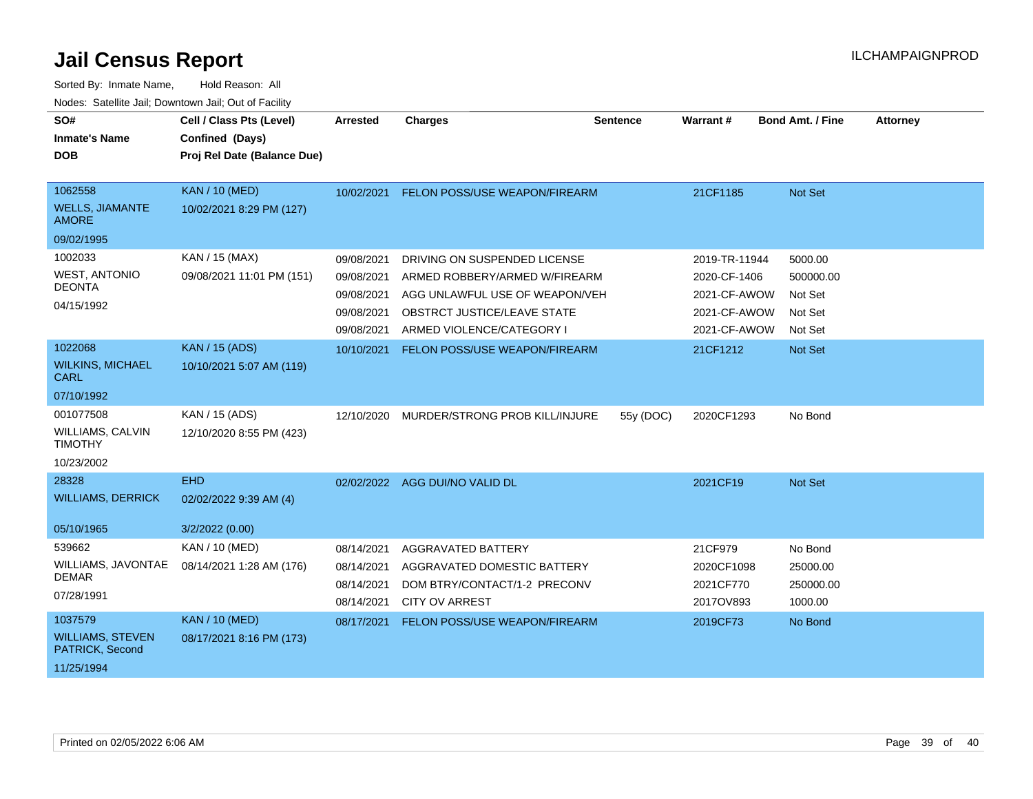| SO#<br><b>Inmate's Name</b><br><b>DOB</b>                            | Cell / Class Pts (Level)<br>Confined (Days)<br>Proj Rel Date (Balance Due) | <b>Arrested</b>                                                    | <b>Charges</b>                                                                                                                                              | <b>Sentence</b> | Warrant#                                                                      | <b>Bond Amt. / Fine</b>                               | <b>Attorney</b> |
|----------------------------------------------------------------------|----------------------------------------------------------------------------|--------------------------------------------------------------------|-------------------------------------------------------------------------------------------------------------------------------------------------------------|-----------------|-------------------------------------------------------------------------------|-------------------------------------------------------|-----------------|
| 1062558<br><b>WELLS, JIAMANTE</b><br><b>AMORE</b><br>09/02/1995      | <b>KAN / 10 (MED)</b><br>10/02/2021 8:29 PM (127)                          | 10/02/2021                                                         | FELON POSS/USE WEAPON/FIREARM                                                                                                                               |                 | 21CF1185                                                                      | Not Set                                               |                 |
| 1002033<br><b>WEST, ANTONIO</b><br><b>DEONTA</b><br>04/15/1992       | KAN / 15 (MAX)<br>09/08/2021 11:01 PM (151)                                | 09/08/2021<br>09/08/2021<br>09/08/2021<br>09/08/2021<br>09/08/2021 | DRIVING ON SUSPENDED LICENSE<br>ARMED ROBBERY/ARMED W/FIREARM<br>AGG UNLAWFUL USE OF WEAPON/VEH<br>OBSTRCT JUSTICE/LEAVE STATE<br>ARMED VIOLENCE/CATEGORY I |                 | 2019-TR-11944<br>2020-CF-1406<br>2021-CF-AWOW<br>2021-CF-AWOW<br>2021-CF-AWOW | 5000.00<br>500000.00<br>Not Set<br>Not Set<br>Not Set |                 |
| 1022068<br><b>WILKINS, MICHAEL</b><br><b>CARL</b><br>07/10/1992      | <b>KAN / 15 (ADS)</b><br>10/10/2021 5:07 AM (119)                          | 10/10/2021                                                         | <b>FELON POSS/USE WEAPON/FIREARM</b>                                                                                                                        |                 | 21CF1212                                                                      | Not Set                                               |                 |
| 001077508<br><b>WILLIAMS, CALVIN</b><br><b>TIMOTHY</b><br>10/23/2002 | KAN / 15 (ADS)<br>12/10/2020 8:55 PM (423)                                 | 12/10/2020                                                         | MURDER/STRONG PROB KILL/INJURE                                                                                                                              | 55y (DOC)       | 2020CF1293                                                                    | No Bond                                               |                 |
| 28328<br><b>WILLIAMS, DERRICK</b><br>05/10/1965                      | <b>EHD</b><br>02/02/2022 9:39 AM (4)<br>3/2/2022 (0.00)                    |                                                                    | 02/02/2022 AGG DUI/NO VALID DL                                                                                                                              |                 | 2021CF19                                                                      | Not Set                                               |                 |
| 539662<br>WILLIAMS, JAVONTAE<br><b>DEMAR</b><br>07/28/1991           | KAN / 10 (MED)<br>08/14/2021 1:28 AM (176)                                 | 08/14/2021<br>08/14/2021<br>08/14/2021<br>08/14/2021               | <b>AGGRAVATED BATTERY</b><br>AGGRAVATED DOMESTIC BATTERY<br>DOM BTRY/CONTACT/1-2 PRECONV<br><b>CITY OV ARREST</b>                                           |                 | 21CF979<br>2020CF1098<br>2021CF770<br>2017OV893                               | No Bond<br>25000.00<br>250000.00<br>1000.00           |                 |
| 1037579<br><b>WILLIAMS, STEVEN</b><br>PATRICK, Second<br>11/25/1994  | <b>KAN / 10 (MED)</b><br>08/17/2021 8:16 PM (173)                          | 08/17/2021                                                         | FELON POSS/USE WEAPON/FIREARM                                                                                                                               |                 | 2019CF73                                                                      | No Bond                                               |                 |